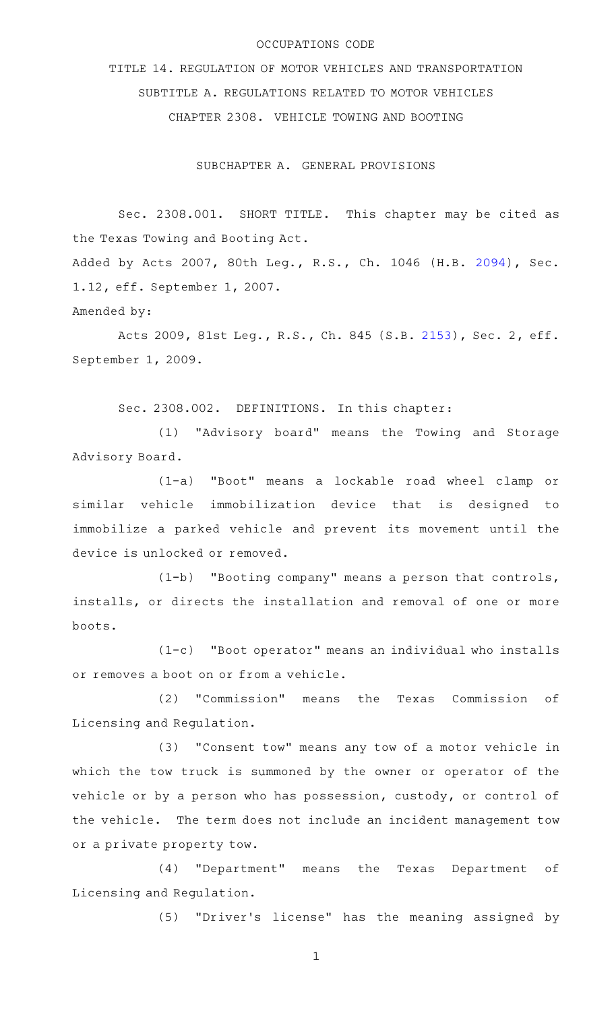## OCCUPATIONS CODE

TITLE 14. REGULATION OF MOTOR VEHICLES AND TRANSPORTATION SUBTITLE A. REGULATIONS RELATED TO MOTOR VEHICLES CHAPTER 2308. VEHICLE TOWING AND BOOTING

SUBCHAPTER A. GENERAL PROVISIONS

Sec. 2308.001. SHORT TITLE. This chapter may be cited as the Texas Towing and Booting Act. Added by Acts 2007, 80th Leg., R.S., Ch. 1046 (H.B. [2094](http://www.legis.state.tx.us/tlodocs/80R/billtext/html/HB02094F.HTM)), Sec. 1.12, eff. September 1, 2007.

Amended by:

Acts 2009, 81st Leg., R.S., Ch. 845 (S.B. [2153](http://www.legis.state.tx.us/tlodocs/81R/billtext/html/SB02153F.HTM)), Sec. 2, eff. September 1, 2009.

Sec. 2308.002. DEFINITIONS. In this chapter:

(1) "Advisory board" means the Towing and Storage Advisory Board.

(1-a)AA"Boot" means a lockable road wheel clamp or similar vehicle immobilization device that is designed to immobilize a parked vehicle and prevent its movement until the device is unlocked or removed.

(1-b) "Booting company" means a person that controls, installs, or directs the installation and removal of one or more boots.

(1-c)AA"Boot operator" means an individual who installs or removes a boot on or from a vehicle.

(2) "Commission" means the Texas Commission of Licensing and Regulation.

(3) "Consent tow" means any tow of a motor vehicle in which the tow truck is summoned by the owner or operator of the vehicle or by a person who has possession, custody, or control of the vehicle. The term does not include an incident management tow or a private property tow.

(4) "Department" means the Texas Department of Licensing and Regulation.

(5) "Driver's license" has the meaning assigned by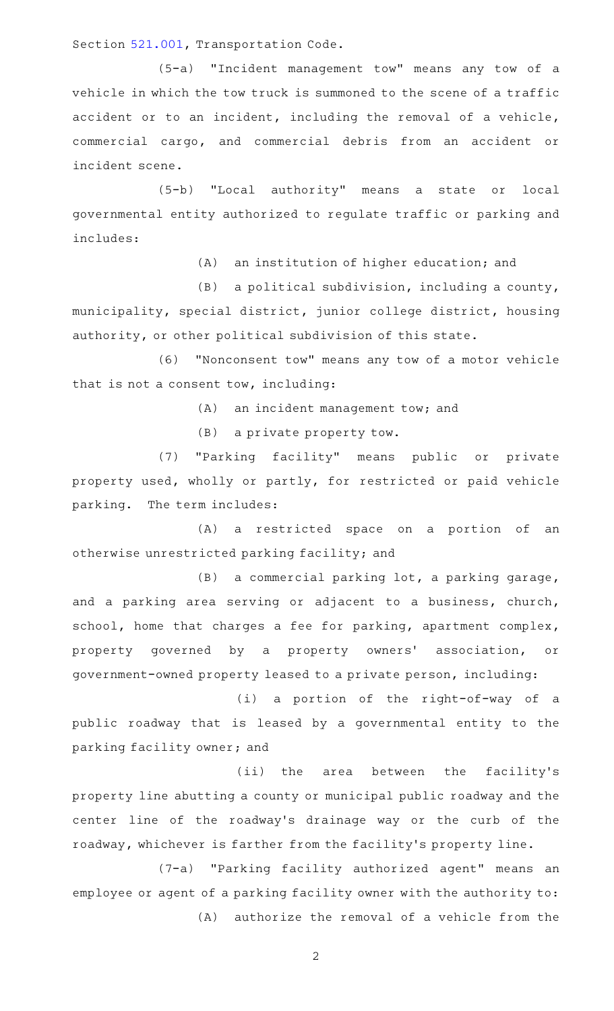Section [521.001,](https://statutes.capitol.texas.gov/GetStatute.aspx?Code=TN&Value=521.001) Transportation Code.

(5-a) "Incident management tow" means any tow of a vehicle in which the tow truck is summoned to the scene of a traffic accident or to an incident, including the removal of a vehicle, commercial cargo, and commercial debris from an accident or incident scene.

(5-b) "Local authority" means a state or local governmental entity authorized to regulate traffic or parking and includes:

(A) an institution of higher education; and

 $(B)$  a political subdivision, including a county, municipality, special district, junior college district, housing authority, or other political subdivision of this state.

(6) "Nonconsent tow" means any tow of a motor vehicle that is not a consent tow, including:

(A) an incident management tow; and

(B) a private property tow.

(7) "Parking facility" means public or private property used, wholly or partly, for restricted or paid vehicle parking. The term includes:

(A) a restricted space on a portion of an otherwise unrestricted parking facility; and

 $(B)$  a commercial parking lot, a parking garage, and a parking area serving or adjacent to a business, church, school, home that charges a fee for parking, apartment complex, property governed by a property owners' association, or government-owned property leased to a private person, including:

(i) a portion of the right-of-way of a public roadway that is leased by a governmental entity to the parking facility owner; and

(ii) the area between the facility's property line abutting a county or municipal public roadway and the center line of the roadway's drainage way or the curb of the roadway, whichever is farther from the facility 's property line.

(7-a) "Parking facility authorized agent" means an employee or agent of a parking facility owner with the authority to:  $(A)$  authorize the removal of a vehicle from the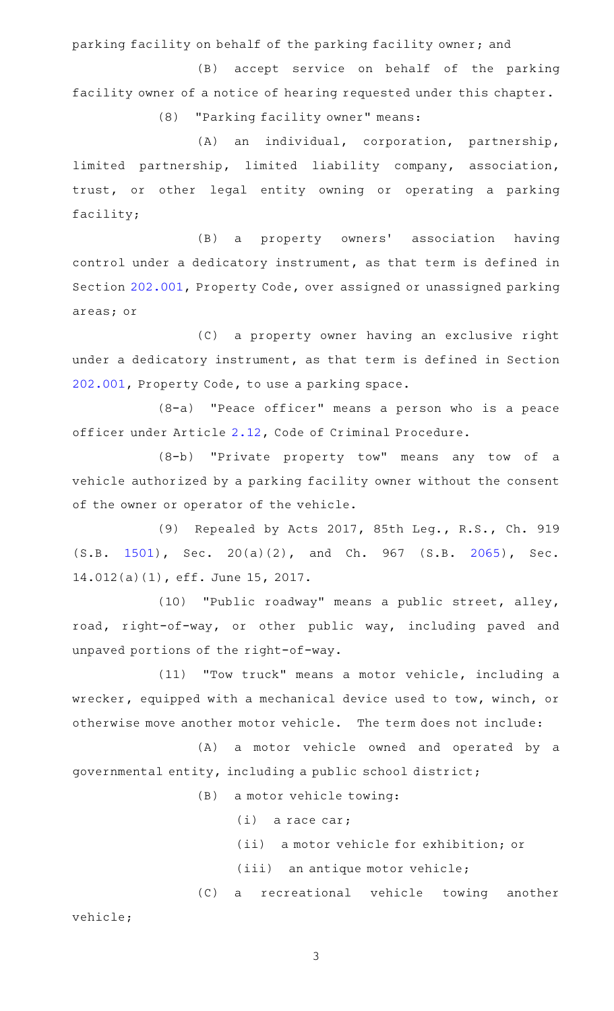parking facility on behalf of the parking facility owner; and

(B) accept service on behalf of the parking facility owner of a notice of hearing requested under this chapter.

(8) "Parking facility owner" means:

(A) an individual, corporation, partnership, limited partnership, limited liability company, association, trust, or other legal entity owning or operating a parking facility;

(B) a property owners' association having control under a dedicatory instrument, as that term is defined in Section [202.001,](https://statutes.capitol.texas.gov/GetStatute.aspx?Code=PR&Value=202.001) Property Code, over assigned or unassigned parking areas; or

(C) a property owner having an exclusive right under a dedicatory instrument, as that term is defined in Section [202.001,](https://statutes.capitol.texas.gov/GetStatute.aspx?Code=PR&Value=202.001) Property Code, to use a parking space.

(8-a) "Peace officer" means a person who is a peace officer under Article [2.12,](https://statutes.capitol.texas.gov/GetStatute.aspx?Code=CR&Value=2.12) Code of Criminal Procedure.

(8-b) "Private property tow" means any tow of a vehicle authorized by a parking facility owner without the consent of the owner or operator of the vehicle.

(9) Repealed by Acts 2017, 85th Leg., R.S., Ch. 919 (S.B. [1501\)](http://www.legis.state.tx.us/tlodocs/85R/billtext/html/SB01501F.HTM), Sec. 20(a)(2), and Ch. 967 (S.B. [2065\)](http://www.legis.state.tx.us/tlodocs/85R/billtext/html/SB02065F.HTM), Sec. 14.012(a)(1), eff. June 15, 2017.

(10) "Public roadway" means a public street, alley, road, right-of-way, or other public way, including paved and unpaved portions of the right-of-way.

(11) "Tow truck" means a motor vehicle, including a wrecker, equipped with a mechanical device used to tow, winch, or otherwise move another motor vehicle. The term does not include:

(A) a motor vehicle owned and operated by a governmental entity, including a public school district;

 $(B)$  a motor vehicle towing:

 $(i)$  a race car;

(ii) a motor vehicle for exhibition; or

(iii) an antique motor vehicle;

(C) a recreational vehicle towing another

vehicle;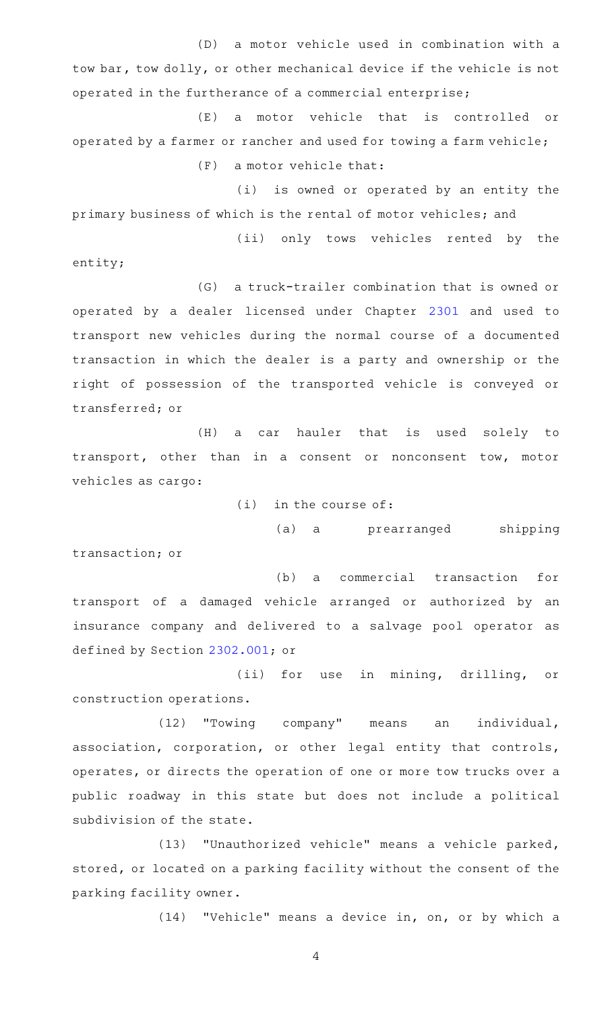(D) a motor vehicle used in combination with a tow bar, tow dolly, or other mechanical device if the vehicle is not operated in the furtherance of a commercial enterprise;

(E) a motor vehicle that is controlled or operated by a farmer or rancher and used for towing a farm vehicle;  $(F)$  a motor vehicle that:

(i) is owned or operated by an entity the primary business of which is the rental of motor vehicles; and

(ii) only tows vehicles rented by the

entity;

(G) a truck-trailer combination that is owned or operated by a dealer licensed under Chapter [2301](https://statutes.capitol.texas.gov/GetStatute.aspx?Code=OC&Value=2301) and used to transport new vehicles during the normal course of a documented transaction in which the dealer is a party and ownership or the right of possession of the transported vehicle is conveyed or transferred; or

(H) a car hauler that is used solely to transport, other than in a consent or nonconsent tow, motor vehicles as cargo:

 $(i)$  in the course of:

(a) a prearranged shipping transaction; or

(b) a commercial transaction for transport of a damaged vehicle arranged or authorized by an

insurance company and delivered to a salvage pool operator as defined by Section [2302.001](https://statutes.capitol.texas.gov/GetStatute.aspx?Code=OC&Value=2302.001); or (ii) for use in mining, drilling, or

construction operations.

(12) "Towing company" means an individual, association, corporation, or other legal entity that controls, operates, or directs the operation of one or more tow trucks over a public roadway in this state but does not include a political subdivision of the state.

(13) "Unauthorized vehicle" means a vehicle parked, stored, or located on a parking facility without the consent of the parking facility owner.

(14) "Vehicle" means a device in, on, or by which a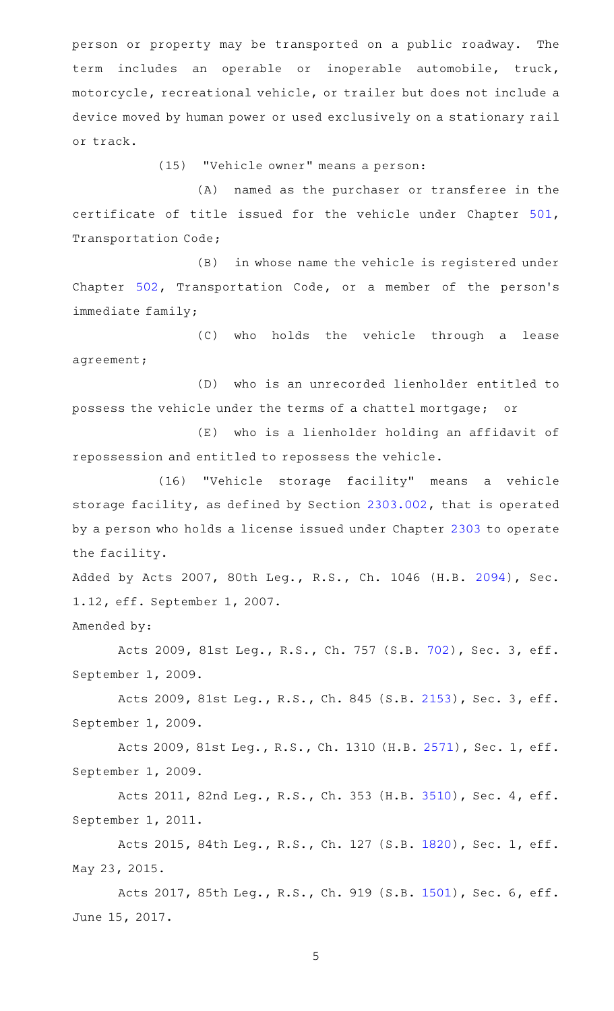person or property may be transported on a public roadway. The term includes an operable or inoperable automobile, truck, motorcycle, recreational vehicle, or trailer but does not include a device moved by human power or used exclusively on a stationary rail or track.

(15) "Vehicle owner" means a person:

(A) named as the purchaser or transferee in the certificate of title issued for the vehicle under Chapter [501](https://statutes.capitol.texas.gov/GetStatute.aspx?Code=TN&Value=501), Transportation Code;

(B) in whose name the vehicle is registered under Chapter [502](https://statutes.capitol.texas.gov/GetStatute.aspx?Code=TN&Value=502), Transportation Code, or a member of the person's immediate family;

(C) who holds the vehicle through a lease agreement;

(D) who is an unrecorded lienholder entitled to possess the vehicle under the terms of a chattel mortgage; or

(E) who is a lienholder holding an affidavit of repossession and entitled to repossess the vehicle.

(16) "Vehicle storage facility" means a vehicle storage facility, as defined by Section [2303.002](https://statutes.capitol.texas.gov/GetStatute.aspx?Code=OC&Value=2303.002), that is operated by a person who holds a license issued under Chapter [2303](https://statutes.capitol.texas.gov/GetStatute.aspx?Code=OC&Value=2303) to operate the facility.

Added by Acts 2007, 80th Leg., R.S., Ch. 1046 (H.B. [2094](http://www.legis.state.tx.us/tlodocs/80R/billtext/html/HB02094F.HTM)), Sec. 1.12, eff. September 1, 2007.

Amended by:

Acts 2009, 81st Leg., R.S., Ch. 757 (S.B. [702](http://www.legis.state.tx.us/tlodocs/81R/billtext/html/SB00702F.HTM)), Sec. 3, eff. September 1, 2009.

Acts 2009, 81st Leg., R.S., Ch. 845 (S.B. [2153](http://www.legis.state.tx.us/tlodocs/81R/billtext/html/SB02153F.HTM)), Sec. 3, eff. September 1, 2009.

Acts 2009, 81st Leg., R.S., Ch. 1310 (H.B. [2571](http://www.legis.state.tx.us/tlodocs/81R/billtext/html/HB02571F.HTM)), Sec. 1, eff. September 1, 2009.

Acts 2011, 82nd Leg., R.S., Ch. 353 (H.B. [3510](http://www.legis.state.tx.us/tlodocs/82R/billtext/html/HB03510F.HTM)), Sec. 4, eff. September 1, 2011.

Acts 2015, 84th Leg., R.S., Ch. 127 (S.B. [1820](http://www.legis.state.tx.us/tlodocs/84R/billtext/html/SB01820F.HTM)), Sec. 1, eff. May 23, 2015.

Acts 2017, 85th Leg., R.S., Ch. 919 (S.B. [1501](http://www.legis.state.tx.us/tlodocs/85R/billtext/html/SB01501F.HTM)), Sec. 6, eff. June 15, 2017.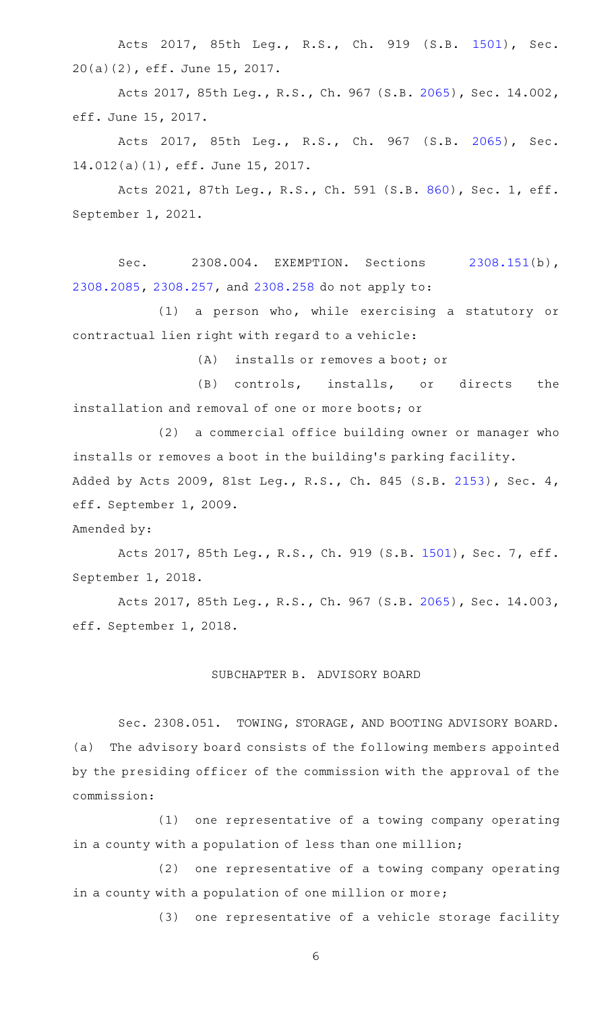Acts 2017, 85th Leg., R.S., Ch. 919 (S.B. [1501\)](http://www.legis.state.tx.us/tlodocs/85R/billtext/html/SB01501F.HTM), Sec. 20(a)(2), eff. June 15, 2017.

Acts 2017, 85th Leg., R.S., Ch. 967 (S.B. [2065\)](http://www.legis.state.tx.us/tlodocs/85R/billtext/html/SB02065F.HTM), Sec. 14.002, eff. June 15, 2017.

Acts 2017, 85th Leg., R.S., Ch. 967 (S.B. [2065\)](http://www.legis.state.tx.us/tlodocs/85R/billtext/html/SB02065F.HTM), Sec. 14.012(a)(1), eff. June 15, 2017.

Acts 2021, 87th Leg., R.S., Ch. 591 (S.B. [860](http://www.legis.state.tx.us/tlodocs/87R/billtext/html/SB00860F.HTM)), Sec. 1, eff. September 1, 2021.

Sec. 2308.004. EXEMPTION. Sections [2308.151\(](https://statutes.capitol.texas.gov/GetStatute.aspx?Code=OC&Value=2308.151)b), [2308.2085,](https://statutes.capitol.texas.gov/GetStatute.aspx?Code=OC&Value=2308.2085) [2308.257,](https://statutes.capitol.texas.gov/GetStatute.aspx?Code=OC&Value=2308.257) and [2308.258](https://statutes.capitol.texas.gov/GetStatute.aspx?Code=OC&Value=2308.258) do not apply to:

(1) a person who, while exercising a statutory or contractual lien right with regard to a vehicle:

 $(A)$  installs or removes a boot; or

(B) controls, installs, or directs the installation and removal of one or more boots; or

(2) a commercial office building owner or manager who installs or removes a boot in the building's parking facility. Added by Acts 2009, 81st Leg., R.S., Ch. 845 (S.B. [2153](http://www.legis.state.tx.us/tlodocs/81R/billtext/html/SB02153F.HTM)), Sec. 4, eff. September 1, 2009.

Amended by:

Acts 2017, 85th Leg., R.S., Ch. 919 (S.B. [1501](http://www.legis.state.tx.us/tlodocs/85R/billtext/html/SB01501F.HTM)), Sec. 7, eff. September 1, 2018.

Acts 2017, 85th Leg., R.S., Ch. 967 (S.B. [2065\)](http://www.legis.state.tx.us/tlodocs/85R/billtext/html/SB02065F.HTM), Sec. 14.003, eff. September 1, 2018.

# SUBCHAPTER B. ADVISORY BOARD

Sec. 2308.051. TOWING, STORAGE, AND BOOTING ADVISORY BOARD. (a) The advisory board consists of the following members appointed by the presiding officer of the commission with the approval of the commission:

(1) one representative of a towing company operating in a county with a population of less than one million;

(2) one representative of a towing company operating in a county with a population of one million or more;

(3) one representative of a vehicle storage facility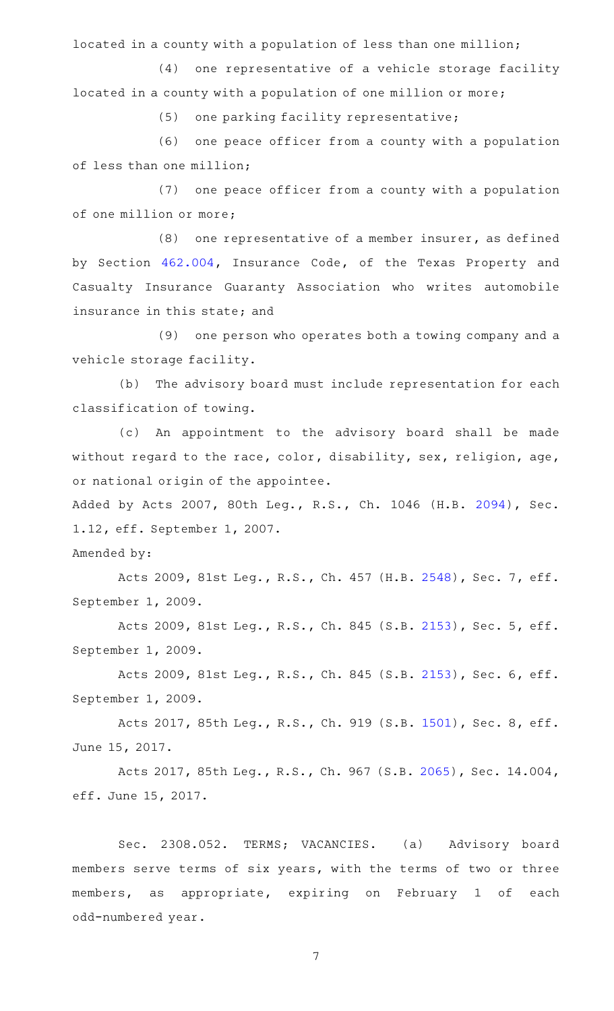located in a county with a population of less than one million;

(4) one representative of a vehicle storage facility located in a county with a population of one million or more;

(5) one parking facility representative;

(6) one peace officer from a county with a population of less than one million;

(7) one peace officer from a county with a population of one million or more;

 $(8)$  one representative of a member insurer, as defined by Section [462.004,](https://statutes.capitol.texas.gov/GetStatute.aspx?Code=IN&Value=462.004) Insurance Code, of the Texas Property and Casualty Insurance Guaranty Association who writes automobile insurance in this state; and

(9) one person who operates both a towing company and a vehicle storage facility.

(b) The advisory board must include representation for each classification of towing.

(c) An appointment to the advisory board shall be made without regard to the race, color, disability, sex, religion, age, or national origin of the appointee.

Added by Acts 2007, 80th Leg., R.S., Ch. 1046 (H.B. [2094](http://www.legis.state.tx.us/tlodocs/80R/billtext/html/HB02094F.HTM)), Sec. 1.12, eff. September 1, 2007.

Amended by:

Acts 2009, 81st Leg., R.S., Ch. 457 (H.B. [2548](http://www.legis.state.tx.us/tlodocs/81R/billtext/html/HB02548F.HTM)), Sec. 7, eff. September 1, 2009.

Acts 2009, 81st Leg., R.S., Ch. 845 (S.B. [2153](http://www.legis.state.tx.us/tlodocs/81R/billtext/html/SB02153F.HTM)), Sec. 5, eff. September 1, 2009.

Acts 2009, 81st Leg., R.S., Ch. 845 (S.B. [2153](http://www.legis.state.tx.us/tlodocs/81R/billtext/html/SB02153F.HTM)), Sec. 6, eff. September 1, 2009.

Acts 2017, 85th Leg., R.S., Ch. 919 (S.B. [1501](http://www.legis.state.tx.us/tlodocs/85R/billtext/html/SB01501F.HTM)), Sec. 8, eff. June 15, 2017.

Acts 2017, 85th Leg., R.S., Ch. 967 (S.B. [2065\)](http://www.legis.state.tx.us/tlodocs/85R/billtext/html/SB02065F.HTM), Sec. 14.004, eff. June 15, 2017.

Sec. 2308.052. TERMS; VACANCIES. (a) Advisory board members serve terms of six years, with the terms of two or three members, as appropriate, expiring on February 1 of each odd-numbered year.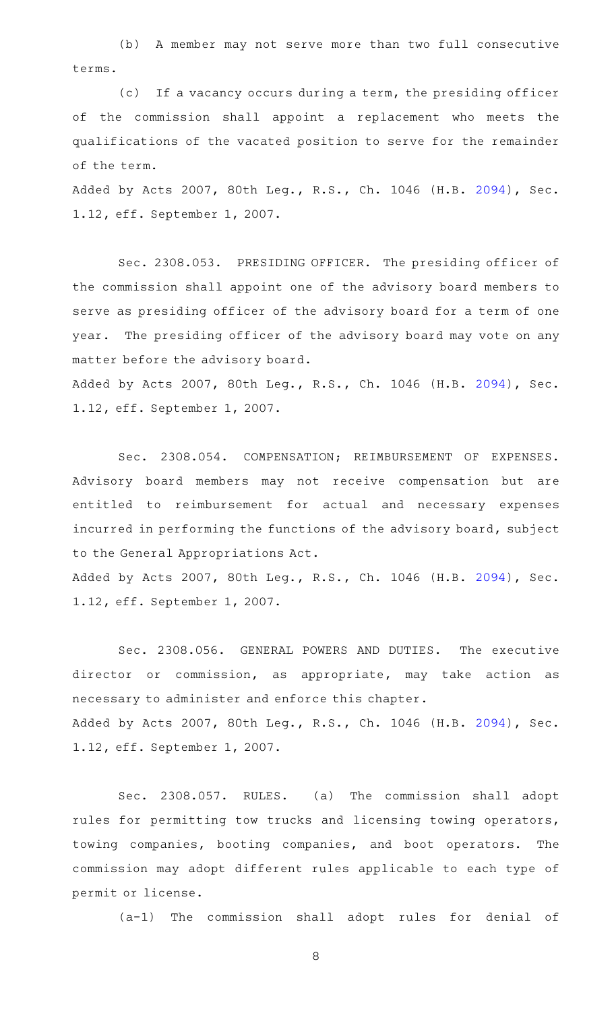(b) A member may not serve more than two full consecutive terms.

(c) If a vacancy occurs during a term, the presiding officer of the commission shall appoint a replacement who meets the qualifications of the vacated position to serve for the remainder of the term.

Added by Acts 2007, 80th Leg., R.S., Ch. 1046 (H.B. [2094](http://www.legis.state.tx.us/tlodocs/80R/billtext/html/HB02094F.HTM)), Sec. 1.12, eff. September 1, 2007.

Sec. 2308.053. PRESIDING OFFICER. The presiding officer of the commission shall appoint one of the advisory board members to serve as presiding officer of the advisory board for a term of one year. The presiding officer of the advisory board may vote on any matter before the advisory board.

Added by Acts 2007, 80th Leg., R.S., Ch. 1046 (H.B. [2094](http://www.legis.state.tx.us/tlodocs/80R/billtext/html/HB02094F.HTM)), Sec. 1.12, eff. September 1, 2007.

Sec. 2308.054. COMPENSATION; REIMBURSEMENT OF EXPENSES. Advisory board members may not receive compensation but are entitled to reimbursement for actual and necessary expenses incurred in performing the functions of the advisory board, subject to the General Appropriations Act.

Added by Acts 2007, 80th Leg., R.S., Ch. 1046 (H.B. [2094](http://www.legis.state.tx.us/tlodocs/80R/billtext/html/HB02094F.HTM)), Sec. 1.12, eff. September 1, 2007.

Sec. 2308.056. GENERAL POWERS AND DUTIES. The executive director or commission, as appropriate, may take action as necessary to administer and enforce this chapter. Added by Acts 2007, 80th Leg., R.S., Ch. 1046 (H.B. [2094](http://www.legis.state.tx.us/tlodocs/80R/billtext/html/HB02094F.HTM)), Sec. 1.12, eff. September 1, 2007.

Sec. 2308.057. RULES. (a) The commission shall adopt rules for permitting tow trucks and licensing towing operators, towing companies, booting companies, and boot operators. The commission may adopt different rules applicable to each type of permit or license.

(a-1) The commission shall adopt rules for denial of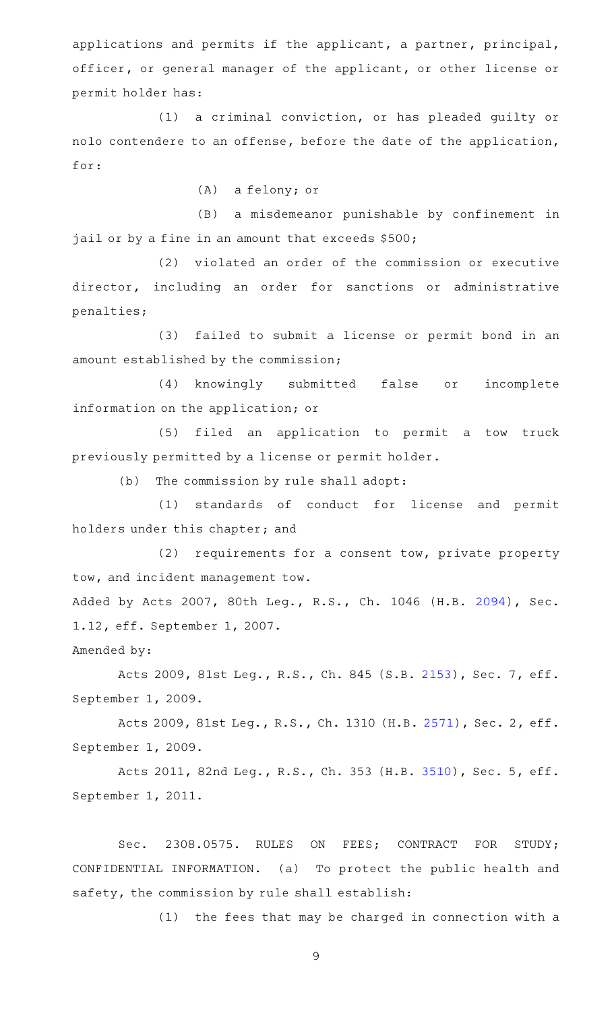applications and permits if the applicant, a partner, principal, officer, or general manager of the applicant, or other license or permit holder has:

(1) a criminal conviction, or has pleaded guilty or nolo contendere to an offense, before the date of the application, for:

 $(A)$  a felony; or

(B) a misdemeanor punishable by confinement in jail or by a fine in an amount that exceeds \$500;

(2) violated an order of the commission or executive director, including an order for sanctions or administrative penalties;

(3) failed to submit a license or permit bond in an amount established by the commission;

(4) knowingly submitted false or incomplete information on the application; or

(5) filed an application to permit a tow truck previously permitted by a license or permit holder.

 $(b)$  The commission by rule shall adopt:

(1) standards of conduct for license and permit holders under this chapter; and

(2) requirements for a consent tow, private property tow, and incident management tow.

Added by Acts 2007, 80th Leg., R.S., Ch. 1046 (H.B. [2094](http://www.legis.state.tx.us/tlodocs/80R/billtext/html/HB02094F.HTM)), Sec. 1.12, eff. September 1, 2007.

Amended by:

Acts 2009, 81st Leg., R.S., Ch. 845 (S.B. [2153](http://www.legis.state.tx.us/tlodocs/81R/billtext/html/SB02153F.HTM)), Sec. 7, eff. September 1, 2009.

Acts 2009, 81st Leg., R.S., Ch. 1310 (H.B. [2571](http://www.legis.state.tx.us/tlodocs/81R/billtext/html/HB02571F.HTM)), Sec. 2, eff. September 1, 2009.

Acts 2011, 82nd Leg., R.S., Ch. 353 (H.B. [3510](http://www.legis.state.tx.us/tlodocs/82R/billtext/html/HB03510F.HTM)), Sec. 5, eff. September 1, 2011.

Sec. 2308.0575. RULES ON FEES; CONTRACT FOR STUDY; CONFIDENTIAL INFORMATION. (a) To protect the public health and safety, the commission by rule shall establish:

 $(1)$  the fees that may be charged in connection with a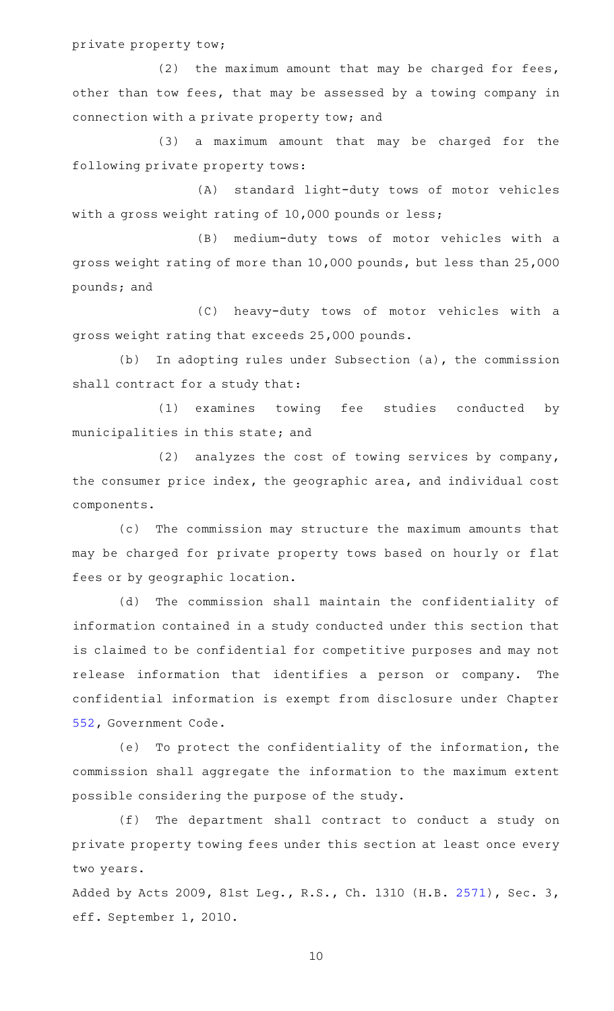private property tow;

(2) the maximum amount that may be charged for fees, other than tow fees, that may be assessed by a towing company in connection with a private property tow; and

(3) a maximum amount that may be charged for the following private property tows:

(A) standard light-duty tows of motor vehicles with a gross weight rating of 10,000 pounds or less;

(B) medium-duty tows of motor vehicles with a gross weight rating of more than 10,000 pounds, but less than 25,000 pounds; and

(C) heavy-duty tows of motor vehicles with a gross weight rating that exceeds 25,000 pounds.

(b) In adopting rules under Subsection (a), the commission shall contract for a study that:

(1) examines towing fee studies conducted by municipalities in this state; and

(2) analyzes the cost of towing services by company, the consumer price index, the geographic area, and individual cost components.

(c) The commission may structure the maximum amounts that may be charged for private property tows based on hourly or flat fees or by geographic location.

(d) The commission shall maintain the confidentiality of information contained in a study conducted under this section that is claimed to be confidential for competitive purposes and may not release information that identifies a person or company. The confidential information is exempt from disclosure under Chapter [552,](https://statutes.capitol.texas.gov/GetStatute.aspx?Code=GV&Value=552) Government Code.

(e) To protect the confidentiality of the information, the commission shall aggregate the information to the maximum extent possible considering the purpose of the study.

(f) The department shall contract to conduct a study on private property towing fees under this section at least once every two years.

Added by Acts 2009, 81st Leg., R.S., Ch. 1310 (H.B. [2571\)](http://www.legis.state.tx.us/tlodocs/81R/billtext/html/HB02571F.HTM), Sec. 3, eff. September 1, 2010.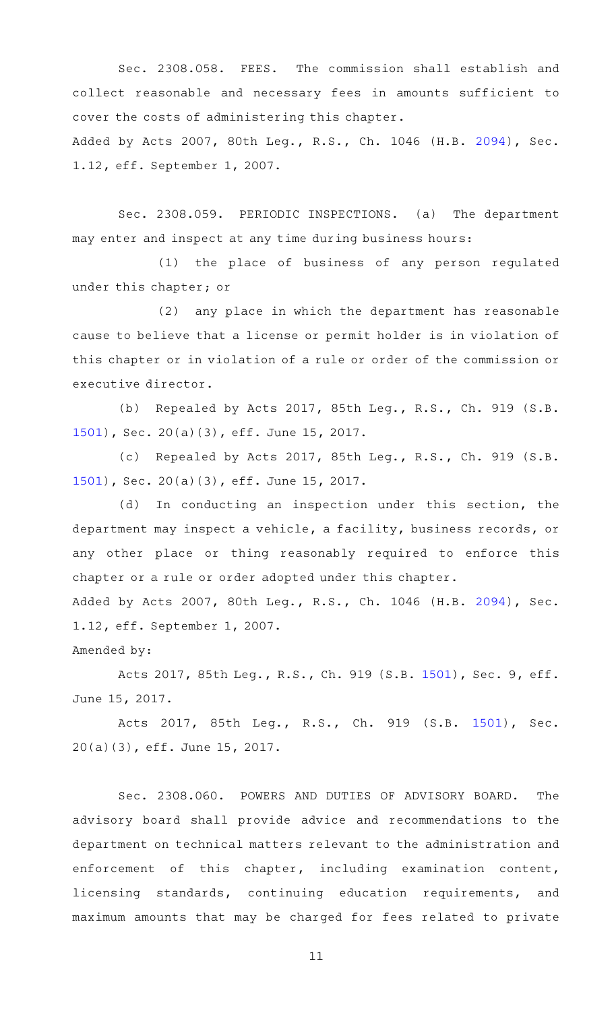Sec. 2308.058. FEES. The commission shall establish and collect reasonable and necessary fees in amounts sufficient to cover the costs of administering this chapter. Added by Acts 2007, 80th Leg., R.S., Ch. 1046 (H.B. [2094](http://www.legis.state.tx.us/tlodocs/80R/billtext/html/HB02094F.HTM)), Sec. 1.12, eff. September 1, 2007.

Sec. 2308.059. PERIODIC INSPECTIONS. (a) The department may enter and inspect at any time during business hours:

(1) the place of business of any person regulated under this chapter; or

(2) any place in which the department has reasonable cause to believe that a license or permit holder is in violation of this chapter or in violation of a rule or order of the commission or executive director.

(b) Repealed by Acts 2017, 85th Leg., R.S., Ch. 919 (S.B. [1501](http://www.legis.state.tx.us/tlodocs/85R/billtext/html/SB01501F.HTM)), Sec. 20(a)(3), eff. June 15, 2017.

(c) Repealed by Acts 2017, 85th Leg., R.S., Ch. 919 (S.B. [1501](http://www.legis.state.tx.us/tlodocs/85R/billtext/html/SB01501F.HTM)), Sec. 20(a)(3), eff. June 15, 2017.

(d) In conducting an inspection under this section, the department may inspect a vehicle, a facility, business records, or any other place or thing reasonably required to enforce this chapter or a rule or order adopted under this chapter.

Added by Acts 2007, 80th Leg., R.S., Ch. 1046 (H.B. [2094](http://www.legis.state.tx.us/tlodocs/80R/billtext/html/HB02094F.HTM)), Sec. 1.12, eff. September 1, 2007.

Amended by:

Acts 2017, 85th Leg., R.S., Ch. 919 (S.B. [1501](http://www.legis.state.tx.us/tlodocs/85R/billtext/html/SB01501F.HTM)), Sec. 9, eff. June 15, 2017.

Acts 2017, 85th Leg., R.S., Ch. 919 (S.B. [1501\)](http://www.legis.state.tx.us/tlodocs/85R/billtext/html/SB01501F.HTM), Sec. 20(a)(3), eff. June 15, 2017.

Sec. 2308.060. POWERS AND DUTIES OF ADVISORY BOARD. The advisory board shall provide advice and recommendations to the department on technical matters relevant to the administration and enforcement of this chapter, including examination content, licensing standards, continuing education requirements, and maximum amounts that may be charged for fees related to private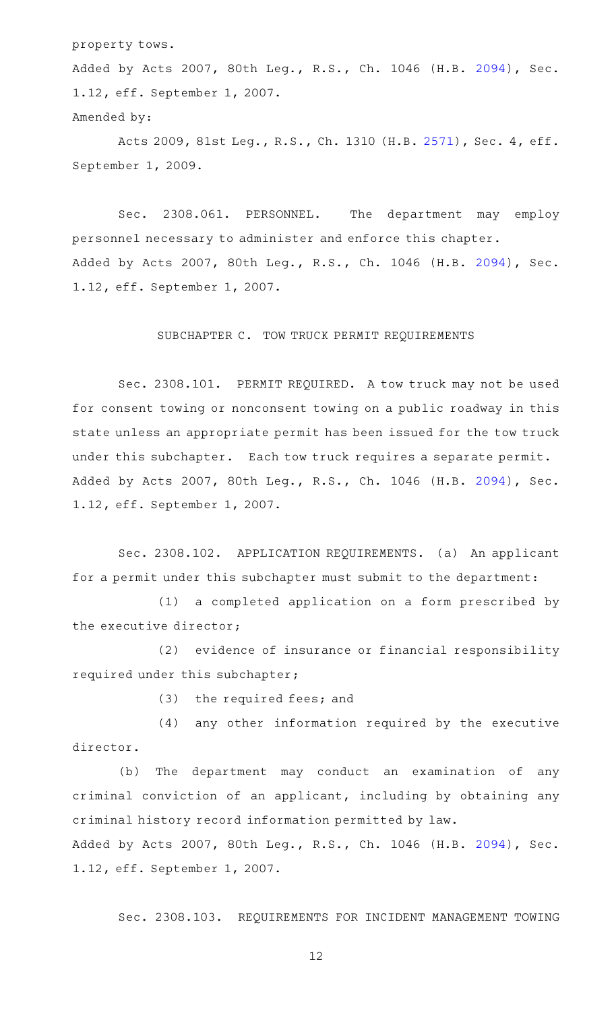property tows.

Added by Acts 2007, 80th Leg., R.S., Ch. 1046 (H.B. [2094](http://www.legis.state.tx.us/tlodocs/80R/billtext/html/HB02094F.HTM)), Sec. 1.12, eff. September 1, 2007. Amended by:

Acts 2009, 81st Leg., R.S., Ch. 1310 (H.B. [2571](http://www.legis.state.tx.us/tlodocs/81R/billtext/html/HB02571F.HTM)), Sec. 4, eff. September 1, 2009.

Sec. 2308.061. PERSONNEL. The department may employ personnel necessary to administer and enforce this chapter. Added by Acts 2007, 80th Leg., R.S., Ch. 1046 (H.B. [2094](http://www.legis.state.tx.us/tlodocs/80R/billtext/html/HB02094F.HTM)), Sec. 1.12, eff. September 1, 2007.

# SUBCHAPTER C. TOW TRUCK PERMIT REQUIREMENTS

Sec. 2308.101. PERMIT REQUIRED. A tow truck may not be used for consent towing or nonconsent towing on a public roadway in this state unless an appropriate permit has been issued for the tow truck under this subchapter. Each tow truck requires a separate permit. Added by Acts 2007, 80th Leg., R.S., Ch. 1046 (H.B. [2094](http://www.legis.state.tx.us/tlodocs/80R/billtext/html/HB02094F.HTM)), Sec. 1.12, eff. September 1, 2007.

Sec. 2308.102. APPLICATION REQUIREMENTS. (a) An applicant for a permit under this subchapter must submit to the department:

(1) a completed application on a form prescribed by the executive director;

(2) evidence of insurance or financial responsibility required under this subchapter;

 $(3)$  the required fees; and

 $(4)$  any other information required by the executive director.

(b) The department may conduct an examination of any criminal conviction of an applicant, including by obtaining any criminal history record information permitted by law.

Added by Acts 2007, 80th Leg., R.S., Ch. 1046 (H.B. [2094](http://www.legis.state.tx.us/tlodocs/80R/billtext/html/HB02094F.HTM)), Sec. 1.12, eff. September 1, 2007.

Sec. 2308.103. REQUIREMENTS FOR INCIDENT MANAGEMENT TOWING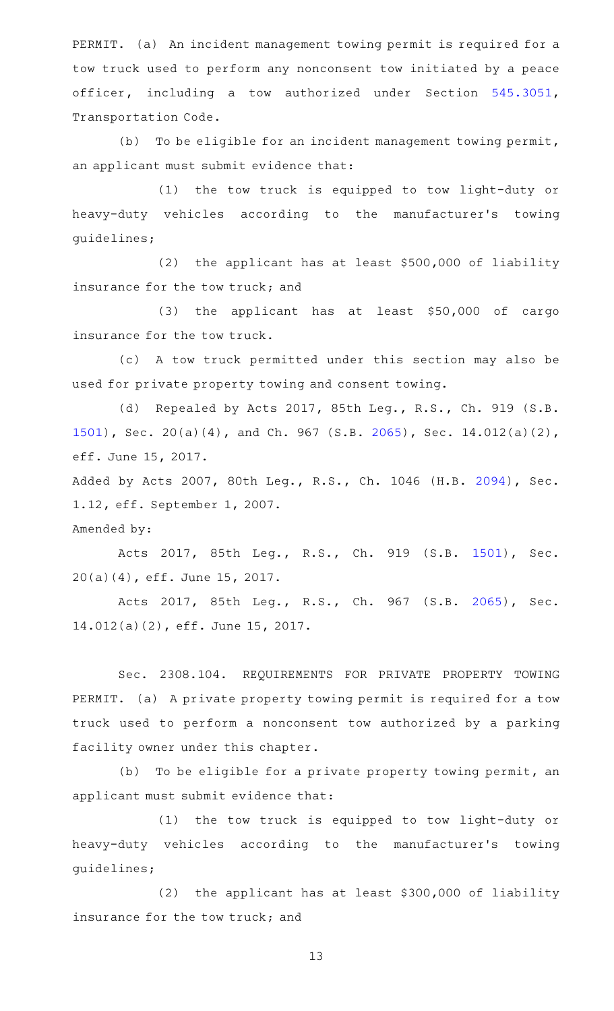PERMIT. (a) An incident management towing permit is required for a tow truck used to perform any nonconsent tow initiated by a peace officer, including a tow authorized under Section [545.3051](https://statutes.capitol.texas.gov/GetStatute.aspx?Code=TN&Value=545.3051), Transportation Code.

(b) To be eligible for an incident management towing permit, an applicant must submit evidence that:

(1) the tow truck is equipped to tow light-duty or heavy-duty vehicles according to the manufacturer 's towing guidelines;

(2) the applicant has at least  $$500,000$  of liability insurance for the tow truck; and

(3) the applicant has at least \$50,000 of cargo insurance for the tow truck.

(c) A tow truck permitted under this section may also be used for private property towing and consent towing.

(d) Repealed by Acts 2017, 85th Leg., R.S., Ch. 919 (S.B. [1501](http://www.legis.state.tx.us/tlodocs/85R/billtext/html/SB01501F.HTM)), Sec. 20(a)(4), and Ch. 967 (S.B. [2065](http://www.legis.state.tx.us/tlodocs/85R/billtext/html/SB02065F.HTM)), Sec. 14.012(a)(2), eff. June 15, 2017.

Added by Acts 2007, 80th Leg., R.S., Ch. 1046 (H.B. [2094](http://www.legis.state.tx.us/tlodocs/80R/billtext/html/HB02094F.HTM)), Sec. 1.12, eff. September 1, 2007.

Amended by:

Acts 2017, 85th Leg., R.S., Ch. 919 (S.B. [1501\)](http://www.legis.state.tx.us/tlodocs/85R/billtext/html/SB01501F.HTM), Sec. 20(a)(4), eff. June 15, 2017.

Acts 2017, 85th Leg., R.S., Ch. 967 (S.B. [2065\)](http://www.legis.state.tx.us/tlodocs/85R/billtext/html/SB02065F.HTM), Sec. 14.012(a)(2), eff. June 15, 2017.

Sec. 2308.104. REQUIREMENTS FOR PRIVATE PROPERTY TOWING PERMIT. (a) A private property towing permit is required for a tow truck used to perform a nonconsent tow authorized by a parking facility owner under this chapter.

(b) To be eligible for a private property towing permit, an applicant must submit evidence that:

(1) the tow truck is equipped to tow light-duty or heavy-duty vehicles according to the manufacturer's towing guidelines;

(2) the applicant has at least \$300,000 of liability insurance for the tow truck; and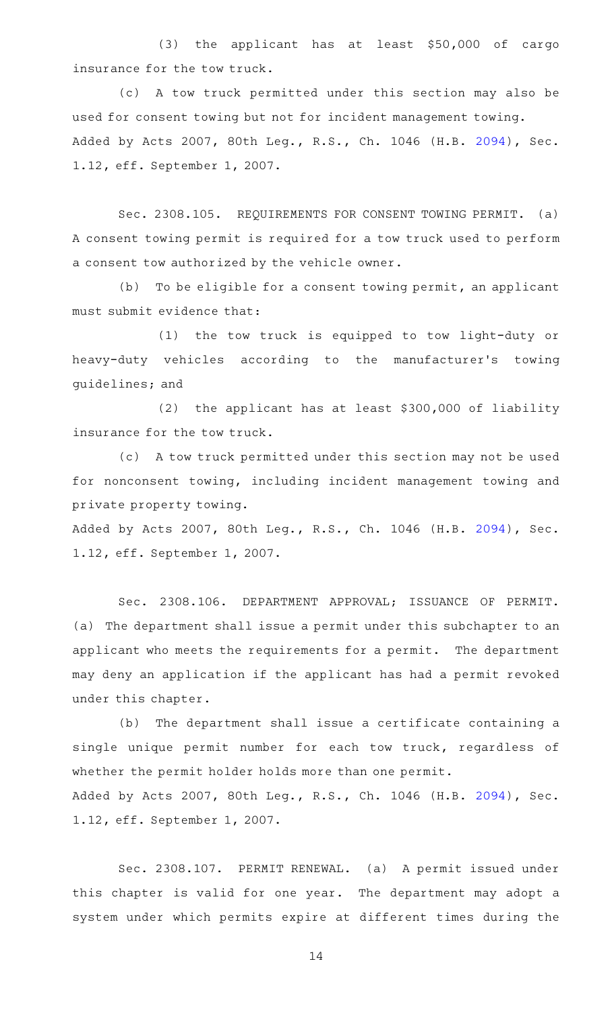(3) the applicant has at least \$50,000 of cargo insurance for the tow truck.

(c) A tow truck permitted under this section may also be used for consent towing but not for incident management towing. Added by Acts 2007, 80th Leg., R.S., Ch. 1046 (H.B. [2094](http://www.legis.state.tx.us/tlodocs/80R/billtext/html/HB02094F.HTM)), Sec. 1.12, eff. September 1, 2007.

Sec. 2308.105. REQUIREMENTS FOR CONSENT TOWING PERMIT. (a) A consent towing permit is required for a tow truck used to perform a consent tow authorized by the vehicle owner.

 $(b)$  To be eligible for a consent towing permit, an applicant must submit evidence that:

(1) the tow truck is equipped to tow light-duty or heavy-duty vehicles according to the manufacturer's towing guidelines; and

 $(2)$  the applicant has at least \$300,000 of liability insurance for the tow truck.

(c) A tow truck permitted under this section may not be used for nonconsent towing, including incident management towing and private property towing.

Added by Acts 2007, 80th Leg., R.S., Ch. 1046 (H.B. [2094](http://www.legis.state.tx.us/tlodocs/80R/billtext/html/HB02094F.HTM)), Sec. 1.12, eff. September 1, 2007.

Sec. 2308.106. DEPARTMENT APPROVAL; ISSUANCE OF PERMIT. (a) The department shall issue a permit under this subchapter to an applicant who meets the requirements for a permit. The department may deny an application if the applicant has had a permit revoked under this chapter.

(b) The department shall issue a certificate containing a single unique permit number for each tow truck, regardless of whether the permit holder holds more than one permit. Added by Acts 2007, 80th Leg., R.S., Ch. 1046 (H.B. [2094](http://www.legis.state.tx.us/tlodocs/80R/billtext/html/HB02094F.HTM)), Sec. 1.12, eff. September 1, 2007.

Sec. 2308.107. PERMIT RENEWAL. (a) A permit issued under this chapter is valid for one year. The department may adopt a system under which permits expire at different times during the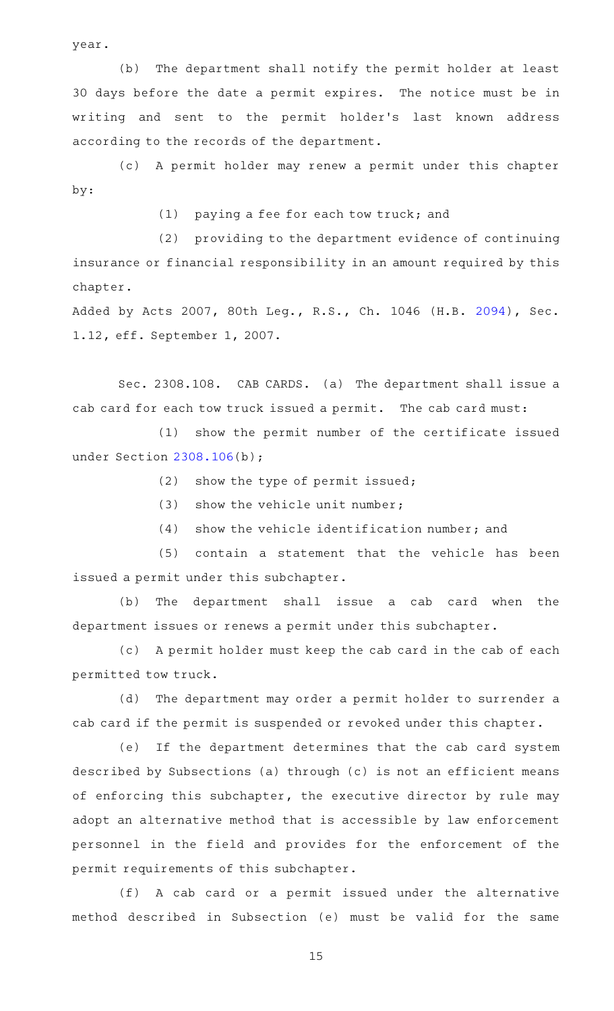year.

(b) The department shall notify the permit holder at least 30 days before the date a permit expires. The notice must be in writing and sent to the permit holder 's last known address according to the records of the department.

(c)AAA permit holder may renew a permit under this chapter by:

(1) paying a fee for each tow truck; and

(2) providing to the department evidence of continuing insurance or financial responsibility in an amount required by this chapter.

Added by Acts 2007, 80th Leg., R.S., Ch. 1046 (H.B. [2094](http://www.legis.state.tx.us/tlodocs/80R/billtext/html/HB02094F.HTM)), Sec. 1.12, eff. September 1, 2007.

Sec. 2308.108. CAB CARDS. (a) The department shall issue a cab card for each tow truck issued a permit. The cab card must:

(1) show the permit number of the certificate issued under Section [2308.106](https://statutes.capitol.texas.gov/GetStatute.aspx?Code=OC&Value=2308.106)(b);

 $(2)$  show the type of permit issued;

 $(3)$  show the vehicle unit number;

 $(4)$  show the vehicle identification number; and

(5) contain a statement that the vehicle has been issued a permit under this subchapter.

(b) The department shall issue a cab card when the department issues or renews a permit under this subchapter.

(c) A permit holder must keep the cab card in the cab of each permitted tow truck.

(d) The department may order a permit holder to surrender a cab card if the permit is suspended or revoked under this chapter.

(e) If the department determines that the cab card system described by Subsections (a) through (c) is not an efficient means of enforcing this subchapter, the executive director by rule may adopt an alternative method that is accessible by law enforcement personnel in the field and provides for the enforcement of the permit requirements of this subchapter.

(f) A cab card or a permit issued under the alternative method described in Subsection (e) must be valid for the same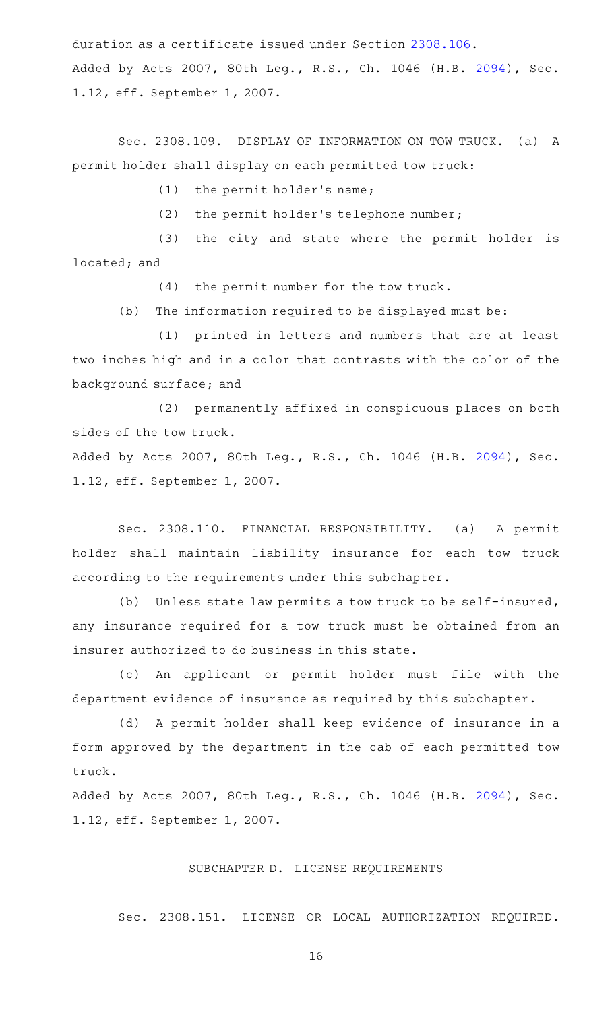duration as a certificate issued under Section [2308.106.](https://statutes.capitol.texas.gov/GetStatute.aspx?Code=OC&Value=2308.106) Added by Acts 2007, 80th Leg., R.S., Ch. 1046 (H.B. [2094](http://www.legis.state.tx.us/tlodocs/80R/billtext/html/HB02094F.HTM)), Sec. 1.12, eff. September 1, 2007.

Sec. 2308.109. DISPLAY OF INFORMATION ON TOW TRUCK. (a) A permit holder shall display on each permitted tow truck:

(1) the permit holder's name;

(2) the permit holder's telephone number;

(3) the city and state where the permit holder is located; and

 $(4)$  the permit number for the tow truck.

(b) The information required to be displayed must be:

(1) printed in letters and numbers that are at least two inches high and in a color that contrasts with the color of the background surface; and

(2) permanently affixed in conspicuous places on both sides of the tow truck.

Added by Acts 2007, 80th Leg., R.S., Ch. 1046 (H.B. [2094](http://www.legis.state.tx.us/tlodocs/80R/billtext/html/HB02094F.HTM)), Sec. 1.12, eff. September 1, 2007.

Sec. 2308.110. FINANCIAL RESPONSIBILITY. (a) A permit holder shall maintain liability insurance for each tow truck according to the requirements under this subchapter.

(b) Unless state law permits a tow truck to be self-insured, any insurance required for a tow truck must be obtained from an insurer authorized to do business in this state.

(c) An applicant or permit holder must file with the department evidence of insurance as required by this subchapter.

(d) A permit holder shall keep evidence of insurance in a form approved by the department in the cab of each permitted tow truck.

Added by Acts 2007, 80th Leg., R.S., Ch. 1046 (H.B. [2094](http://www.legis.state.tx.us/tlodocs/80R/billtext/html/HB02094F.HTM)), Sec. 1.12, eff. September 1, 2007.

## SUBCHAPTER D. LICENSE REQUIREMENTS

Sec. 2308.151. LICENSE OR LOCAL AUTHORIZATION REQUIRED.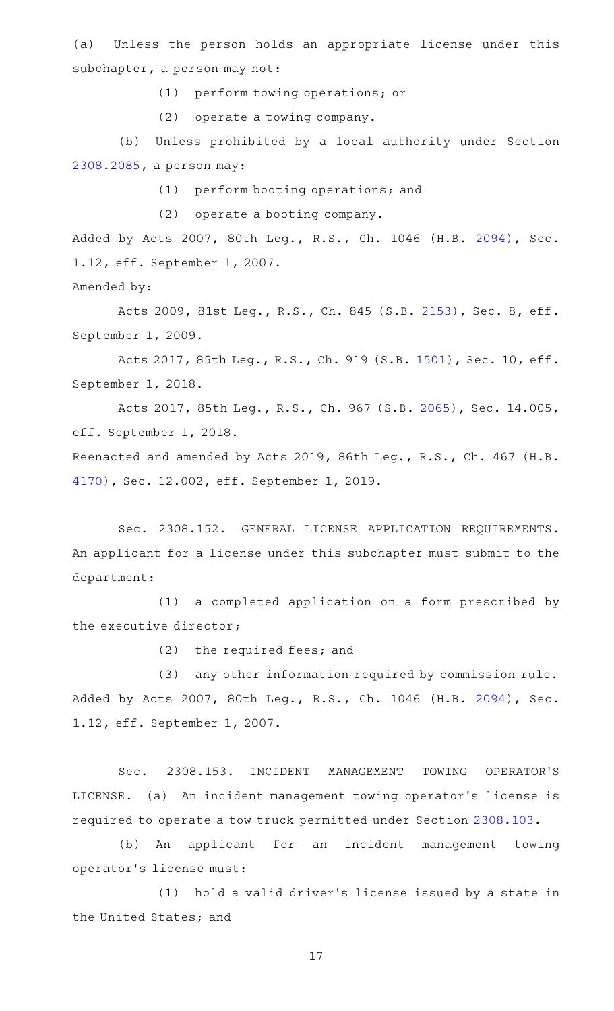(a) Unless the person holds an appropriate license under this subchapter, a person may not:

(1) perform towing operations; or

(2) operate a towing company.

(b) Unless prohibited by a local authority under Section [2308.2085,](https://statutes.capitol.texas.gov/GetStatute.aspx?Code=OC&Value=2308.2085) a person may:

(1) perform booting operations; and

(2) operate a booting company.

Added by Acts 2007, 80th Leg., R.S., Ch. 1046 (H.B. [2094](http://www.legis.state.tx.us/tlodocs/80R/billtext/html/HB02094F.HTM)), Sec. 1.12, eff. September 1, 2007.

Amended by:

Acts 2009, 81st Leg., R.S., Ch. 845 (S.B. [2153](http://www.legis.state.tx.us/tlodocs/81R/billtext/html/SB02153F.HTM)), Sec. 8, eff. September 1, 2009.

Acts 2017, 85th Leg., R.S., Ch. 919 (S.B. [1501\)](http://www.legis.state.tx.us/tlodocs/85R/billtext/html/SB01501F.HTM), Sec. 10, eff. September 1, 2018.

Acts 2017, 85th Leg., R.S., Ch. 967 (S.B. [2065\)](http://www.legis.state.tx.us/tlodocs/85R/billtext/html/SB02065F.HTM), Sec. 14.005, eff. September 1, 2018.

Reenacted and amended by Acts 2019, 86th Leg., R.S., Ch. 467 (H.B. [4170](http://www.legis.state.tx.us/tlodocs/86R/billtext/html/HB04170F.HTM)), Sec. 12.002, eff. September 1, 2019.

Sec. 2308.152. GENERAL LICENSE APPLICATION REQUIREMENTS. An applicant for a license under this subchapter must submit to the department:

(1) a completed application on a form prescribed by the executive director;

(2) the required fees; and

(3) any other information required by commission rule. Added by Acts 2007, 80th Leg., R.S., Ch. 1046 (H.B. [2094](http://www.legis.state.tx.us/tlodocs/80R/billtext/html/HB02094F.HTM)), Sec. 1.12, eff. September 1, 2007.

Sec. 2308.153. INCIDENT MANAGEMENT TOWING OPERATOR'S LICENSE. (a) An incident management towing operator 's license is required to operate a tow truck permitted under Section [2308.103](https://statutes.capitol.texas.gov/GetStatute.aspx?Code=OC&Value=2308.103).

(b) An applicant for an incident management towing operator 's license must:

(1) hold a valid driver's license issued by a state in the United States; and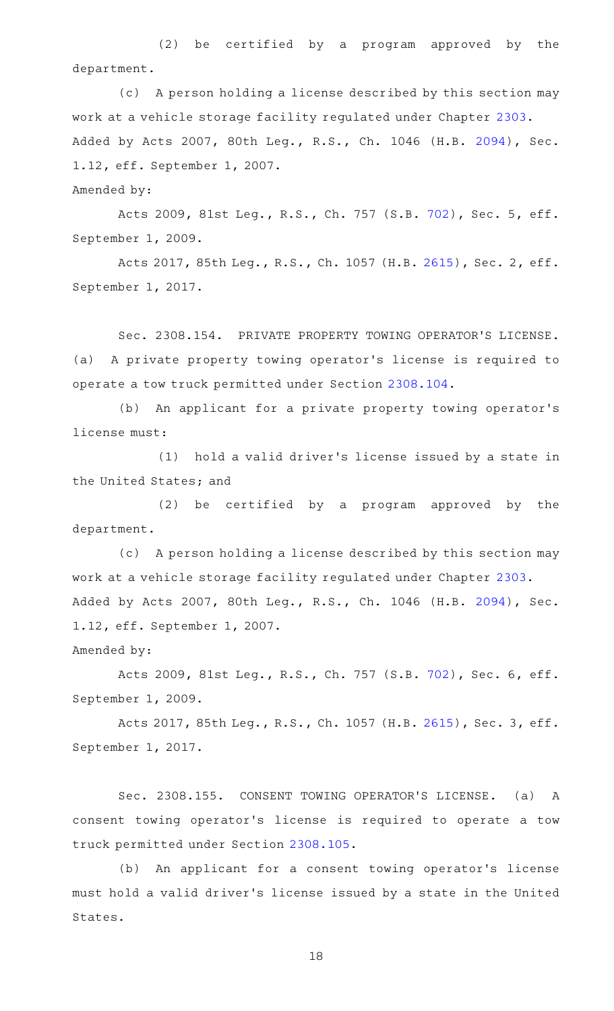$(2)$  be certified by a program approved by the department.

(c) A person holding a license described by this section may work at a vehicle storage facility regulated under Chapter [2303.](https://statutes.capitol.texas.gov/GetStatute.aspx?Code=OC&Value=2303) Added by Acts 2007, 80th Leg., R.S., Ch. 1046 (H.B. [2094](http://www.legis.state.tx.us/tlodocs/80R/billtext/html/HB02094F.HTM)), Sec. 1.12, eff. September 1, 2007.

Amended by:

Acts 2009, 81st Leg., R.S., Ch. 757 (S.B. [702](http://www.legis.state.tx.us/tlodocs/81R/billtext/html/SB00702F.HTM)), Sec. 5, eff. September 1, 2009.

Acts 2017, 85th Leg., R.S., Ch. 1057 (H.B. [2615](http://www.legis.state.tx.us/tlodocs/85R/billtext/html/HB02615F.HTM)), Sec. 2, eff. September 1, 2017.

Sec. 2308.154. PRIVATE PROPERTY TOWING OPERATOR'S LICENSE. (a) A private property towing operator 's license is required to operate a tow truck permitted under Section [2308.104.](https://statutes.capitol.texas.gov/GetStatute.aspx?Code=OC&Value=2308.104)

(b) An applicant for a private property towing operator's license must:

(1) hold a valid driver's license issued by a state in the United States; and

 $(2)$  be certified by a program approved by the department.

(c) A person holding a license described by this section may work at a vehicle storage facility regulated under Chapter [2303.](https://statutes.capitol.texas.gov/GetStatute.aspx?Code=OC&Value=2303) Added by Acts 2007, 80th Leg., R.S., Ch. 1046 (H.B. [2094](http://www.legis.state.tx.us/tlodocs/80R/billtext/html/HB02094F.HTM)), Sec. 1.12, eff. September 1, 2007.

Amended by:

Acts 2009, 81st Leg., R.S., Ch. 757 (S.B. [702](http://www.legis.state.tx.us/tlodocs/81R/billtext/html/SB00702F.HTM)), Sec. 6, eff. September 1, 2009.

Acts 2017, 85th Leg., R.S., Ch. 1057 (H.B. [2615](http://www.legis.state.tx.us/tlodocs/85R/billtext/html/HB02615F.HTM)), Sec. 3, eff. September 1, 2017.

Sec. 2308.155. CONSENT TOWING OPERATOR'S LICENSE. (a) A consent towing operator 's license is required to operate a tow truck permitted under Section [2308.105.](https://statutes.capitol.texas.gov/GetStatute.aspx?Code=OC&Value=2308.105)

(b) An applicant for a consent towing operator's license must hold a valid driver 's license issued by a state in the United States.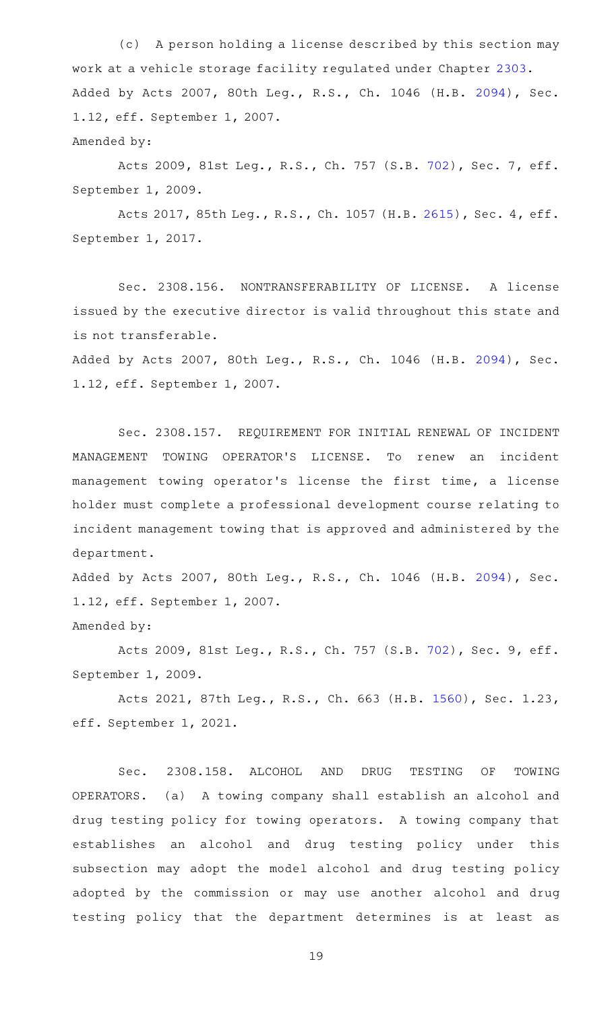(c) A person holding a license described by this section may work at a vehicle storage facility regulated under Chapter [2303.](https://statutes.capitol.texas.gov/GetStatute.aspx?Code=OC&Value=2303) Added by Acts 2007, 80th Leg., R.S., Ch. 1046 (H.B. [2094](http://www.legis.state.tx.us/tlodocs/80R/billtext/html/HB02094F.HTM)), Sec. 1.12, eff. September 1, 2007. Amended by:

Acts 2009, 81st Leg., R.S., Ch. 757 (S.B. [702](http://www.legis.state.tx.us/tlodocs/81R/billtext/html/SB00702F.HTM)), Sec. 7, eff. September 1, 2009.

Acts 2017, 85th Leg., R.S., Ch. 1057 (H.B. [2615](http://www.legis.state.tx.us/tlodocs/85R/billtext/html/HB02615F.HTM)), Sec. 4, eff. September 1, 2017.

Sec. 2308.156. NONTRANSFERABILITY OF LICENSE. A license issued by the executive director is valid throughout this state and is not transferable. Added by Acts 2007, 80th Leg., R.S., Ch. 1046 (H.B. [2094](http://www.legis.state.tx.us/tlodocs/80R/billtext/html/HB02094F.HTM)), Sec. 1.12, eff. September 1, 2007.

Sec. 2308.157. REQUIREMENT FOR INITIAL RENEWAL OF INCIDENT MANAGEMENT TOWING OPERATOR'S LICENSE. To renew an incident management towing operator 's license the first time, a license holder must complete a professional development course relating to incident management towing that is approved and administered by the department.

Added by Acts 2007, 80th Leg., R.S., Ch. 1046 (H.B. [2094](http://www.legis.state.tx.us/tlodocs/80R/billtext/html/HB02094F.HTM)), Sec. 1.12, eff. September 1, 2007.

Amended by:

Acts 2009, 81st Leg., R.S., Ch. 757 (S.B. [702](http://www.legis.state.tx.us/tlodocs/81R/billtext/html/SB00702F.HTM)), Sec. 9, eff. September 1, 2009.

Acts 2021, 87th Leg., R.S., Ch. 663 (H.B. [1560\)](http://www.legis.state.tx.us/tlodocs/87R/billtext/html/HB01560F.HTM), Sec. 1.23, eff. September 1, 2021.

Sec. 2308.158. ALCOHOL AND DRUG TESTING OF TOWING OPERATORS. (a) A towing company shall establish an alcohol and drug testing policy for towing operators. A towing company that establishes an alcohol and drug testing policy under this subsection may adopt the model alcohol and drug testing policy adopted by the commission or may use another alcohol and drug testing policy that the department determines is at least as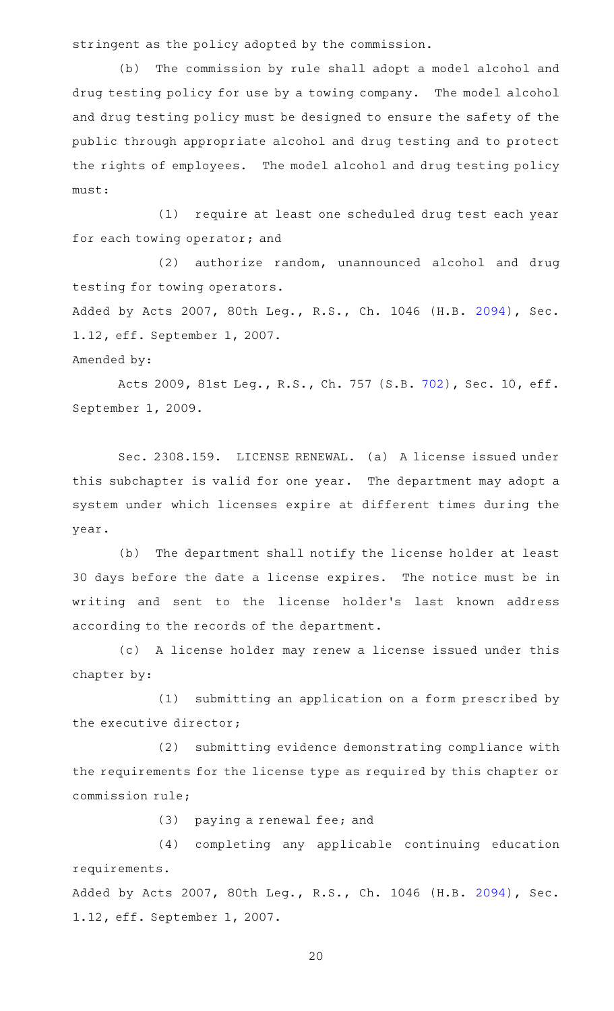stringent as the policy adopted by the commission.

(b) The commission by rule shall adopt a model alcohol and drug testing policy for use by a towing company. The model alcohol and drug testing policy must be designed to ensure the safety of the public through appropriate alcohol and drug testing and to protect the rights of employees. The model alcohol and drug testing policy must:

(1) require at least one scheduled drug test each year for each towing operator; and

(2) authorize random, unannounced alcohol and drug testing for towing operators.

Added by Acts 2007, 80th Leg., R.S., Ch. 1046 (H.B. [2094](http://www.legis.state.tx.us/tlodocs/80R/billtext/html/HB02094F.HTM)), Sec. 1.12, eff. September 1, 2007.

Amended by:

Acts 2009, 81st Leg., R.S., Ch. 757 (S.B. [702\)](http://www.legis.state.tx.us/tlodocs/81R/billtext/html/SB00702F.HTM), Sec. 10, eff. September 1, 2009.

Sec. 2308.159. LICENSE RENEWAL. (a) A license issued under this subchapter is valid for one year. The department may adopt a system under which licenses expire at different times during the year.

(b) The department shall notify the license holder at least 30 days before the date a license expires. The notice must be in writing and sent to the license holder 's last known address according to the records of the department.

(c)AAA license holder may renew a license issued under this chapter by:

(1) submitting an application on a form prescribed by the executive director;

(2) submitting evidence demonstrating compliance with the requirements for the license type as required by this chapter or commission rule;

(3) paying a renewal fee; and

(4) completing any applicable continuing education requirements.

Added by Acts 2007, 80th Leg., R.S., Ch. 1046 (H.B. [2094](http://www.legis.state.tx.us/tlodocs/80R/billtext/html/HB02094F.HTM)), Sec. 1.12, eff. September 1, 2007.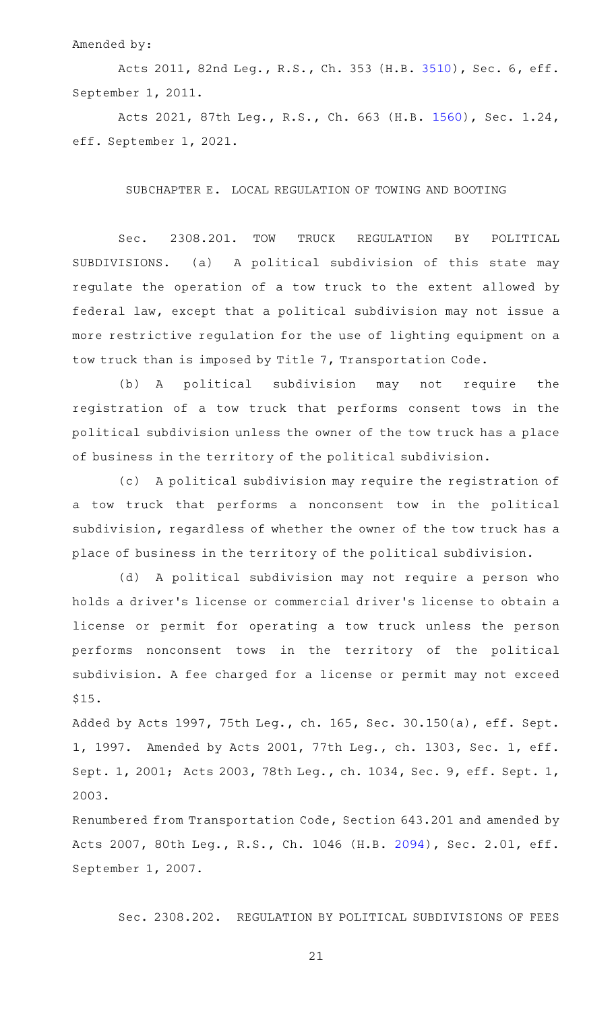### Amended by:

Acts 2011, 82nd Leg., R.S., Ch. 353 (H.B. [3510](http://www.legis.state.tx.us/tlodocs/82R/billtext/html/HB03510F.HTM)), Sec. 6, eff. September 1, 2011.

Acts 2021, 87th Leg., R.S., Ch. 663 (H.B. [1560\)](http://www.legis.state.tx.us/tlodocs/87R/billtext/html/HB01560F.HTM), Sec. 1.24, eff. September 1, 2021.

SUBCHAPTER E. LOCAL REGULATION OF TOWING AND BOOTING

Sec. 2308.201. TOW TRUCK REGULATION BY POLITICAL SUBDIVISIONS. (a) A political subdivision of this state may regulate the operation of a tow truck to the extent allowed by federal law, except that a political subdivision may not issue a more restrictive regulation for the use of lighting equipment on a tow truck than is imposed by Title 7, Transportation Code.

(b) A political subdivision may not require the registration of a tow truck that performs consent tows in the political subdivision unless the owner of the tow truck has a place of business in the territory of the political subdivision.

(c) A political subdivision may require the registration of a tow truck that performs a nonconsent tow in the political subdivision, regardless of whether the owner of the tow truck has a place of business in the territory of the political subdivision.

(d) A political subdivision may not require a person who holds a driver 's license or commercial driver 's license to obtain a license or permit for operating a tow truck unless the person performs nonconsent tows in the territory of the political subdivision. A fee charged for a license or permit may not exceed \$15.

Added by Acts 1997, 75th Leg., ch. 165, Sec. 30.150(a), eff. Sept. 1, 1997. Amended by Acts 2001, 77th Leg., ch. 1303, Sec. 1, eff. Sept. 1, 2001; Acts 2003, 78th Leg., ch. 1034, Sec. 9, eff. Sept. 1, 2003.

Renumbered from Transportation Code, Section 643.201 and amended by Acts 2007, 80th Leg., R.S., Ch. 1046 (H.B. [2094](http://www.legis.state.tx.us/tlodocs/80R/billtext/html/HB02094F.HTM)), Sec. 2.01, eff. September 1, 2007.

Sec. 2308.202. REGULATION BY POLITICAL SUBDIVISIONS OF FEES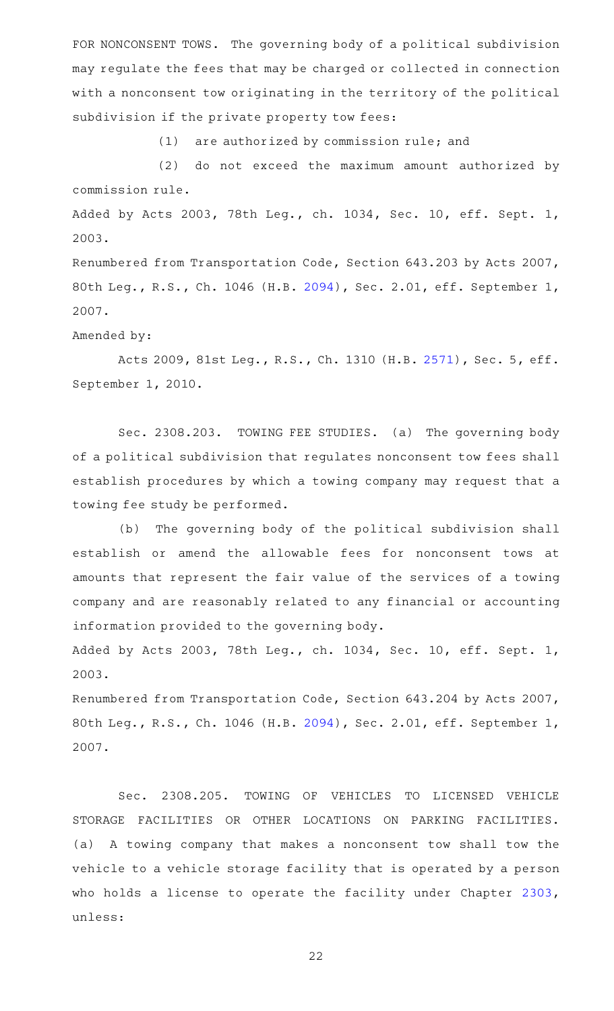FOR NONCONSENT TOWS. The governing body of a political subdivision may regulate the fees that may be charged or collected in connection with a nonconsent tow originating in the territory of the political subdivision if the private property tow fees:

 $(1)$  are authorized by commission rule; and

(2) do not exceed the maximum amount authorized by commission rule.

Added by Acts 2003, 78th Leg., ch. 1034, Sec. 10, eff. Sept. 1, 2003.

Renumbered from Transportation Code, Section 643.203 by Acts 2007, 80th Leg., R.S., Ch. 1046 (H.B. [2094\)](http://www.legis.state.tx.us/tlodocs/80R/billtext/html/HB02094F.HTM), Sec. 2.01, eff. September 1, 2007.

Amended by:

Acts 2009, 81st Leg., R.S., Ch. 1310 (H.B. [2571](http://www.legis.state.tx.us/tlodocs/81R/billtext/html/HB02571F.HTM)), Sec. 5, eff. September 1, 2010.

Sec. 2308.203. TOWING FEE STUDIES. (a) The governing body of a political subdivision that regulates nonconsent tow fees shall establish procedures by which a towing company may request that a towing fee study be performed.

(b) The governing body of the political subdivision shall establish or amend the allowable fees for nonconsent tows at amounts that represent the fair value of the services of a towing company and are reasonably related to any financial or accounting information provided to the governing body.

Added by Acts 2003, 78th Leg., ch. 1034, Sec. 10, eff. Sept. 1, 2003.

Renumbered from Transportation Code, Section 643.204 by Acts 2007, 80th Leg., R.S., Ch. 1046 (H.B. [2094\)](http://www.legis.state.tx.us/tlodocs/80R/billtext/html/HB02094F.HTM), Sec. 2.01, eff. September 1, 2007.

Sec. 2308.205. TOWING OF VEHICLES TO LICENSED VEHICLE STORAGE FACILITIES OR OTHER LOCATIONS ON PARKING FACILITIES. (a) A towing company that makes a nonconsent tow shall tow the vehicle to a vehicle storage facility that is operated by a person who holds a license to operate the facility under Chapter [2303](https://statutes.capitol.texas.gov/GetStatute.aspx?Code=OC&Value=2303), unless: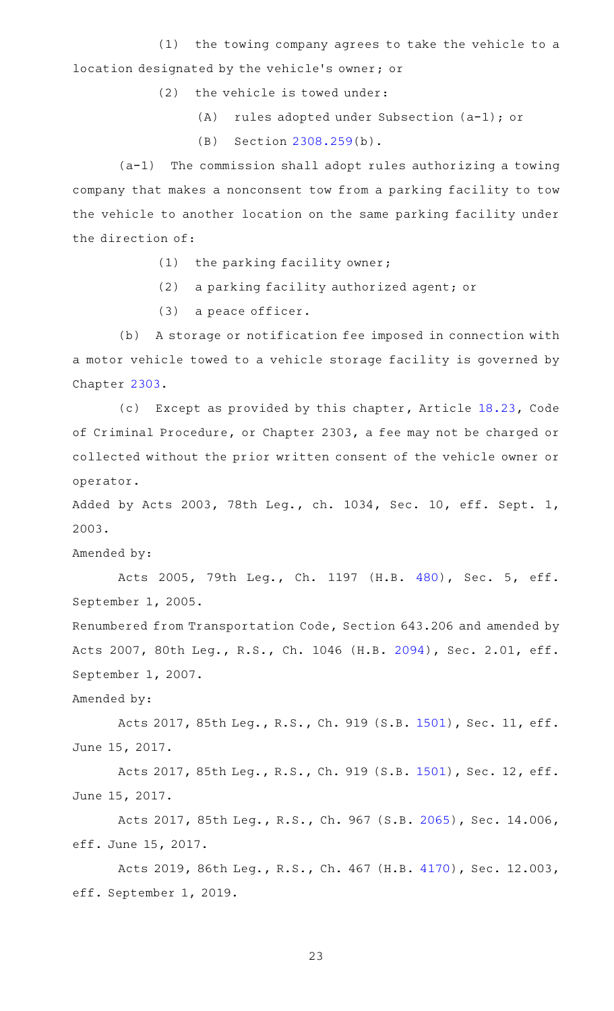(1) the towing company agrees to take the vehicle to a location designated by the vehicle 's owner; or

 $(2)$  the vehicle is towed under:

- (A) rules adopted under Subsection  $(a-1)$ ; or
- $(B)$  Section [2308.259\(](https://statutes.capitol.texas.gov/GetStatute.aspx?Code=OC&Value=2308.259)b).

 $(a-1)$  The commission shall adopt rules authorizing a towing company that makes a nonconsent tow from a parking facility to tow the vehicle to another location on the same parking facility under the direction of:

- $(1)$  the parking facility owner;
- (2) a parking facility authorized agent; or
- $(3)$  a peace officer.

(b) A storage or notification fee imposed in connection with a motor vehicle towed to a vehicle storage facility is governed by Chapter [2303](https://statutes.capitol.texas.gov/GetStatute.aspx?Code=OC&Value=2303).

(c) Except as provided by this chapter, Article [18.23](https://statutes.capitol.texas.gov/GetStatute.aspx?Code=CR&Value=18.23), Code of Criminal Procedure, or Chapter 2303, a fee may not be charged or collected without the prior written consent of the vehicle owner or operator.

Added by Acts 2003, 78th Leg., ch. 1034, Sec. 10, eff. Sept. 1, 2003.

Amended by:

Acts 2005, 79th Leg., Ch. 1197 (H.B. [480](http://www.legis.state.tx.us/tlodocs/79R/billtext/html/HB00480F.HTM)), Sec. 5, eff. September 1, 2005.

Renumbered from Transportation Code, Section 643.206 and amended by Acts 2007, 80th Leg., R.S., Ch. 1046 (H.B. [2094](http://www.legis.state.tx.us/tlodocs/80R/billtext/html/HB02094F.HTM)), Sec. 2.01, eff. September 1, 2007.

Amended by:

Acts 2017, 85th Leg., R.S., Ch. 919 (S.B. [1501\)](http://www.legis.state.tx.us/tlodocs/85R/billtext/html/SB01501F.HTM), Sec. 11, eff. June 15, 2017.

Acts 2017, 85th Leg., R.S., Ch. 919 (S.B. [1501\)](http://www.legis.state.tx.us/tlodocs/85R/billtext/html/SB01501F.HTM), Sec. 12, eff. June 15, 2017.

Acts 2017, 85th Leg., R.S., Ch. 967 (S.B. [2065\)](http://www.legis.state.tx.us/tlodocs/85R/billtext/html/SB02065F.HTM), Sec. 14.006, eff. June 15, 2017.

Acts 2019, 86th Leg., R.S., Ch. 467 (H.B. [4170\)](http://www.legis.state.tx.us/tlodocs/86R/billtext/html/HB04170F.HTM), Sec. 12.003, eff. September 1, 2019.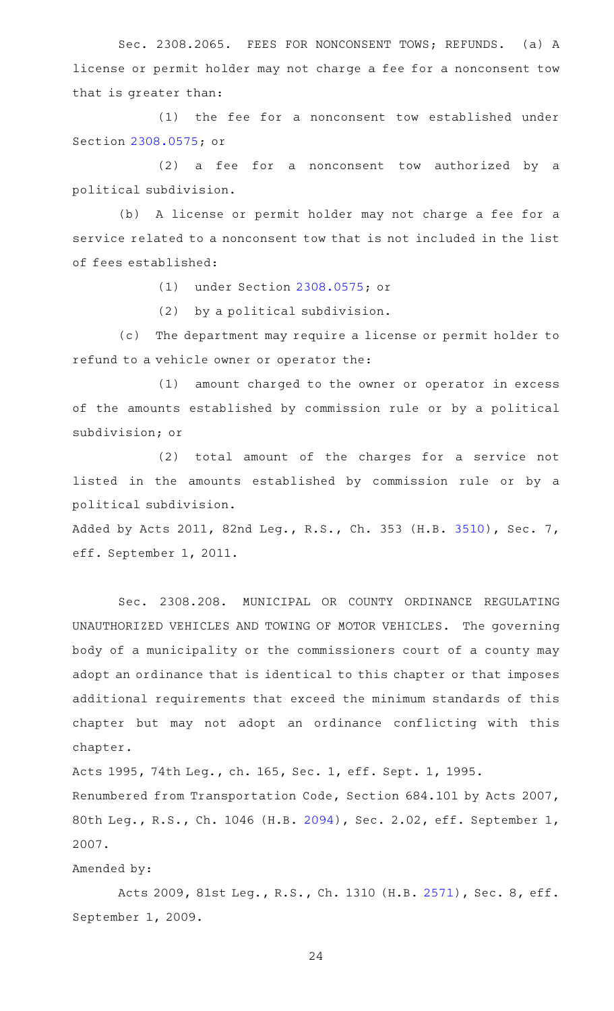Sec. 2308.2065. FEES FOR NONCONSENT TOWS; REFUNDS. (a) A license or permit holder may not charge a fee for a nonconsent tow that is greater than:

(1) the fee for a nonconsent tow established under Section [2308.0575;](https://statutes.capitol.texas.gov/GetStatute.aspx?Code=OC&Value=2308.0575) or

 $(2)$  a fee for a nonconsent tow authorized by a political subdivision.

(b) A license or permit holder may not charge a fee for a service related to a nonconsent tow that is not included in the list of fees established:

(1) under Section [2308.0575;](https://statutes.capitol.texas.gov/GetStatute.aspx?Code=OC&Value=2308.0575) or

(2) by a political subdivision.

(c) The department may require a license or permit holder to refund to a vehicle owner or operator the:

(1) amount charged to the owner or operator in excess of the amounts established by commission rule or by a political subdivision; or

 $(2)$  total amount of the charges for a service not listed in the amounts established by commission rule or by a political subdivision.

Added by Acts 2011, 82nd Leg., R.S., Ch. 353 (H.B. [3510](http://www.legis.state.tx.us/tlodocs/82R/billtext/html/HB03510F.HTM)), Sec. 7, eff. September 1, 2011.

Sec. 2308.208. MUNICIPAL OR COUNTY ORDINANCE REGULATING UNAUTHORIZED VEHICLES AND TOWING OF MOTOR VEHICLES. The governing body of a municipality or the commissioners court of a county may adopt an ordinance that is identical to this chapter or that imposes additional requirements that exceed the minimum standards of this chapter but may not adopt an ordinance conflicting with this chapter.

Acts 1995, 74th Leg., ch. 165, Sec. 1, eff. Sept. 1, 1995. Renumbered from Transportation Code, Section 684.101 by Acts 2007, 80th Leg., R.S., Ch. 1046 (H.B. [2094\)](http://www.legis.state.tx.us/tlodocs/80R/billtext/html/HB02094F.HTM), Sec. 2.02, eff. September 1, 2007.

#### Amended by:

Acts 2009, 81st Leg., R.S., Ch. 1310 (H.B. [2571](http://www.legis.state.tx.us/tlodocs/81R/billtext/html/HB02571F.HTM)), Sec. 8, eff. September 1, 2009.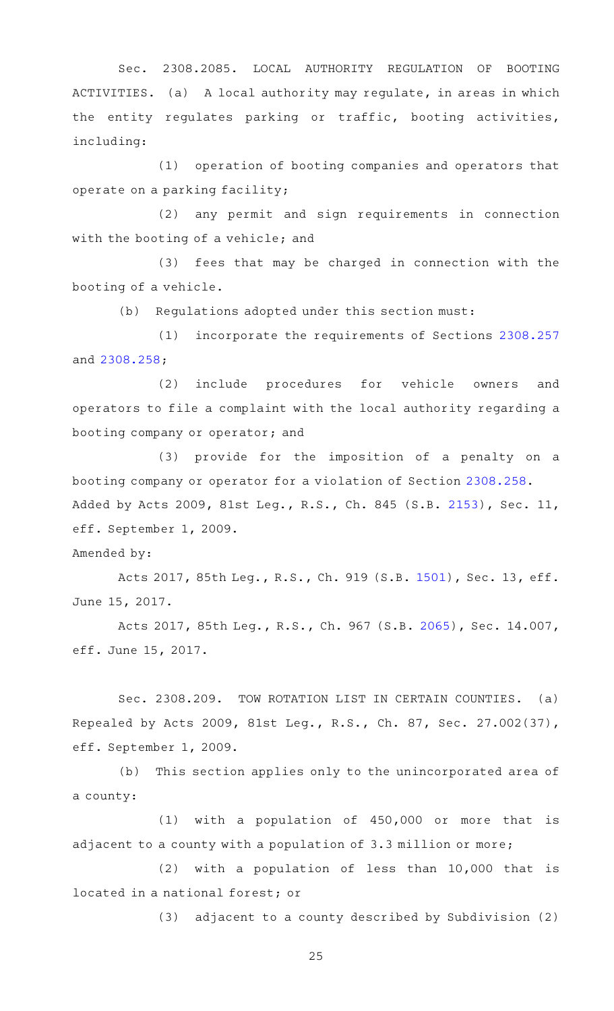Sec. 2308.2085. LOCAL AUTHORITY REGULATION OF BOOTING ACTIVITIES. (a) A local authority may regulate, in areas in which the entity regulates parking or traffic, booting activities, including:

 $(1)$  operation of booting companies and operators that operate on a parking facility;

(2) any permit and sign requirements in connection with the booting of a vehicle; and

(3) fees that may be charged in connection with the booting of a vehicle.

(b) Regulations adopted under this section must:

(1) incorporate the requirements of Sections [2308.257](https://statutes.capitol.texas.gov/GetStatute.aspx?Code=OC&Value=2308.257) and [2308.258](https://statutes.capitol.texas.gov/GetStatute.aspx?Code=OC&Value=2308.258);

(2) include procedures for vehicle owners and operators to file a complaint with the local authority regarding a booting company or operator; and

(3) provide for the imposition of a penalty on a booting company or operator for a violation of Section [2308.258.](https://statutes.capitol.texas.gov/GetStatute.aspx?Code=OC&Value=2308.258) Added by Acts 2009, 81st Leg., R.S., Ch. 845 (S.B. [2153\)](http://www.legis.state.tx.us/tlodocs/81R/billtext/html/SB02153F.HTM), Sec. 11, eff. September 1, 2009.

Amended by:

Acts 2017, 85th Leg., R.S., Ch. 919 (S.B. [1501\)](http://www.legis.state.tx.us/tlodocs/85R/billtext/html/SB01501F.HTM), Sec. 13, eff. June 15, 2017.

Acts 2017, 85th Leg., R.S., Ch. 967 (S.B. [2065\)](http://www.legis.state.tx.us/tlodocs/85R/billtext/html/SB02065F.HTM), Sec. 14.007, eff. June 15, 2017.

Sec. 2308.209. TOW ROTATION LIST IN CERTAIN COUNTIES. (a) Repealed by Acts 2009, 81st Leg., R.S., Ch. 87, Sec. 27.002(37), eff. September 1, 2009.

(b) This section applies only to the unincorporated area of a county:

 $(1)$  with a population of 450,000 or more that is adjacent to a county with a population of 3.3 million or more;

 $(2)$  with a population of less than 10,000 that is located in a national forest; or

(3) adjacent to a county described by Subdivision (2)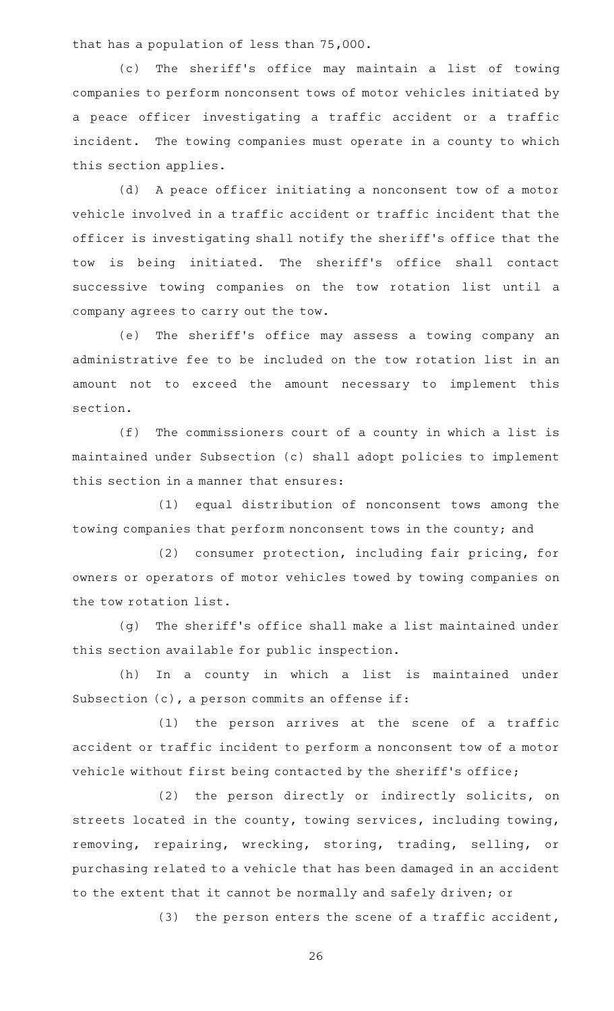that has a population of less than 75,000.

(c) The sheriff's office may maintain a list of towing companies to perform nonconsent tows of motor vehicles initiated by a peace officer investigating a traffic accident or a traffic incident. The towing companies must operate in a county to which this section applies.

(d) A peace officer initiating a nonconsent tow of a motor vehicle involved in a traffic accident or traffic incident that the officer is investigating shall notify the sheriff 's office that the tow is being initiated. The sheriff's office shall contact successive towing companies on the tow rotation list until a company agrees to carry out the tow.

(e) The sheriff's office may assess a towing company an administrative fee to be included on the tow rotation list in an amount not to exceed the amount necessary to implement this section.

 $(f)$  The commissioners court of a county in which a list is maintained under Subsection (c) shall adopt policies to implement this section in a manner that ensures:

(1) equal distribution of nonconsent tows among the towing companies that perform nonconsent tows in the county; and

(2) consumer protection, including fair pricing, for owners or operators of motor vehicles towed by towing companies on the tow rotation list.

(g) The sheriff's office shall make a list maintained under this section available for public inspection.

(h) In a county in which a list is maintained under Subsection (c), a person commits an offense if:

 $(1)$  the person arrives at the scene of a traffic accident or traffic incident to perform a nonconsent tow of a motor vehicle without first being contacted by the sheriff's office;

(2) the person directly or indirectly solicits, on streets located in the county, towing services, including towing, removing, repairing, wrecking, storing, trading, selling, or purchasing related to a vehicle that has been damaged in an accident to the extent that it cannot be normally and safely driven; or

(3) the person enters the scene of a traffic accident,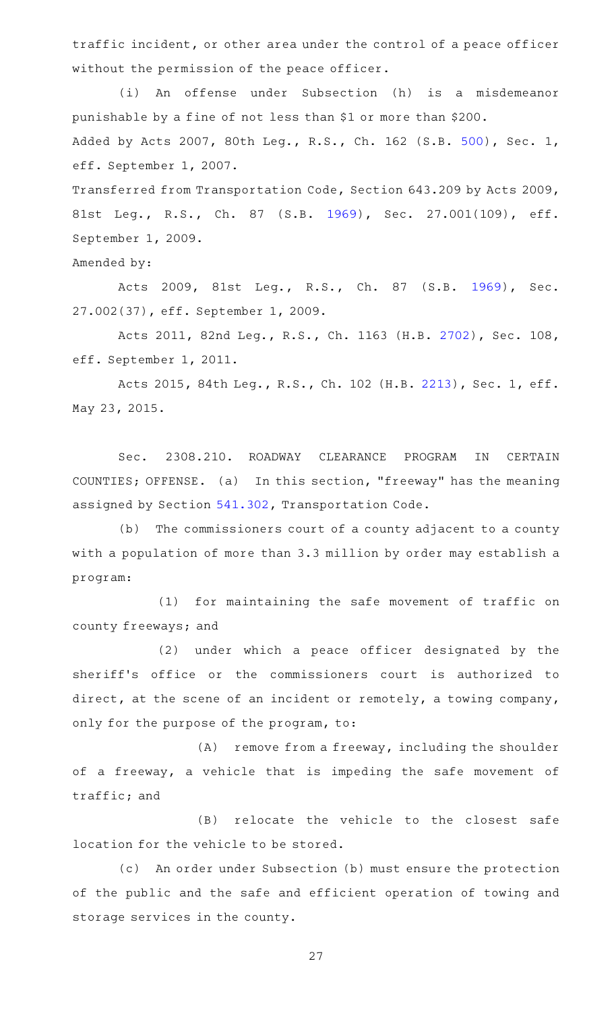traffic incident, or other area under the control of a peace officer without the permission of the peace officer.

(i) An offense under Subsection (h) is a misdemeanor punishable by a fine of not less than \$1 or more than \$200. Added by Acts 2007, 80th Leg., R.S., Ch. 162 (S.B. [500](http://www.legis.state.tx.us/tlodocs/80R/billtext/html/SB00500F.HTM)), Sec. 1, eff. September 1, 2007.

Transferred from Transportation Code, Section 643.209 by Acts 2009, 81st Leg., R.S., Ch. 87 (S.B. [1969\)](http://www.legis.state.tx.us/tlodocs/81R/billtext/html/SB01969F.HTM), Sec. 27.001(109), eff. September 1, 2009.

Amended by:

Acts 2009, 81st Leg., R.S., Ch. 87 (S.B. [1969\)](http://www.legis.state.tx.us/tlodocs/81R/billtext/html/SB01969F.HTM), Sec. 27.002(37), eff. September 1, 2009.

Acts 2011, 82nd Leg., R.S., Ch. 1163 (H.B. [2702](http://www.legis.state.tx.us/tlodocs/82R/billtext/html/HB02702F.HTM)), Sec. 108, eff. September 1, 2011.

Acts 2015, 84th Leg., R.S., Ch. 102 (H.B. [2213](http://www.legis.state.tx.us/tlodocs/84R/billtext/html/HB02213F.HTM)), Sec. 1, eff. May 23, 2015.

Sec. 2308.210. ROADWAY CLEARANCE PROGRAM IN CERTAIN COUNTIES; OFFENSE. (a) In this section, "freeway" has the meaning assigned by Section [541.302](https://statutes.capitol.texas.gov/GetStatute.aspx?Code=TN&Value=541.302), Transportation Code.

(b) The commissioners court of a county adjacent to a county with a population of more than 3.3 million by order may establish a program:

(1) for maintaining the safe movement of traffic on county freeways; and

(2) under which a peace officer designated by the sheriff 's office or the commissioners court is authorized to direct, at the scene of an incident or remotely, a towing company, only for the purpose of the program, to:

 $(A)$  remove from a freeway, including the shoulder of a freeway, a vehicle that is impeding the safe movement of traffic; and

(B) relocate the vehicle to the closest safe location for the vehicle to be stored.

(c) An order under Subsection (b) must ensure the protection of the public and the safe and efficient operation of towing and storage services in the county.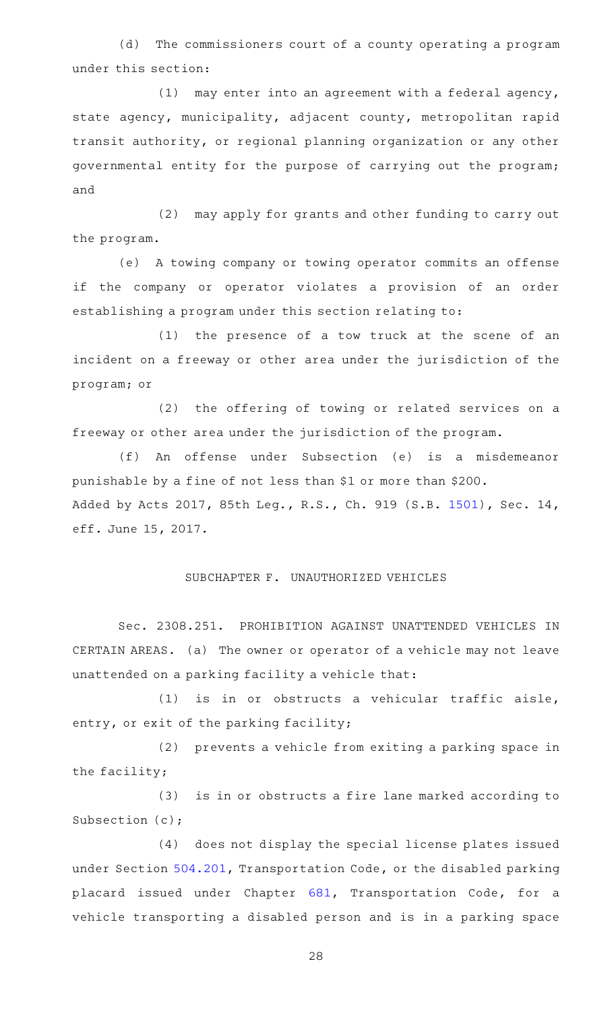(d) The commissioners court of a county operating a program under this section:

 $(1)$  may enter into an agreement with a federal agency, state agency, municipality, adjacent county, metropolitan rapid transit authority, or regional planning organization or any other governmental entity for the purpose of carrying out the program; and

(2) may apply for grants and other funding to carry out the program.

(e) A towing company or towing operator commits an offense if the company or operator violates a provision of an order establishing a program under this section relating to:

(1) the presence of a tow truck at the scene of an incident on a freeway or other area under the jurisdiction of the program; or

(2) the offering of towing or related services on a freeway or other area under the jurisdiction of the program.

(f) An offense under Subsection (e) is a misdemeanor punishable by a fine of not less than \$1 or more than \$200. Added by Acts 2017, 85th Leg., R.S., Ch. 919 (S.B. [1501\)](http://www.legis.state.tx.us/tlodocs/85R/billtext/html/SB01501F.HTM), Sec. 14, eff. June 15, 2017.

## SUBCHAPTER F. UNAUTHORIZED VEHICLES

Sec. 2308.251. PROHIBITION AGAINST UNATTENDED VEHICLES IN CERTAIN AREAS. (a) The owner or operator of a vehicle may not leave unattended on a parking facility a vehicle that:

 $(1)$  is in or obstructs a vehicular traffic aisle, entry, or exit of the parking facility;

(2) prevents a vehicle from exiting a parking space in the facility;

(3) is in or obstructs a fire lane marked according to Subsection (c);

(4) does not display the special license plates issued under Section [504.201,](https://statutes.capitol.texas.gov/GetStatute.aspx?Code=TN&Value=504.201) Transportation Code, or the disabled parking placard issued under Chapter [681](https://statutes.capitol.texas.gov/GetStatute.aspx?Code=TN&Value=681), Transportation Code, for a vehicle transporting a disabled person and is in a parking space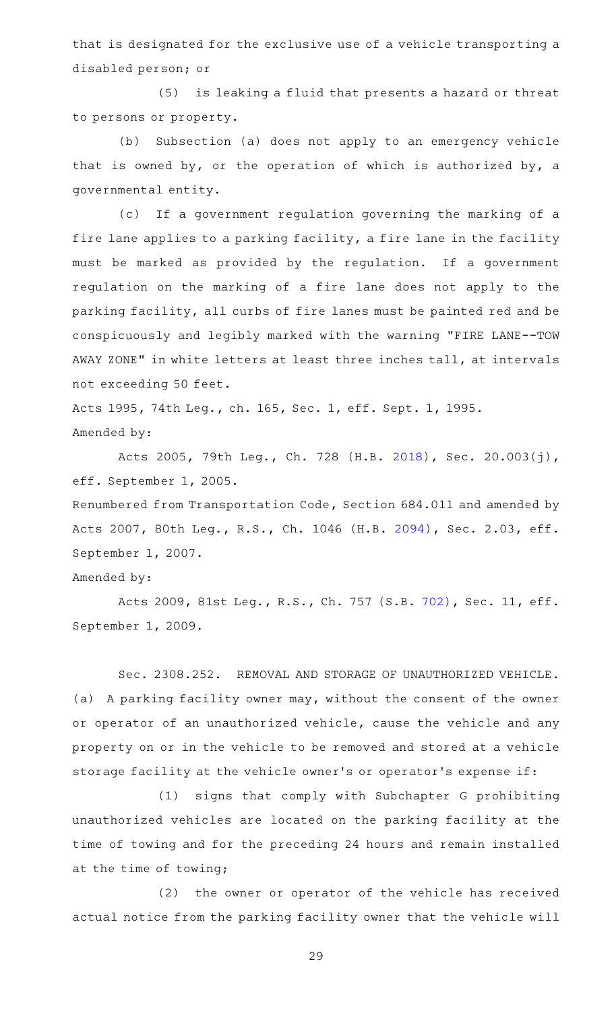that is designated for the exclusive use of a vehicle transporting a disabled person; or

(5) is leaking a fluid that presents a hazard or threat to persons or property.

(b) Subsection (a) does not apply to an emergency vehicle that is owned by, or the operation of which is authorized by, a governmental entity.

(c) If a government regulation governing the marking of a fire lane applies to a parking facility, a fire lane in the facility must be marked as provided by the regulation. If a government regulation on the marking of a fire lane does not apply to the parking facility, all curbs of fire lanes must be painted red and be conspicuously and legibly marked with the warning "FIRE LANE--TOW AWAY ZONE" in white letters at least three inches tall, at intervals not exceeding 50 feet.

Acts 1995, 74th Leg., ch. 165, Sec. 1, eff. Sept. 1, 1995. Amended by:

Acts 2005, 79th Leg., Ch. 728 (H.B. [2018\)](http://www.legis.state.tx.us/tlodocs/79R/billtext/html/HB02018F.HTM), Sec. 20.003(j), eff. September 1, 2005.

Renumbered from Transportation Code, Section 684.011 and amended by Acts 2007, 80th Leg., R.S., Ch. 1046 (H.B. [2094](http://www.legis.state.tx.us/tlodocs/80R/billtext/html/HB02094F.HTM)), Sec. 2.03, eff. September 1, 2007.

# Amended by:

Acts 2009, 81st Leg., R.S., Ch. 757 (S.B. [702\)](http://www.legis.state.tx.us/tlodocs/81R/billtext/html/SB00702F.HTM), Sec. 11, eff. September 1, 2009.

Sec. 2308.252. REMOVAL AND STORAGE OF UNAUTHORIZED VEHICLE. (a) A parking facility owner may, without the consent of the owner or operator of an unauthorized vehicle, cause the vehicle and any property on or in the vehicle to be removed and stored at a vehicle storage facility at the vehicle owner 's or operator 's expense if:

(1) signs that comply with Subchapter G prohibiting unauthorized vehicles are located on the parking facility at the time of towing and for the preceding 24 hours and remain installed at the time of towing;

(2) the owner or operator of the vehicle has received actual notice from the parking facility owner that the vehicle will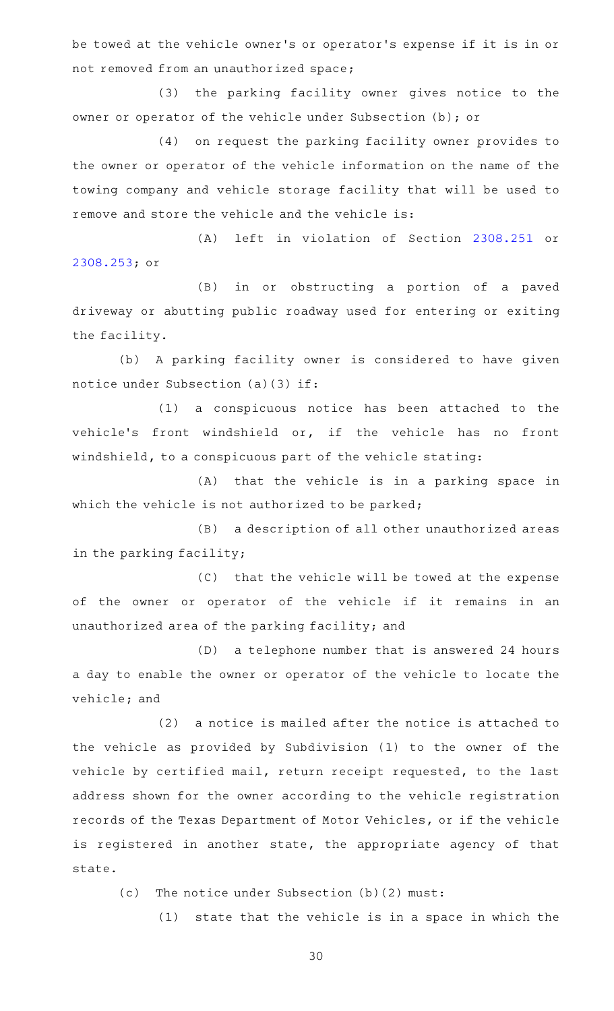be towed at the vehicle owner 's or operator 's expense if it is in or not removed from an unauthorized space;

(3) the parking facility owner gives notice to the owner or operator of the vehicle under Subsection (b); or

(4) on request the parking facility owner provides to the owner or operator of the vehicle information on the name of the towing company and vehicle storage facility that will be used to remove and store the vehicle and the vehicle is:

(A) left in violation of Section [2308.251](https://statutes.capitol.texas.gov/GetStatute.aspx?Code=OC&Value=2308.251) or [2308.253](https://statutes.capitol.texas.gov/GetStatute.aspx?Code=OC&Value=2308.253); or

(B) in or obstructing a portion of a paved driveway or abutting public roadway used for entering or exiting the facility.

(b) A parking facility owner is considered to have given notice under Subsection (a)(3) if:

(1) a conspicuous notice has been attached to the vehicle 's front windshield or, if the vehicle has no front windshield, to a conspicuous part of the vehicle stating:

(A) that the vehicle is in a parking space in which the vehicle is not authorized to be parked;

(B) a description of all other unauthorized areas in the parking facility;

(C) that the vehicle will be towed at the expense of the owner or operator of the vehicle if it remains in an unauthorized area of the parking facility; and

(D) a telephone number that is answered 24 hours a day to enable the owner or operator of the vehicle to locate the vehicle; and

 $(2)$  a notice is mailed after the notice is attached to the vehicle as provided by Subdivision (1) to the owner of the vehicle by certified mail, return receipt requested, to the last address shown for the owner according to the vehicle registration records of the Texas Department of Motor Vehicles, or if the vehicle is registered in another state, the appropriate agency of that state.

 $(c)$  The notice under Subsection (b)(2) must:

 $(1)$  state that the vehicle is in a space in which the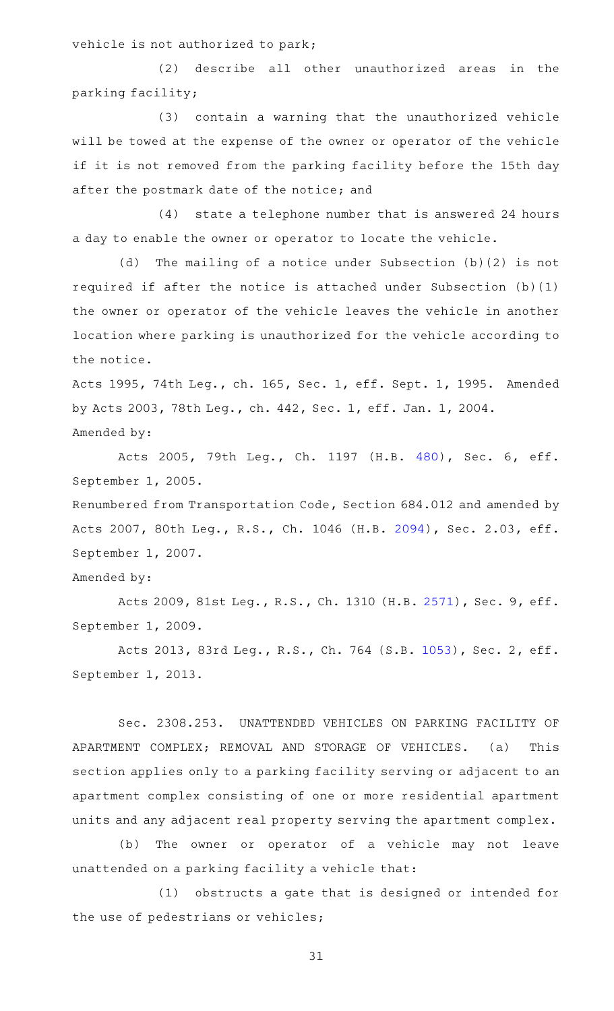vehicle is not authorized to park;

(2) describe all other unauthorized areas in the parking facility;

(3) contain a warning that the unauthorized vehicle will be towed at the expense of the owner or operator of the vehicle if it is not removed from the parking facility before the 15th day after the postmark date of the notice; and

(4) state a telephone number that is answered 24 hours a day to enable the owner or operator to locate the vehicle.

(d) The mailing of a notice under Subsection (b)(2) is not required if after the notice is attached under Subsection (b)(1) the owner or operator of the vehicle leaves the vehicle in another location where parking is unauthorized for the vehicle according to the notice.

Acts 1995, 74th Leg., ch. 165, Sec. 1, eff. Sept. 1, 1995. Amended by Acts 2003, 78th Leg., ch. 442, Sec. 1, eff. Jan. 1, 2004. Amended by:

Acts 2005, 79th Leg., Ch. 1197 (H.B. [480](http://www.legis.state.tx.us/tlodocs/79R/billtext/html/HB00480F.HTM)), Sec. 6, eff. September 1, 2005.

Renumbered from Transportation Code, Section 684.012 and amended by Acts 2007, 80th Leg., R.S., Ch. 1046 (H.B. [2094](http://www.legis.state.tx.us/tlodocs/80R/billtext/html/HB02094F.HTM)), Sec. 2.03, eff. September 1, 2007.

# Amended by:

Acts 2009, 81st Leg., R.S., Ch. 1310 (H.B. [2571](http://www.legis.state.tx.us/tlodocs/81R/billtext/html/HB02571F.HTM)), Sec. 9, eff. September 1, 2009.

Acts 2013, 83rd Leg., R.S., Ch. 764 (S.B. [1053](http://www.legis.state.tx.us/tlodocs/83R/billtext/html/SB01053F.HTM)), Sec. 2, eff. September 1, 2013.

Sec. 2308.253. UNATTENDED VEHICLES ON PARKING FACILITY OF APARTMENT COMPLEX; REMOVAL AND STORAGE OF VEHICLES. (a) This section applies only to a parking facility serving or adjacent to an apartment complex consisting of one or more residential apartment units and any adjacent real property serving the apartment complex.

(b) The owner or operator of a vehicle may not leave unattended on a parking facility a vehicle that:

(1) obstructs a gate that is designed or intended for the use of pedestrians or vehicles;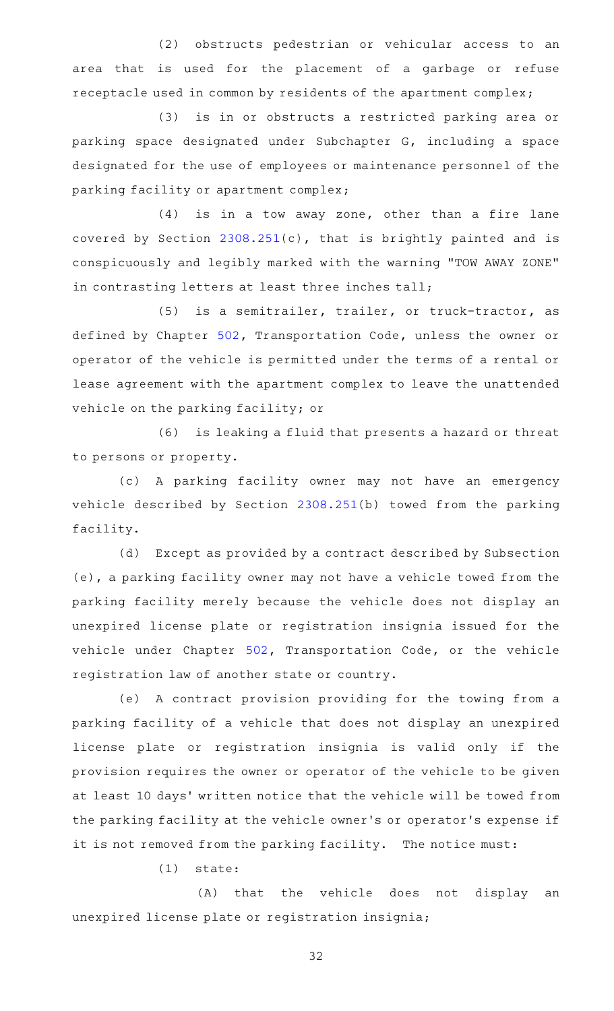(2) obstructs pedestrian or vehicular access to an area that is used for the placement of a garbage or refuse receptacle used in common by residents of the apartment complex;

(3) is in or obstructs a restricted parking area or parking space designated under Subchapter G, including a space designated for the use of employees or maintenance personnel of the parking facility or apartment complex;

 $(4)$  is in a tow away zone, other than a fire lane covered by Section [2308.251](https://statutes.capitol.texas.gov/GetStatute.aspx?Code=OC&Value=2308.251)(c), that is brightly painted and is conspicuously and legibly marked with the warning "TOW AWAY ZONE" in contrasting letters at least three inches tall;

(5) is a semitrailer, trailer, or truck-tractor, as defined by Chapter [502](https://statutes.capitol.texas.gov/GetStatute.aspx?Code=TN&Value=502), Transportation Code, unless the owner or operator of the vehicle is permitted under the terms of a rental or lease agreement with the apartment complex to leave the unattended vehicle on the parking facility; or

(6) is leaking a fluid that presents a hazard or threat to persons or property.

(c)AAA parking facility owner may not have an emergency vehicle described by Section [2308.251](https://statutes.capitol.texas.gov/GetStatute.aspx?Code=OC&Value=2308.251)(b) towed from the parking facility.

(d) Except as provided by a contract described by Subsection (e), a parking facility owner may not have a vehicle towed from the parking facility merely because the vehicle does not display an unexpired license plate or registration insignia issued for the vehicle under Chapter [502](https://statutes.capitol.texas.gov/GetStatute.aspx?Code=TN&Value=502), Transportation Code, or the vehicle registration law of another state or country.

(e) A contract provision providing for the towing from a parking facility of a vehicle that does not display an unexpired license plate or registration insignia is valid only if the provision requires the owner or operator of the vehicle to be given at least 10 days' written notice that the vehicle will be towed from the parking facility at the vehicle owner 's or operator 's expense if it is not removed from the parking facility. The notice must:

 $(1)$  state:

(A) that the vehicle does not display an unexpired license plate or registration insignia;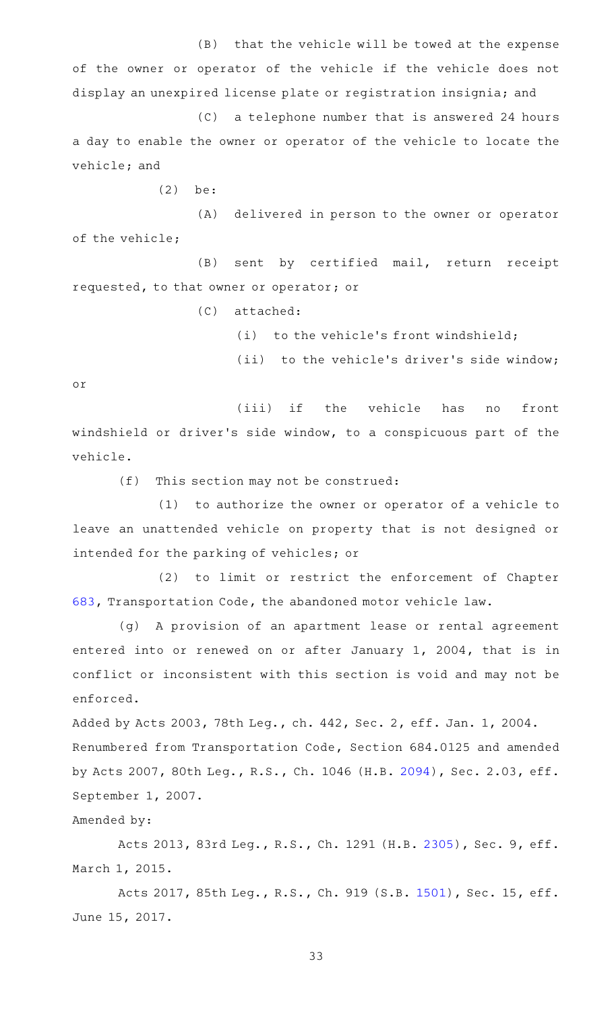(B) that the vehicle will be towed at the expense of the owner or operator of the vehicle if the vehicle does not display an unexpired license plate or registration insignia; and

 $(C)$  a telephone number that is answered 24 hours a day to enable the owner or operator of the vehicle to locate the vehicle; and

 $(2)$  be:

(A) delivered in person to the owner or operator of the vehicle;

(B) sent by certified mail, return receipt requested, to that owner or operator; or

(C) attached:

(i) to the vehicle's front windshield;

(ii) to the vehicle's driver's side window;

or

(iii) if the vehicle has no front windshield or driver 's side window, to a conspicuous part of the vehicle.

 $(f)$  This section may not be construed:

 $(1)$  to authorize the owner or operator of a vehicle to leave an unattended vehicle on property that is not designed or intended for the parking of vehicles; or

(2) to limit or restrict the enforcement of Chapter [683,](https://statutes.capitol.texas.gov/GetStatute.aspx?Code=TN&Value=683) Transportation Code, the abandoned motor vehicle law.

(g) A provision of an apartment lease or rental agreement entered into or renewed on or after January 1, 2004, that is in conflict or inconsistent with this section is void and may not be enforced.

Added by Acts 2003, 78th Leg., ch. 442, Sec. 2, eff. Jan. 1, 2004. Renumbered from Transportation Code, Section 684.0125 and amended by Acts 2007, 80th Leg., R.S., Ch. 1046 (H.B. [2094\)](http://www.legis.state.tx.us/tlodocs/80R/billtext/html/HB02094F.HTM), Sec. 2.03, eff. September 1, 2007.

Amended by:

Acts 2013, 83rd Leg., R.S., Ch. 1291 (H.B. [2305](http://www.legis.state.tx.us/tlodocs/83R/billtext/html/HB02305F.HTM)), Sec. 9, eff. March 1, 2015.

Acts 2017, 85th Leg., R.S., Ch. 919 (S.B. [1501\)](http://www.legis.state.tx.us/tlodocs/85R/billtext/html/SB01501F.HTM), Sec. 15, eff. June 15, 2017.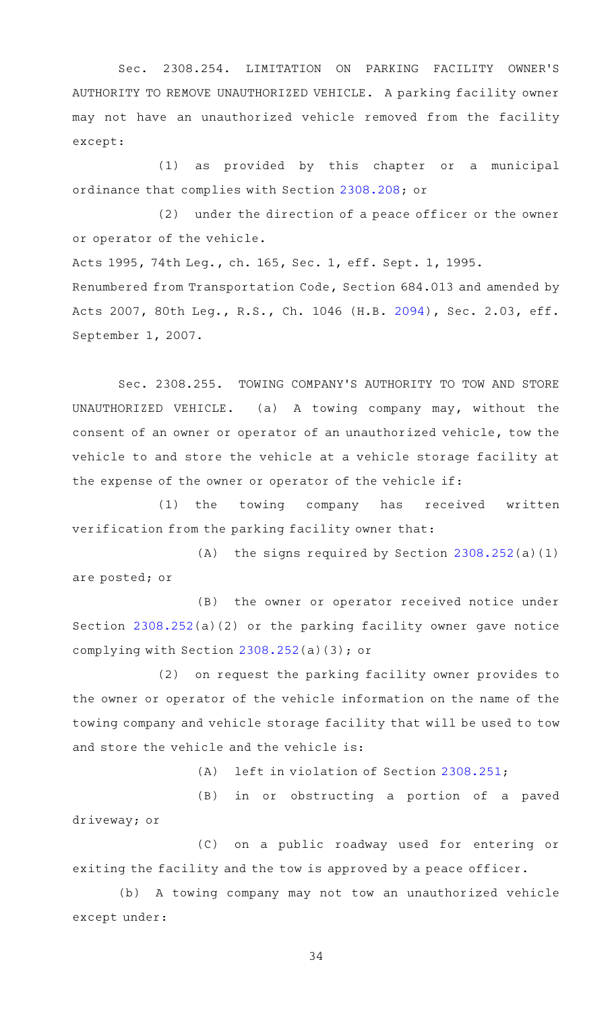Sec. 2308.254. LIMITATION ON PARKING FACILITY OWNER'S AUTHORITY TO REMOVE UNAUTHORIZED VEHICLE. A parking facility owner may not have an unauthorized vehicle removed from the facility except:

(1) as provided by this chapter or a municipal ordinance that complies with Section [2308.208](https://statutes.capitol.texas.gov/GetStatute.aspx?Code=OC&Value=2308.208); or

 $(2)$  under the direction of a peace officer or the owner or operator of the vehicle.

Acts 1995, 74th Leg., ch. 165, Sec. 1, eff. Sept. 1, 1995. Renumbered from Transportation Code, Section 684.013 and amended by Acts 2007, 80th Leg., R.S., Ch. 1046 (H.B. [2094](http://www.legis.state.tx.us/tlodocs/80R/billtext/html/HB02094F.HTM)), Sec. 2.03, eff. September 1, 2007.

Sec. 2308.255. TOWING COMPANY'S AUTHORITY TO TOW AND STORE UNAUTHORIZED VEHICLE. (a) A towing company may, without the consent of an owner or operator of an unauthorized vehicle, tow the vehicle to and store the vehicle at a vehicle storage facility at the expense of the owner or operator of the vehicle if:

(1) the towing company has received written verification from the parking facility owner that:

(A) the signs required by Section  $2308.252(a)(1)$  $2308.252(a)(1)$ are posted; or

(B) the owner or operator received notice under Section [2308.252](https://statutes.capitol.texas.gov/GetStatute.aspx?Code=OC&Value=2308.252)(a)(2) or the parking facility owner gave notice complying with Section [2308.252](https://statutes.capitol.texas.gov/GetStatute.aspx?Code=OC&Value=2308.252)(a)(3); or

(2) on request the parking facility owner provides to the owner or operator of the vehicle information on the name of the towing company and vehicle storage facility that will be used to tow and store the vehicle and the vehicle is:

 $(A)$  left in violation of Section [2308.251](https://statutes.capitol.texas.gov/GetStatute.aspx?Code=OC&Value=2308.251);

(B) in or obstructing a portion of a paved driveway; or

(C) on a public roadway used for entering or exiting the facility and the tow is approved by a peace officer.

(b) A towing company may not tow an unauthorized vehicle except under: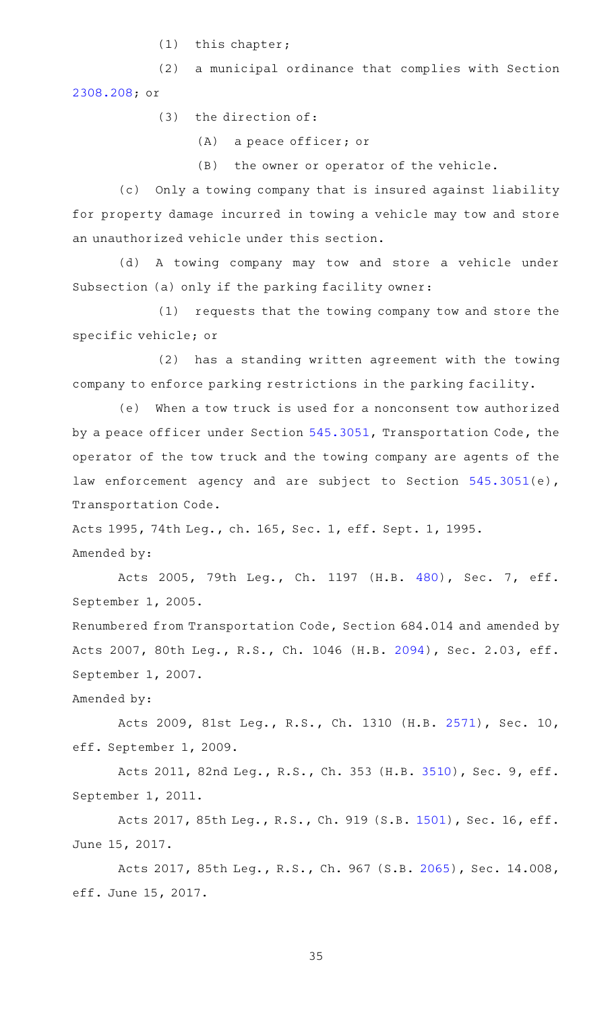$(1)$  this chapter;

(2) a municipal ordinance that complies with Section [2308.208](https://statutes.capitol.texas.gov/GetStatute.aspx?Code=OC&Value=2308.208); or

 $(3)$  the direction of:

 $(A)$  a peace officer; or

 $(B)$  the owner or operator of the vehicle.

(c) Only a towing company that is insured against liability for property damage incurred in towing a vehicle may tow and store an unauthorized vehicle under this section.

(d) A towing company may tow and store a vehicle under Subsection (a) only if the parking facility owner:

(1) requests that the towing company tow and store the specific vehicle; or

(2) has a standing written agreement with the towing company to enforce parking restrictions in the parking facility.

(e) When a tow truck is used for a nonconsent tow authorized by a peace officer under Section [545.3051](https://statutes.capitol.texas.gov/GetStatute.aspx?Code=TN&Value=545.3051), Transportation Code, the operator of the tow truck and the towing company are agents of the law enforcement agency and are subject to Section [545.3051\(](https://statutes.capitol.texas.gov/GetStatute.aspx?Code=TN&Value=545.3051)e), Transportation Code.

Acts 1995, 74th Leg., ch. 165, Sec. 1, eff. Sept. 1, 1995. Amended by:

Acts 2005, 79th Leg., Ch. 1197 (H.B. [480](http://www.legis.state.tx.us/tlodocs/79R/billtext/html/HB00480F.HTM)), Sec. 7, eff. September 1, 2005.

Renumbered from Transportation Code, Section 684.014 and amended by Acts 2007, 80th Leg., R.S., Ch. 1046 (H.B. [2094](http://www.legis.state.tx.us/tlodocs/80R/billtext/html/HB02094F.HTM)), Sec. 2.03, eff. September 1, 2007.

Amended by:

Acts 2009, 81st Leg., R.S., Ch. 1310 (H.B. [2571](http://www.legis.state.tx.us/tlodocs/81R/billtext/html/HB02571F.HTM)), Sec. 10, eff. September 1, 2009.

Acts 2011, 82nd Leg., R.S., Ch. 353 (H.B. [3510](http://www.legis.state.tx.us/tlodocs/82R/billtext/html/HB03510F.HTM)), Sec. 9, eff. September 1, 2011.

Acts 2017, 85th Leg., R.S., Ch. 919 (S.B. [1501\)](http://www.legis.state.tx.us/tlodocs/85R/billtext/html/SB01501F.HTM), Sec. 16, eff. June 15, 2017.

Acts 2017, 85th Leg., R.S., Ch. 967 (S.B. [2065\)](http://www.legis.state.tx.us/tlodocs/85R/billtext/html/SB02065F.HTM), Sec. 14.008, eff. June 15, 2017.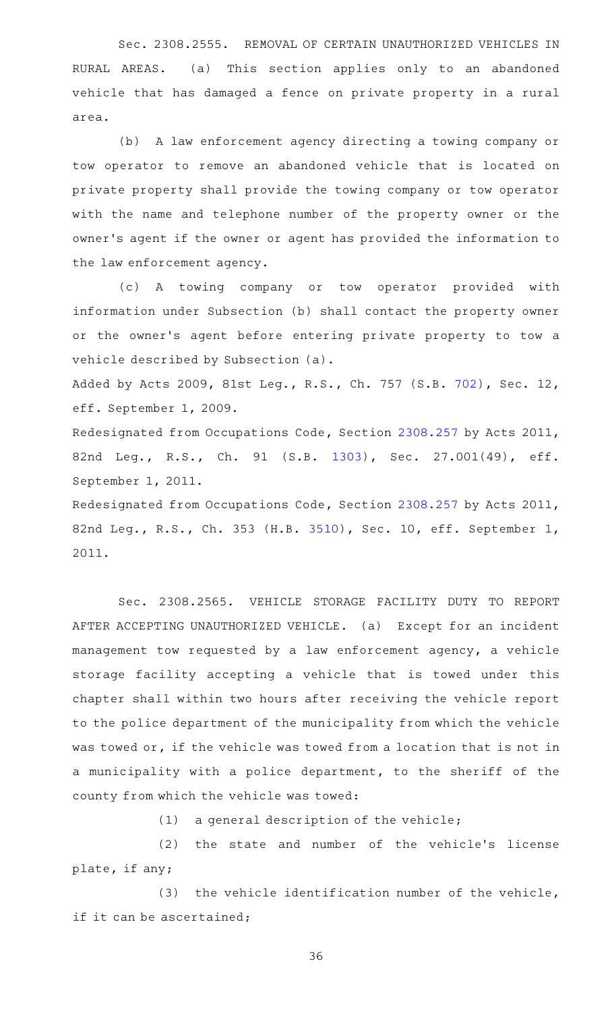Sec. 2308.2555. REMOVAL OF CERTAIN UNAUTHORIZED VEHICLES IN RURAL AREAS. (a) This section applies only to an abandoned vehicle that has damaged a fence on private property in a rural area.

(b) A law enforcement agency directing a towing company or tow operator to remove an abandoned vehicle that is located on private property shall provide the towing company or tow operator with the name and telephone number of the property owner or the owner 's agent if the owner or agent has provided the information to the law enforcement agency.

(c)AAA towing company or tow operator provided with information under Subsection (b) shall contact the property owner or the owner's agent before entering private property to tow a vehicle described by Subsection (a).

Added by Acts 2009, 81st Leg., R.S., Ch. 757 (S.B. [702\)](http://www.legis.state.tx.us/tlodocs/81R/billtext/html/SB00702F.HTM), Sec. 12, eff. September 1, 2009.

Redesignated from Occupations Code, Section [2308.257](https://statutes.capitol.texas.gov/GetStatute.aspx?Code=OC&Value=2308.257) by Acts 2011, 82nd Leg., R.S., Ch. 91 (S.B. [1303\)](http://www.legis.state.tx.us/tlodocs/82R/billtext/html/SB01303F.HTM), Sec. 27.001(49), eff. September 1, 2011.

Redesignated from Occupations Code, Section [2308.257](https://statutes.capitol.texas.gov/GetStatute.aspx?Code=OC&Value=2308.257) by Acts 2011, 82nd Leg., R.S., Ch. 353 (H.B. [3510\)](http://www.legis.state.tx.us/tlodocs/82R/billtext/html/HB03510F.HTM), Sec. 10, eff. September 1, 2011.

Sec. 2308.2565. VEHICLE STORAGE FACILITY DUTY TO REPORT AFTER ACCEPTING UNAUTHORIZED VEHICLE. (a) Except for an incident management tow requested by a law enforcement agency, a vehicle storage facility accepting a vehicle that is towed under this chapter shall within two hours after receiving the vehicle report to the police department of the municipality from which the vehicle was towed or, if the vehicle was towed from a location that is not in a municipality with a police department, to the sheriff of the county from which the vehicle was towed:

 $(1)$  a general description of the vehicle;

(2) the state and number of the vehicle's license plate, if any;

 $(3)$  the vehicle identification number of the vehicle, if it can be ascertained;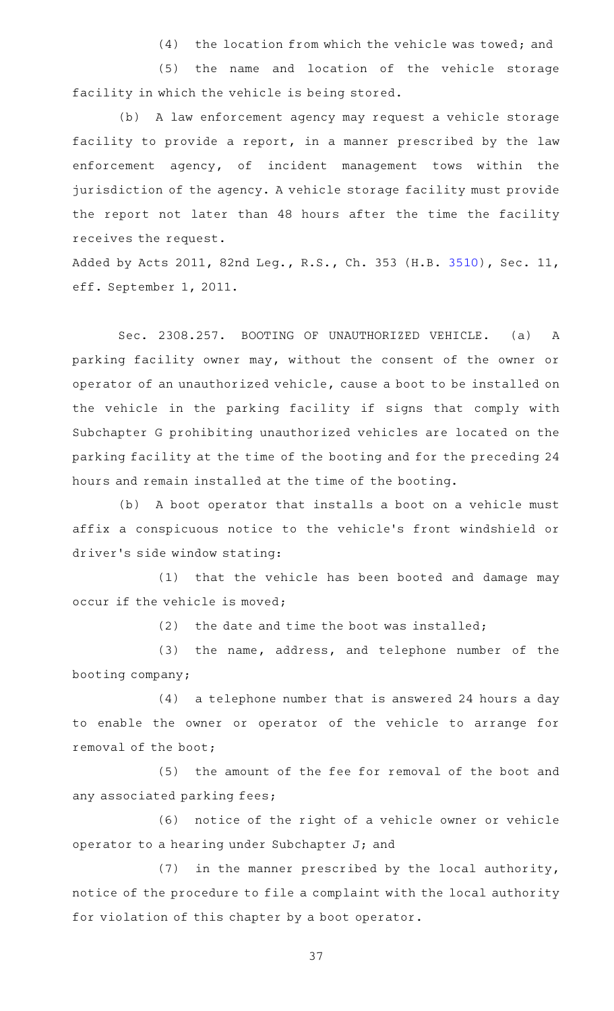$(4)$  the location from which the vehicle was towed; and

(5) the name and location of the vehicle storage facility in which the vehicle is being stored.

(b) A law enforcement agency may request a vehicle storage facility to provide a report, in a manner prescribed by the law enforcement agency, of incident management tows within the jurisdiction of the agency. A vehicle storage facility must provide the report not later than 48 hours after the time the facility receives the request.

Added by Acts 2011, 82nd Leg., R.S., Ch. 353 (H.B. [3510\)](http://www.legis.state.tx.us/tlodocs/82R/billtext/html/HB03510F.HTM), Sec. 11, eff. September 1, 2011.

Sec. 2308.257. BOOTING OF UNAUTHORIZED VEHICLE. (a) A parking facility owner may, without the consent of the owner or operator of an unauthorized vehicle, cause a boot to be installed on the vehicle in the parking facility if signs that comply with Subchapter G prohibiting unauthorized vehicles are located on the parking facility at the time of the booting and for the preceding 24 hours and remain installed at the time of the booting.

(b) A boot operator that installs a boot on a vehicle must affix a conspicuous notice to the vehicle 's front windshield or driver 's side window stating:

(1) that the vehicle has been booted and damage may occur if the vehicle is moved;

 $(2)$  the date and time the boot was installed;

(3) the name, address, and telephone number of the booting company;

(4) a telephone number that is answered 24 hours a day to enable the owner or operator of the vehicle to arrange for removal of the boot;

(5) the amount of the fee for removal of the boot and any associated parking fees;

(6) notice of the right of a vehicle owner or vehicle operator to a hearing under Subchapter J; and

 $(7)$  in the manner prescribed by the local authority, notice of the procedure to file a complaint with the local authority for violation of this chapter by a boot operator.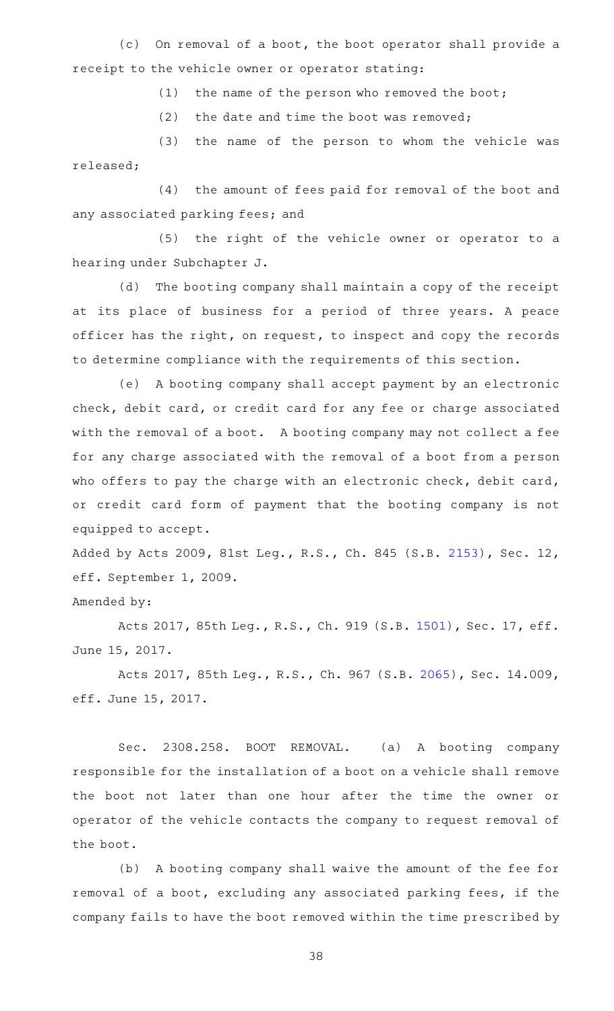(c) On removal of a boot, the boot operator shall provide a receipt to the vehicle owner or operator stating:

 $(1)$  the name of the person who removed the boot;

(2) the date and time the boot was removed;

(3) the name of the person to whom the vehicle was released;

(4) the amount of fees paid for removal of the boot and any associated parking fees; and

(5) the right of the vehicle owner or operator to a hearing under Subchapter J.

(d) The booting company shall maintain a copy of the receipt at its place of business for a period of three years. A peace officer has the right, on request, to inspect and copy the records to determine compliance with the requirements of this section.

(e) A booting company shall accept payment by an electronic check, debit card, or credit card for any fee or charge associated with the removal of a boot. A booting company may not collect a fee for any charge associated with the removal of a boot from a person who offers to pay the charge with an electronic check, debit card, or credit card form of payment that the booting company is not equipped to accept.

Added by Acts 2009, 81st Leg., R.S., Ch. 845 (S.B. [2153\)](http://www.legis.state.tx.us/tlodocs/81R/billtext/html/SB02153F.HTM), Sec. 12, eff. September 1, 2009.

Amended by:

Acts 2017, 85th Leg., R.S., Ch. 919 (S.B. [1501\)](http://www.legis.state.tx.us/tlodocs/85R/billtext/html/SB01501F.HTM), Sec. 17, eff. June 15, 2017.

Acts 2017, 85th Leg., R.S., Ch. 967 (S.B. [2065\)](http://www.legis.state.tx.us/tlodocs/85R/billtext/html/SB02065F.HTM), Sec. 14.009, eff. June 15, 2017.

Sec. 2308.258. BOOT REMOVAL. (a) A booting company responsible for the installation of a boot on a vehicle shall remove the boot not later than one hour after the time the owner or operator of the vehicle contacts the company to request removal of the boot.

(b) A booting company shall waive the amount of the fee for removal of a boot, excluding any associated parking fees, if the company fails to have the boot removed within the time prescribed by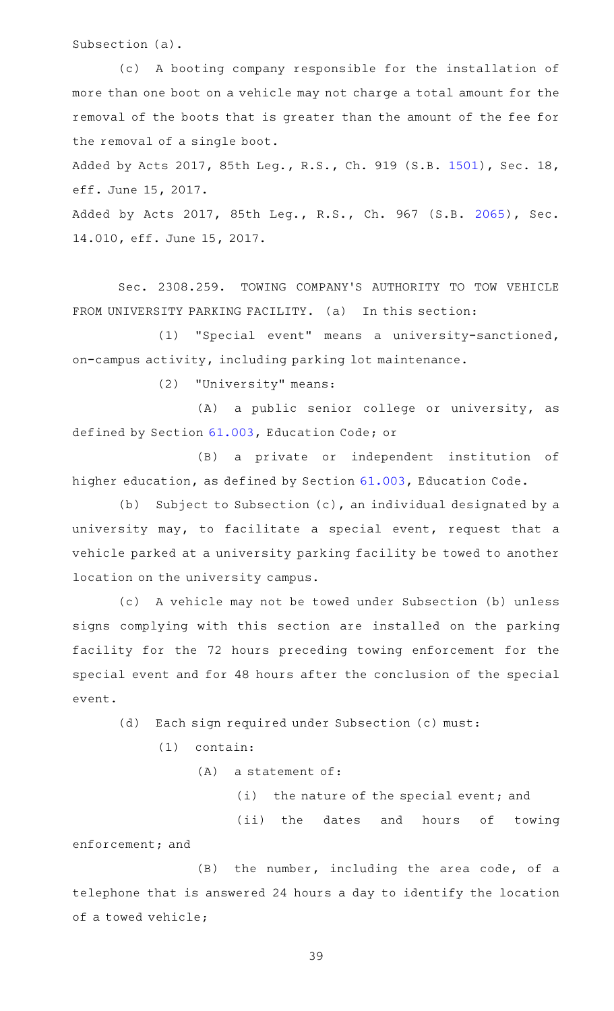Subsection (a).

(c)AAA booting company responsible for the installation of more than one boot on a vehicle may not charge a total amount for the removal of the boots that is greater than the amount of the fee for the removal of a single boot.

Added by Acts 2017, 85th Leg., R.S., Ch. 919 (S.B. [1501\)](http://www.legis.state.tx.us/tlodocs/85R/billtext/html/SB01501F.HTM), Sec. 18, eff. June 15, 2017.

Added by Acts 2017, 85th Leg., R.S., Ch. 967 (S.B. [2065](http://www.legis.state.tx.us/tlodocs/85R/billtext/html/SB02065F.HTM)), Sec. 14.010, eff. June 15, 2017.

Sec. 2308.259. TOWING COMPANY'S AUTHORITY TO TOW VEHICLE FROM UNIVERSITY PARKING FACILITY. (a) In this section:

(1) "Special event" means a university-sanctioned, on-campus activity, including parking lot maintenance.

(2) "University" means:

(A) a public senior college or university, as defined by Section [61.003](https://statutes.capitol.texas.gov/GetStatute.aspx?Code=ED&Value=61.003), Education Code; or

(B) a private or independent institution of higher education, as defined by Section [61.003](https://statutes.capitol.texas.gov/GetStatute.aspx?Code=ED&Value=61.003), Education Code.

(b) Subject to Subsection  $(c)$ , an individual designated by a university may, to facilitate a special event, request that a vehicle parked at a university parking facility be towed to another location on the university campus.

(c)AAA vehicle may not be towed under Subsection (b) unless signs complying with this section are installed on the parking facility for the 72 hours preceding towing enforcement for the special event and for 48 hours after the conclusion of the special event.

(d) Each sign required under Subsection (c) must:

 $(1)$  contain:

 $(A)$  a statement of:

(i) the nature of the special event; and

(ii) the dates and hours of towing enforcement; and

 $(B)$  the number, including the area code, of a telephone that is answered 24 hours a day to identify the location of a towed vehicle;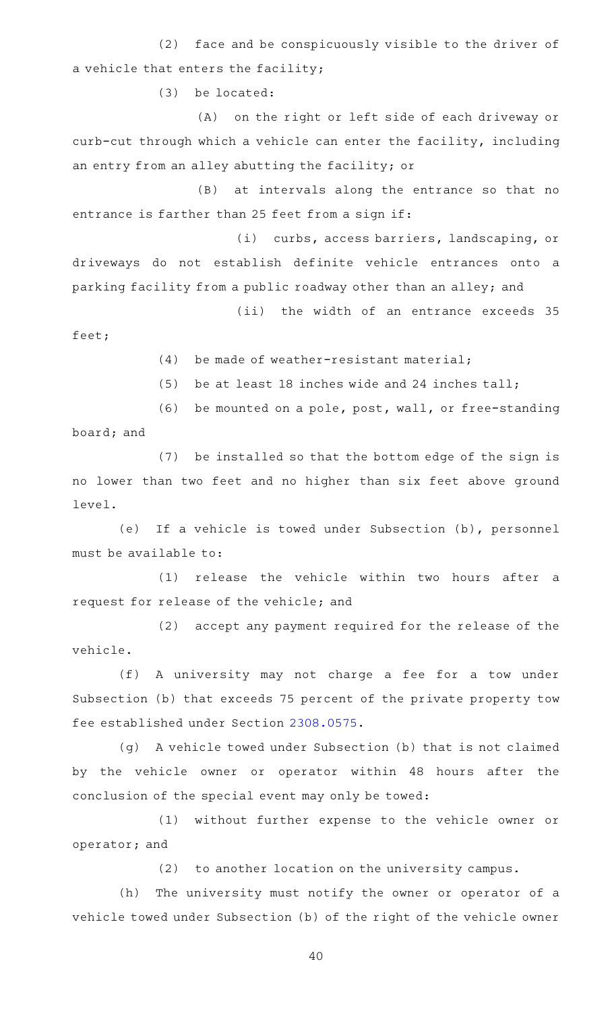(2) face and be conspicuously visible to the driver of a vehicle that enters the facility;

(3) be located:

(A) on the right or left side of each driveway or curb-cut through which a vehicle can enter the facility, including an entry from an alley abutting the facility; or

(B) at intervals along the entrance so that no entrance is farther than 25 feet from a sign if:

(i) curbs, access barriers, landscaping, or driveways do not establish definite vehicle entrances onto a parking facility from a public roadway other than an alley; and

(ii) the width of an entrance exceeds 35 feet;

 $(4)$  be made of weather-resistant material;

(5) be at least 18 inches wide and 24 inches tall;

(6) be mounted on a pole, post, wall, or free-standing board; and

(7) be installed so that the bottom edge of the sign is no lower than two feet and no higher than six feet above ground level.

(e) If a vehicle is towed under Subsection (b), personnel must be available to:

(1) release the vehicle within two hours after a request for release of the vehicle; and

(2) accept any payment required for the release of the vehicle.

(f) A university may not charge a fee for a tow under Subsection (b) that exceeds 75 percent of the private property tow fee established under Section [2308.0575](https://statutes.capitol.texas.gov/GetStatute.aspx?Code=OC&Value=2308.0575).

(g) A vehicle towed under Subsection (b) that is not claimed by the vehicle owner or operator within 48 hours after the conclusion of the special event may only be towed:

(1) without further expense to the vehicle owner or operator; and

(2) to another location on the university campus.

(h) The university must notify the owner or operator of a vehicle towed under Subsection (b) of the right of the vehicle owner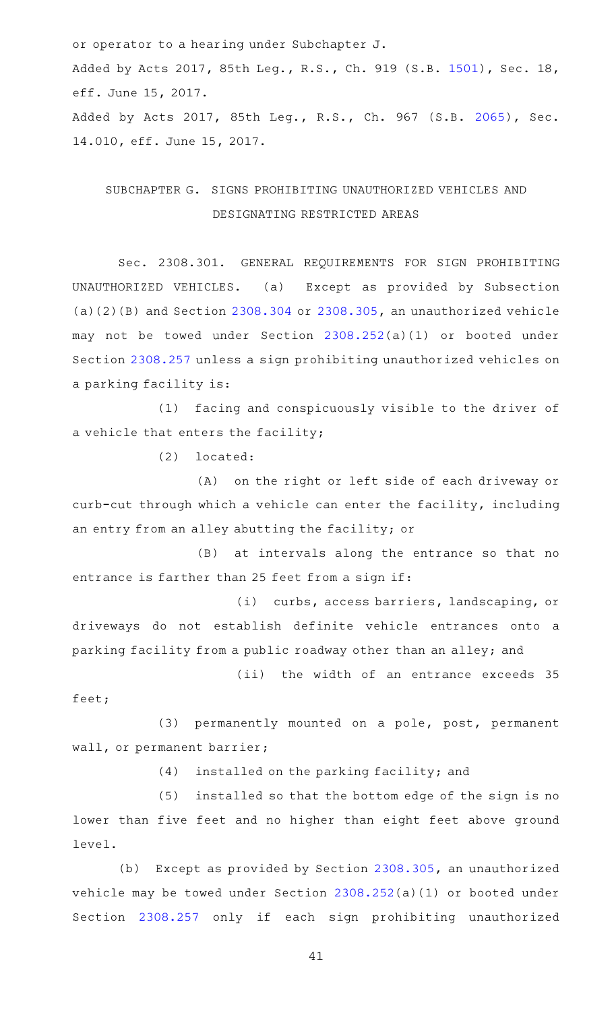or operator to a hearing under Subchapter J. Added by Acts 2017, 85th Leg., R.S., Ch. 919 (S.B. [1501\)](http://www.legis.state.tx.us/tlodocs/85R/billtext/html/SB01501F.HTM), Sec. 18, eff. June 15, 2017. Added by Acts 2017, 85th Leg., R.S., Ch. 967 (S.B. [2065](http://www.legis.state.tx.us/tlodocs/85R/billtext/html/SB02065F.HTM)), Sec. 14.010, eff. June 15, 2017.

# SUBCHAPTER G. SIGNS PROHIBITING UNAUTHORIZED VEHICLES AND DESIGNATING RESTRICTED AREAS

Sec. 2308.301. GENERAL REQUIREMENTS FOR SIGN PROHIBITING UNAUTHORIZED VEHICLES. (a) Except as provided by Subsection  $(a)(2)(B)$  and Section [2308.304](https://statutes.capitol.texas.gov/GetStatute.aspx?Code=OC&Value=2308.304) or [2308.305,](https://statutes.capitol.texas.gov/GetStatute.aspx?Code=OC&Value=2308.305) an unauthorized vehicle may not be towed under Section [2308.252](https://statutes.capitol.texas.gov/GetStatute.aspx?Code=OC&Value=2308.252)(a)(1) or booted under Section [2308.257](https://statutes.capitol.texas.gov/GetStatute.aspx?Code=OC&Value=2308.257) unless a sign prohibiting unauthorized vehicles on a parking facility is:

(1) facing and conspicuously visible to the driver of a vehicle that enters the facility;

 $(2)$  located:

(A) on the right or left side of each driveway or curb-cut through which a vehicle can enter the facility, including an entry from an alley abutting the facility; or

(B) at intervals along the entrance so that no entrance is farther than 25 feet from a sign if:

(i) curbs, access barriers, landscaping, or driveways do not establish definite vehicle entrances onto a parking facility from a public roadway other than an alley; and

(ii) the width of an entrance exceeds 35 feet;

(3) permanently mounted on a pole, post, permanent wall, or permanent barrier;

(4) installed on the parking facility; and

(5) installed so that the bottom edge of the sign is no lower than five feet and no higher than eight feet above ground level.

(b) Except as provided by Section [2308.305](https://statutes.capitol.texas.gov/GetStatute.aspx?Code=OC&Value=2308.305), an unauthorized vehicle may be towed under Section [2308.252](https://statutes.capitol.texas.gov/GetStatute.aspx?Code=OC&Value=2308.252)(a)(1) or booted under Section [2308.257](https://statutes.capitol.texas.gov/GetStatute.aspx?Code=OC&Value=2308.257) only if each sign prohibiting unauthorized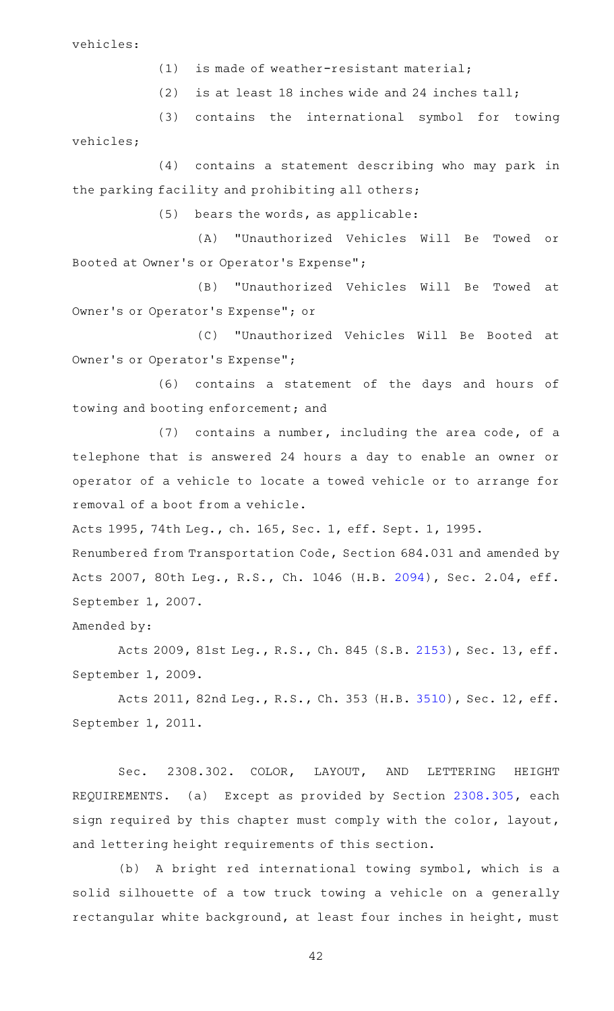vehicles:

(1) is made of weather-resistant material;

(2) is at least 18 inches wide and 24 inches tall;

(3) contains the international symbol for towing vehicles;

(4) contains a statement describing who may park in the parking facility and prohibiting all others;

 $(5)$  bears the words, as applicable:

(A) "Unauthorized Vehicles Will Be Towed or Booted at Owner 's or Operator 's Expense";

(B) "Unauthorized Vehicles Will Be Towed at Owner 's or Operator 's Expense"; or

(C) "Unauthorized Vehicles Will Be Booted at Owner 's or Operator 's Expense";

(6) contains a statement of the days and hours of towing and booting enforcement; and

 $(7)$  contains a number, including the area code, of a telephone that is answered 24 hours a day to enable an owner or operator of a vehicle to locate a towed vehicle or to arrange for removal of a boot from a vehicle.

Acts 1995, 74th Leg., ch. 165, Sec. 1, eff. Sept. 1, 1995.

Renumbered from Transportation Code, Section 684.031 and amended by Acts 2007, 80th Leg., R.S., Ch. 1046 (H.B. [2094](http://www.legis.state.tx.us/tlodocs/80R/billtext/html/HB02094F.HTM)), Sec. 2.04, eff. September 1, 2007.

Amended by:

Acts 2009, 81st Leg., R.S., Ch. 845 (S.B. [2153\)](http://www.legis.state.tx.us/tlodocs/81R/billtext/html/SB02153F.HTM), Sec. 13, eff. September 1, 2009.

Acts 2011, 82nd Leg., R.S., Ch. 353 (H.B. [3510\)](http://www.legis.state.tx.us/tlodocs/82R/billtext/html/HB03510F.HTM), Sec. 12, eff. September 1, 2011.

Sec. 2308.302. COLOR, LAYOUT, AND LETTERING HEIGHT REQUIREMENTS. (a) Except as provided by Section [2308.305](https://statutes.capitol.texas.gov/GetStatute.aspx?Code=OC&Value=2308.305), each sign required by this chapter must comply with the color, layout, and lettering height requirements of this section.

(b) A bright red international towing symbol, which is a solid silhouette of a tow truck towing a vehicle on a generally rectangular white background, at least four inches in height, must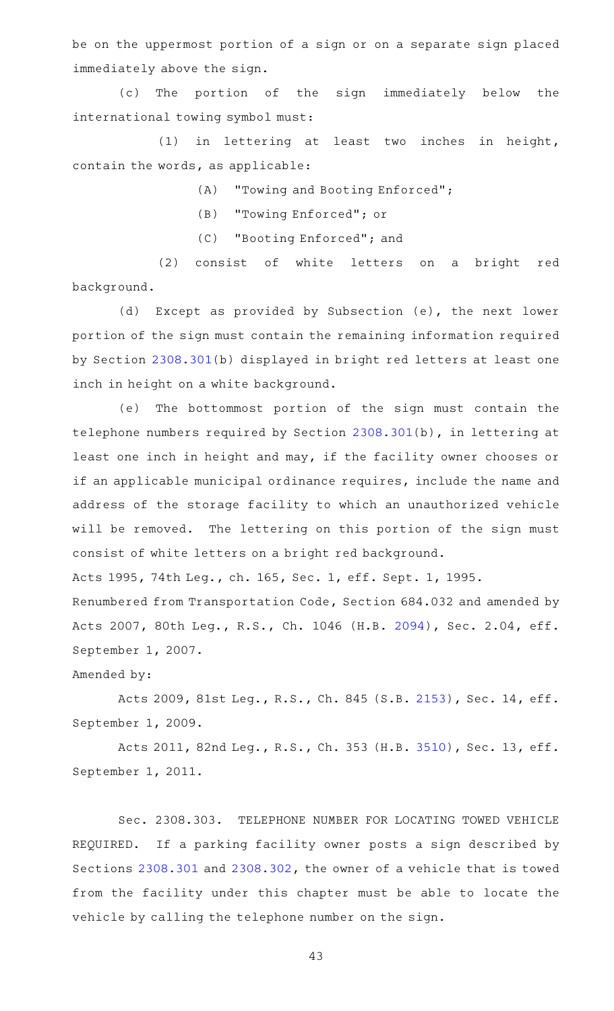be on the uppermost portion of a sign or on a separate sign placed immediately above the sign.

(c) The portion of the sign immediately below the international towing symbol must:

 $(1)$  in lettering at least two inches in height, contain the words, as applicable:

(A) "Towing and Booting Enforced";

(B) "Towing Enforced"; or

(C) "Booting Enforced"; and

(2) consist of white letters on a bright red background.

(d) Except as provided by Subsection (e), the next lower portion of the sign must contain the remaining information required by Section [2308.301](https://statutes.capitol.texas.gov/GetStatute.aspx?Code=OC&Value=2308.301)(b) displayed in bright red letters at least one inch in height on a white background.

(e) The bottommost portion of the sign must contain the telephone numbers required by Section [2308.301\(](https://statutes.capitol.texas.gov/GetStatute.aspx?Code=OC&Value=2308.301)b), in lettering at least one inch in height and may, if the facility owner chooses or if an applicable municipal ordinance requires, include the name and address of the storage facility to which an unauthorized vehicle will be removed. The lettering on this portion of the sign must consist of white letters on a bright red background.

Acts 1995, 74th Leg., ch. 165, Sec. 1, eff. Sept. 1, 1995.

Renumbered from Transportation Code, Section 684.032 and amended by Acts 2007, 80th Leg., R.S., Ch. 1046 (H.B. [2094](http://www.legis.state.tx.us/tlodocs/80R/billtext/html/HB02094F.HTM)), Sec. 2.04, eff. September 1, 2007.

Amended by:

Acts 2009, 81st Leg., R.S., Ch. 845 (S.B. [2153\)](http://www.legis.state.tx.us/tlodocs/81R/billtext/html/SB02153F.HTM), Sec. 14, eff. September 1, 2009.

Acts 2011, 82nd Leg., R.S., Ch. 353 (H.B. [3510\)](http://www.legis.state.tx.us/tlodocs/82R/billtext/html/HB03510F.HTM), Sec. 13, eff. September 1, 2011.

Sec. 2308.303. TELEPHONE NUMBER FOR LOCATING TOWED VEHICLE REQUIRED. If a parking facility owner posts a sign described by Sections [2308.301](https://statutes.capitol.texas.gov/GetStatute.aspx?Code=OC&Value=2308.301) and [2308.302,](https://statutes.capitol.texas.gov/GetStatute.aspx?Code=OC&Value=2308.302) the owner of a vehicle that is towed from the facility under this chapter must be able to locate the vehicle by calling the telephone number on the sign.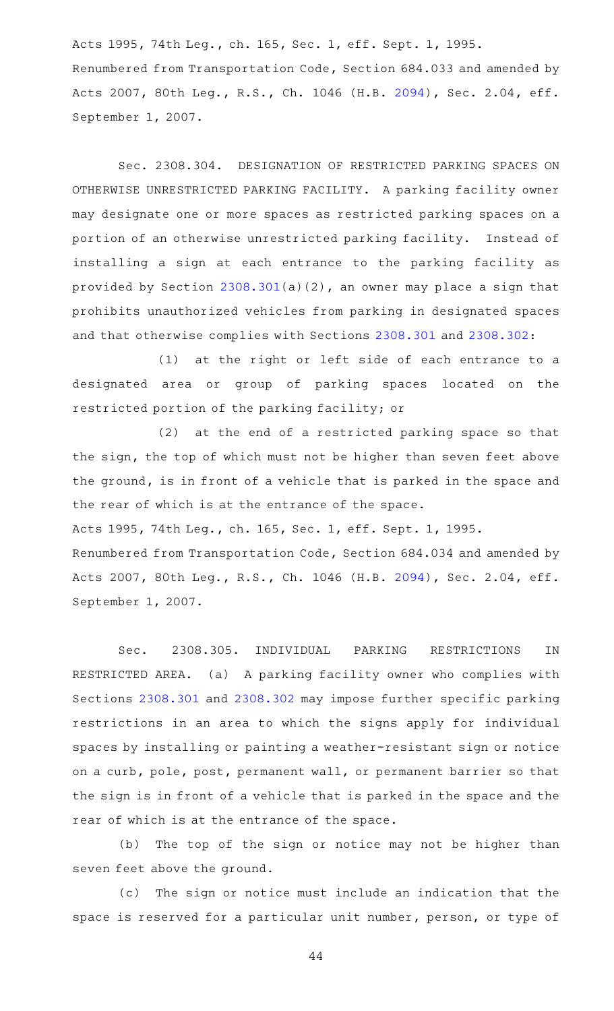Acts 1995, 74th Leg., ch. 165, Sec. 1, eff. Sept. 1, 1995. Renumbered from Transportation Code, Section 684.033 and amended by Acts 2007, 80th Leg., R.S., Ch. 1046 (H.B. [2094](http://www.legis.state.tx.us/tlodocs/80R/billtext/html/HB02094F.HTM)), Sec. 2.04, eff. September 1, 2007.

Sec. 2308.304. DESIGNATION OF RESTRICTED PARKING SPACES ON OTHERWISE UNRESTRICTED PARKING FACILITY. A parking facility owner may designate one or more spaces as restricted parking spaces on a portion of an otherwise unrestricted parking facility. Instead of installing a sign at each entrance to the parking facility as provided by Section [2308.301\(](https://statutes.capitol.texas.gov/GetStatute.aspx?Code=OC&Value=2308.301)a)(2), an owner may place a sign that prohibits unauthorized vehicles from parking in designated spaces and that otherwise complies with Sections [2308.301](https://statutes.capitol.texas.gov/GetStatute.aspx?Code=OC&Value=2308.301) and [2308.302](https://statutes.capitol.texas.gov/GetStatute.aspx?Code=OC&Value=2308.302):

(1) at the right or left side of each entrance to a designated area or group of parking spaces located on the restricted portion of the parking facility; or

(2) at the end of a restricted parking space so that the sign, the top of which must not be higher than seven feet above the ground, is in front of a vehicle that is parked in the space and the rear of which is at the entrance of the space.

Acts 1995, 74th Leg., ch. 165, Sec. 1, eff. Sept. 1, 1995.

Renumbered from Transportation Code, Section 684.034 and amended by Acts 2007, 80th Leg., R.S., Ch. 1046 (H.B. [2094](http://www.legis.state.tx.us/tlodocs/80R/billtext/html/HB02094F.HTM)), Sec. 2.04, eff. September 1, 2007.

Sec. 2308.305. INDIVIDUAL PARKING RESTRICTIONS IN RESTRICTED AREA. (a) A parking facility owner who complies with Sections [2308.301](https://statutes.capitol.texas.gov/GetStatute.aspx?Code=OC&Value=2308.301) and [2308.302](https://statutes.capitol.texas.gov/GetStatute.aspx?Code=OC&Value=2308.302) may impose further specific parking restrictions in an area to which the signs apply for individual spaces by installing or painting a weather-resistant sign or notice on a curb, pole, post, permanent wall, or permanent barrier so that the sign is in front of a vehicle that is parked in the space and the rear of which is at the entrance of the space.

(b) The top of the sign or notice may not be higher than seven feet above the ground.

(c) The sign or notice must include an indication that the space is reserved for a particular unit number, person, or type of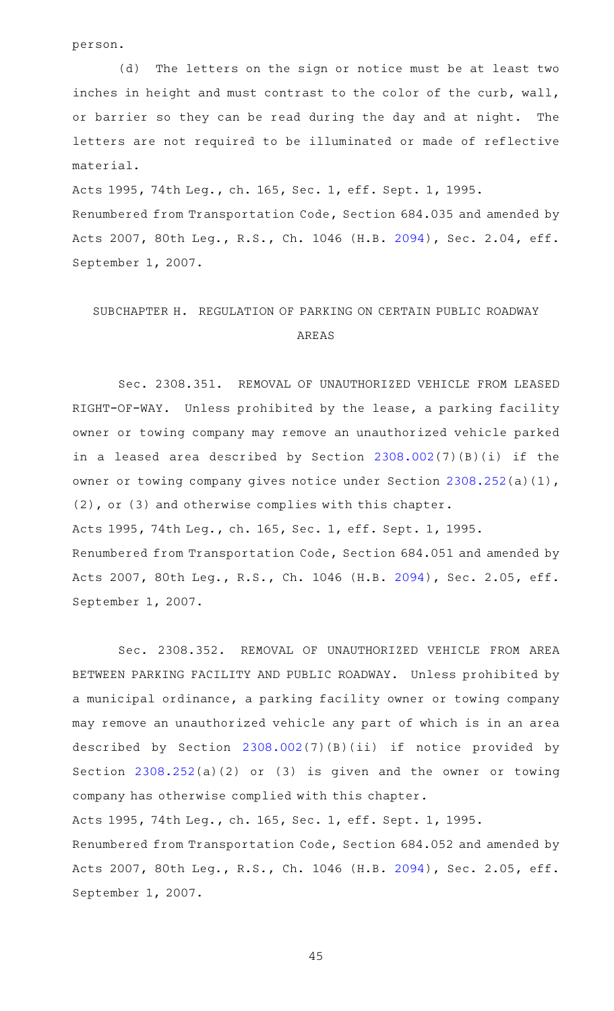person.

(d) The letters on the sign or notice must be at least two inches in height and must contrast to the color of the curb, wall, or barrier so they can be read during the day and at night. The letters are not required to be illuminated or made of reflective material.

Acts 1995, 74th Leg., ch. 165, Sec. 1, eff. Sept. 1, 1995.

Renumbered from Transportation Code, Section 684.035 and amended by Acts 2007, 80th Leg., R.S., Ch. 1046 (H.B. [2094](http://www.legis.state.tx.us/tlodocs/80R/billtext/html/HB02094F.HTM)), Sec. 2.04, eff. September 1, 2007.

# SUBCHAPTER H. REGULATION OF PARKING ON CERTAIN PUBLIC ROADWAY AREAS

Sec. 2308.351. REMOVAL OF UNAUTHORIZED VEHICLE FROM LEASED RIGHT-OF-WAY. Unless prohibited by the lease, a parking facility owner or towing company may remove an unauthorized vehicle parked in a leased area described by Section [2308.002](https://statutes.capitol.texas.gov/GetStatute.aspx?Code=OC&Value=2308.002)(7)(B)(i) if the owner or towing company gives notice under Section [2308.252](https://statutes.capitol.texas.gov/GetStatute.aspx?Code=OC&Value=2308.252)(a)(1), (2), or (3) and otherwise complies with this chapter. Acts 1995, 74th Leg., ch. 165, Sec. 1, eff. Sept. 1, 1995. Renumbered from Transportation Code, Section 684.051 and amended by Acts 2007, 80th Leg., R.S., Ch. 1046 (H.B. [2094](http://www.legis.state.tx.us/tlodocs/80R/billtext/html/HB02094F.HTM)), Sec. 2.05, eff. September 1, 2007.

Sec. 2308.352. REMOVAL OF UNAUTHORIZED VEHICLE FROM AREA BETWEEN PARKING FACILITY AND PUBLIC ROADWAY. Unless prohibited by a municipal ordinance, a parking facility owner or towing company may remove an unauthorized vehicle any part of which is in an area described by Section [2308.002\(](https://statutes.capitol.texas.gov/GetStatute.aspx?Code=OC&Value=2308.002)7)(B)(ii) if notice provided by Section [2308.252\(](https://statutes.capitol.texas.gov/GetStatute.aspx?Code=OC&Value=2308.252)a)(2) or (3) is given and the owner or towing company has otherwise complied with this chapter. Acts 1995, 74th Leg., ch. 165, Sec. 1, eff. Sept. 1, 1995. Renumbered from Transportation Code, Section 684.052 and amended by Acts 2007, 80th Leg., R.S., Ch. 1046 (H.B. [2094](http://www.legis.state.tx.us/tlodocs/80R/billtext/html/HB02094F.HTM)), Sec. 2.05, eff. September 1, 2007.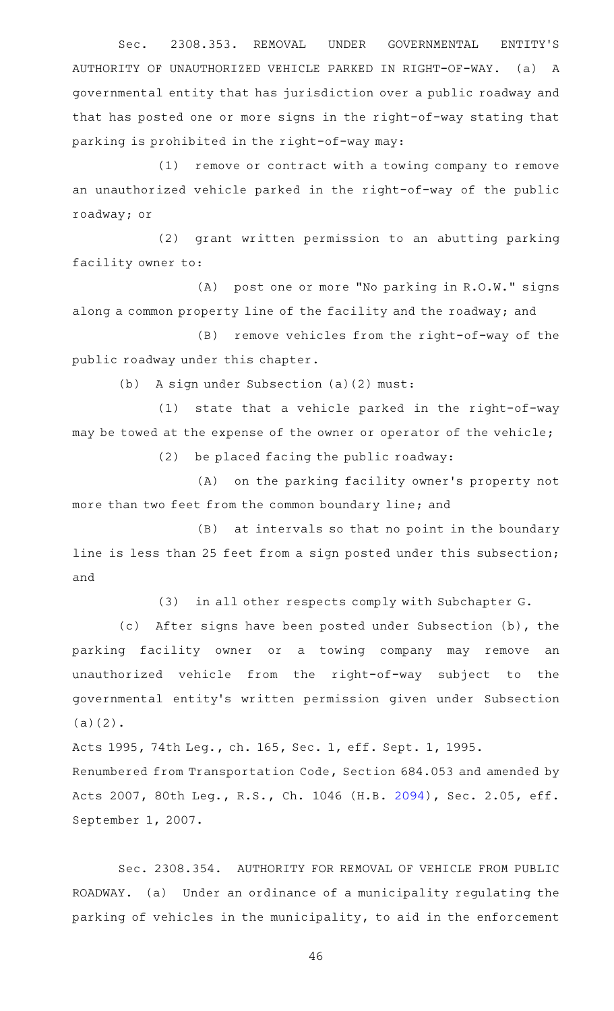Sec. 2308.353. REMOVAL UNDER GOVERNMENTAL ENTITY'S AUTHORITY OF UNAUTHORIZED VEHICLE PARKED IN RIGHT-OF-WAY. (a) A governmental entity that has jurisdiction over a public roadway and that has posted one or more signs in the right-of-way stating that parking is prohibited in the right-of-way may:

(1) remove or contract with a towing company to remove an unauthorized vehicle parked in the right-of-way of the public roadway; or

(2) grant written permission to an abutting parking facility owner to:

(A) post one or more "No parking in R.O.W." signs along a common property line of the facility and the roadway; and

(B) remove vehicles from the right-of-way of the public roadway under this chapter.

(b) A sign under Subsection (a)(2) must:

 $(1)$  state that a vehicle parked in the right-of-way may be towed at the expense of the owner or operator of the vehicle;

 $(2)$  be placed facing the public roadway:

(A) on the parking facility owner's property not more than two feet from the common boundary line; and

(B) at intervals so that no point in the boundary line is less than 25 feet from a sign posted under this subsection; and

(3) in all other respects comply with Subchapter G.

(c) After signs have been posted under Subsection (b), the parking facility owner or a towing company may remove an unauthorized vehicle from the right-of-way subject to the governmental entity 's written permission given under Subsection (a)(2).

Acts 1995, 74th Leg., ch. 165, Sec. 1, eff. Sept. 1, 1995.

Renumbered from Transportation Code, Section 684.053 and amended by Acts 2007, 80th Leg., R.S., Ch. 1046 (H.B. [2094](http://www.legis.state.tx.us/tlodocs/80R/billtext/html/HB02094F.HTM)), Sec. 2.05, eff. September 1, 2007.

Sec. 2308.354. AUTHORITY FOR REMOVAL OF VEHICLE FROM PUBLIC ROADWAY. (a) Under an ordinance of a municipality regulating the parking of vehicles in the municipality, to aid in the enforcement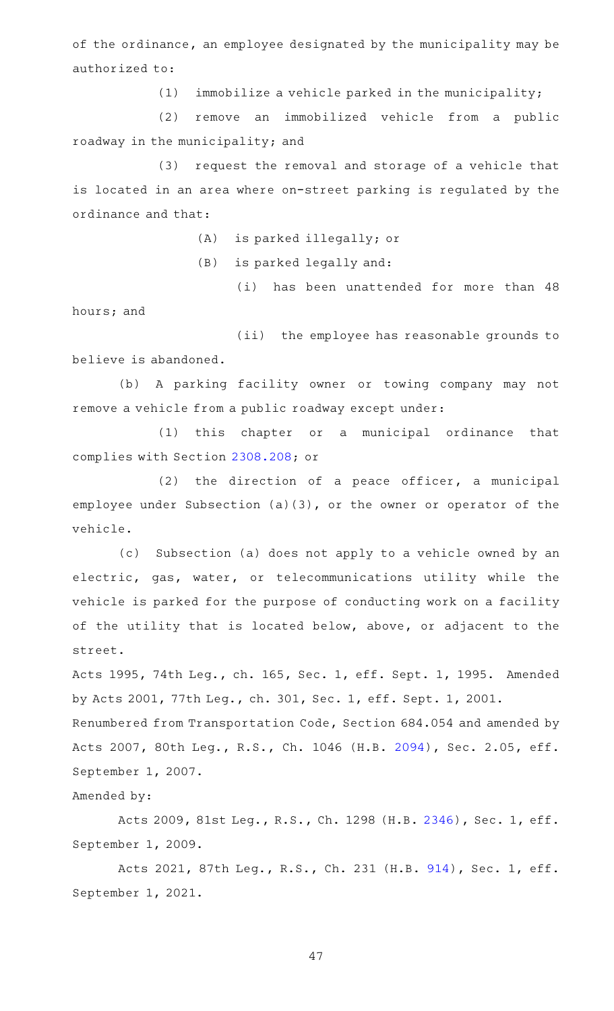of the ordinance, an employee designated by the municipality may be authorized to:

 $(1)$  immobilize a vehicle parked in the municipality;

(2) remove an immobilized vehicle from a public roadway in the municipality; and

(3) request the removal and storage of a vehicle that is located in an area where on-street parking is regulated by the ordinance and that:

(A) is parked illegally; or

 $(B)$  is parked legally and:

(i) has been unattended for more than 48

hours; and

(ii) the employee has reasonable grounds to believe is abandoned.

(b) A parking facility owner or towing company may not remove a vehicle from a public roadway except under:

(1) this chapter or a municipal ordinance that complies with Section [2308.208;](https://statutes.capitol.texas.gov/GetStatute.aspx?Code=OC&Value=2308.208) or

 $(2)$  the direction of a peace officer, a municipal employee under Subsection (a)(3), or the owner or operator of the vehicle.

(c) Subsection (a) does not apply to a vehicle owned by an electric, gas, water, or telecommunications utility while the vehicle is parked for the purpose of conducting work on a facility of the utility that is located below, above, or adjacent to the street.

Acts 1995, 74th Leg., ch. 165, Sec. 1, eff. Sept. 1, 1995. Amended by Acts 2001, 77th Leg., ch. 301, Sec. 1, eff. Sept. 1, 2001.

Renumbered from Transportation Code, Section 684.054 and amended by Acts 2007, 80th Leg., R.S., Ch. 1046 (H.B. [2094](http://www.legis.state.tx.us/tlodocs/80R/billtext/html/HB02094F.HTM)), Sec. 2.05, eff. September 1, 2007.

Amended by:

Acts 2009, 81st Leg., R.S., Ch. 1298 (H.B. [2346](http://www.legis.state.tx.us/tlodocs/81R/billtext/html/HB02346F.HTM)), Sec. 1, eff. September 1, 2009.

Acts 2021, 87th Leg., R.S., Ch. 231 (H.B. [914](http://www.legis.state.tx.us/tlodocs/87R/billtext/html/HB00914F.HTM)), Sec. 1, eff. September 1, 2021.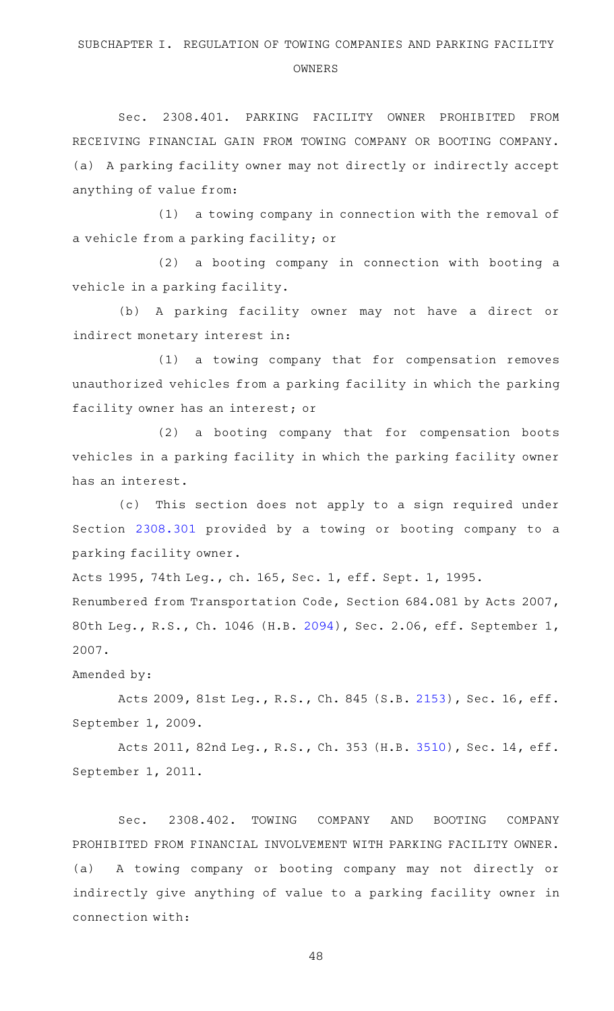#### OWNERS

Sec. 2308.401. PARKING FACILITY OWNER PROHIBITED FROM RECEIVING FINANCIAL GAIN FROM TOWING COMPANY OR BOOTING COMPANY. (a) A parking facility owner may not directly or indirectly accept anything of value from:

(1) a towing company in connection with the removal of a vehicle from a parking facility; or

(2) a booting company in connection with booting a vehicle in a parking facility.

(b) A parking facility owner may not have a direct or indirect monetary interest in:

(1) a towing company that for compensation removes unauthorized vehicles from a parking facility in which the parking facility owner has an interest; or

(2) a booting company that for compensation boots vehicles in a parking facility in which the parking facility owner has an interest.

(c) This section does not apply to a sign required under Section [2308.301](https://statutes.capitol.texas.gov/GetStatute.aspx?Code=OC&Value=2308.301) provided by a towing or booting company to a parking facility owner.

Acts 1995, 74th Leg., ch. 165, Sec. 1, eff. Sept. 1, 1995.

Renumbered from Transportation Code, Section 684.081 by Acts 2007, 80th Leg., R.S., Ch. 1046 (H.B. [2094\)](http://www.legis.state.tx.us/tlodocs/80R/billtext/html/HB02094F.HTM), Sec. 2.06, eff. September 1, 2007.

Amended by:

Acts 2009, 81st Leg., R.S., Ch. 845 (S.B. [2153\)](http://www.legis.state.tx.us/tlodocs/81R/billtext/html/SB02153F.HTM), Sec. 16, eff. September 1, 2009.

Acts 2011, 82nd Leg., R.S., Ch. 353 (H.B. [3510\)](http://www.legis.state.tx.us/tlodocs/82R/billtext/html/HB03510F.HTM), Sec. 14, eff. September 1, 2011.

Sec. 2308.402. TOWING COMPANY AND BOOTING COMPANY PROHIBITED FROM FINANCIAL INVOLVEMENT WITH PARKING FACILITY OWNER. (a) A towing company or booting company may not directly or indirectly give anything of value to a parking facility owner in connection with: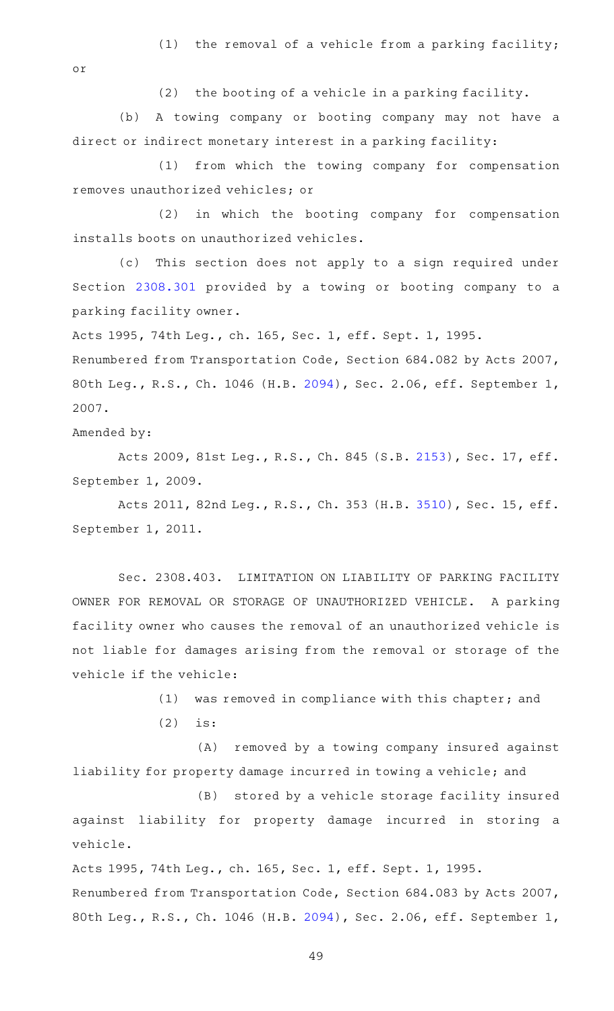(1) the removal of a vehicle from a parking facility;

or

 $(2)$  the booting of a vehicle in a parking facility.

(b) A towing company or booting company may not have a direct or indirect monetary interest in a parking facility:

(1) from which the towing company for compensation removes unauthorized vehicles; or

(2) in which the booting company for compensation installs boots on unauthorized vehicles.

(c) This section does not apply to a sign required under Section [2308.301](https://statutes.capitol.texas.gov/GetStatute.aspx?Code=OC&Value=2308.301) provided by a towing or booting company to a parking facility owner.

Acts 1995, 74th Leg., ch. 165, Sec. 1, eff. Sept. 1, 1995. Renumbered from Transportation Code, Section 684.082 by Acts 2007, 80th Leg., R.S., Ch. 1046 (H.B. [2094\)](http://www.legis.state.tx.us/tlodocs/80R/billtext/html/HB02094F.HTM), Sec. 2.06, eff. September 1, 2007.

Amended by:

Acts 2009, 81st Leg., R.S., Ch. 845 (S.B. [2153\)](http://www.legis.state.tx.us/tlodocs/81R/billtext/html/SB02153F.HTM), Sec. 17, eff. September 1, 2009.

Acts 2011, 82nd Leg., R.S., Ch. 353 (H.B. [3510\)](http://www.legis.state.tx.us/tlodocs/82R/billtext/html/HB03510F.HTM), Sec. 15, eff. September 1, 2011.

Sec. 2308.403. LIMITATION ON LIABILITY OF PARKING FACILITY OWNER FOR REMOVAL OR STORAGE OF UNAUTHORIZED VEHICLE. A parking facility owner who causes the removal of an unauthorized vehicle is not liable for damages arising from the removal or storage of the vehicle if the vehicle:

(1) was removed in compliance with this chapter; and

 $(2)$  is:

(A) removed by a towing company insured against liability for property damage incurred in towing a vehicle; and

(B) stored by a vehicle storage facility insured against liability for property damage incurred in storing a vehicle.

Acts 1995, 74th Leg., ch. 165, Sec. 1, eff. Sept. 1, 1995. Renumbered from Transportation Code, Section 684.083 by Acts 2007, 80th Leg., R.S., Ch. 1046 (H.B. [2094\)](http://www.legis.state.tx.us/tlodocs/80R/billtext/html/HB02094F.HTM), Sec. 2.06, eff. September 1,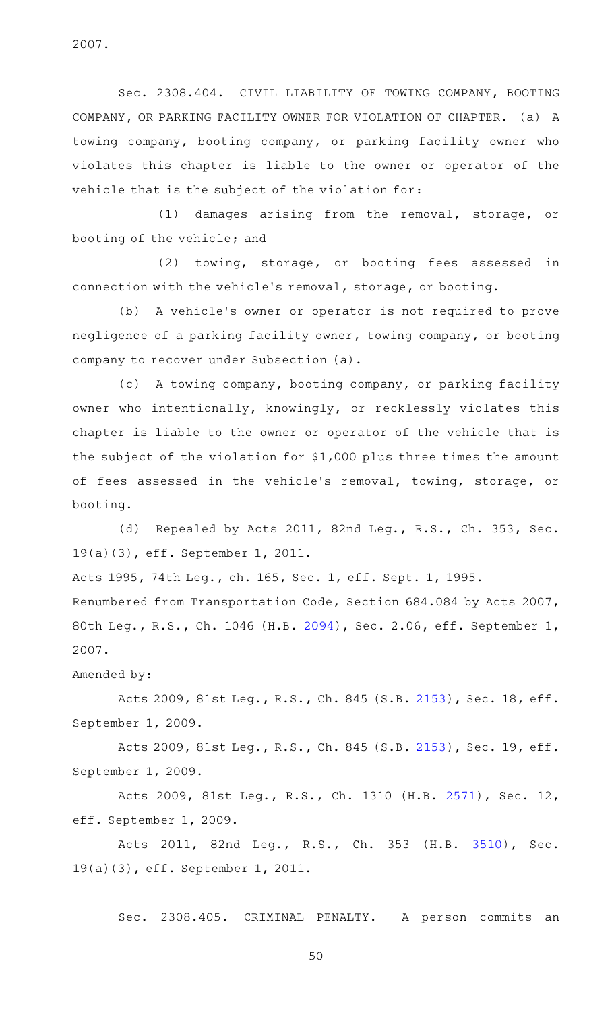2007.

Sec. 2308.404. CIVIL LIABILITY OF TOWING COMPANY, BOOTING COMPANY, OR PARKING FACILITY OWNER FOR VIOLATION OF CHAPTER. (a) A towing company, booting company, or parking facility owner who violates this chapter is liable to the owner or operator of the vehicle that is the subject of the violation for:

(1) damages arising from the removal, storage, or booting of the vehicle; and

(2) towing, storage, or booting fees assessed in connection with the vehicle 's removal, storage, or booting.

(b) A vehicle's owner or operator is not required to prove negligence of a parking facility owner, towing company, or booting company to recover under Subsection (a).

(c) A towing company, booting company, or parking facility owner who intentionally, knowingly, or recklessly violates this chapter is liable to the owner or operator of the vehicle that is the subject of the violation for \$1,000 plus three times the amount of fees assessed in the vehicle 's removal, towing, storage, or booting.

(d) Repealed by Acts 2011, 82nd Leg., R.S., Ch. 353, Sec. 19(a)(3), eff. September 1, 2011.

Acts 1995, 74th Leg., ch. 165, Sec. 1, eff. Sept. 1, 1995.

Renumbered from Transportation Code, Section 684.084 by Acts 2007, 80th Leg., R.S., Ch. 1046 (H.B. [2094\)](http://www.legis.state.tx.us/tlodocs/80R/billtext/html/HB02094F.HTM), Sec. 2.06, eff. September 1, 2007.

Amended by:

Acts 2009, 81st Leg., R.S., Ch. 845 (S.B. [2153\)](http://www.legis.state.tx.us/tlodocs/81R/billtext/html/SB02153F.HTM), Sec. 18, eff. September 1, 2009.

Acts 2009, 81st Leg., R.S., Ch. 845 (S.B. [2153\)](http://www.legis.state.tx.us/tlodocs/81R/billtext/html/SB02153F.HTM), Sec. 19, eff. September 1, 2009.

Acts 2009, 81st Leg., R.S., Ch. 1310 (H.B. [2571](http://www.legis.state.tx.us/tlodocs/81R/billtext/html/HB02571F.HTM)), Sec. 12, eff. September 1, 2009.

Acts 2011, 82nd Leg., R.S., Ch. 353 (H.B. [3510\)](http://www.legis.state.tx.us/tlodocs/82R/billtext/html/HB03510F.HTM), Sec. 19(a)(3), eff. September 1, 2011.

Sec. 2308.405. CRIMINAL PENALTY. A person commits an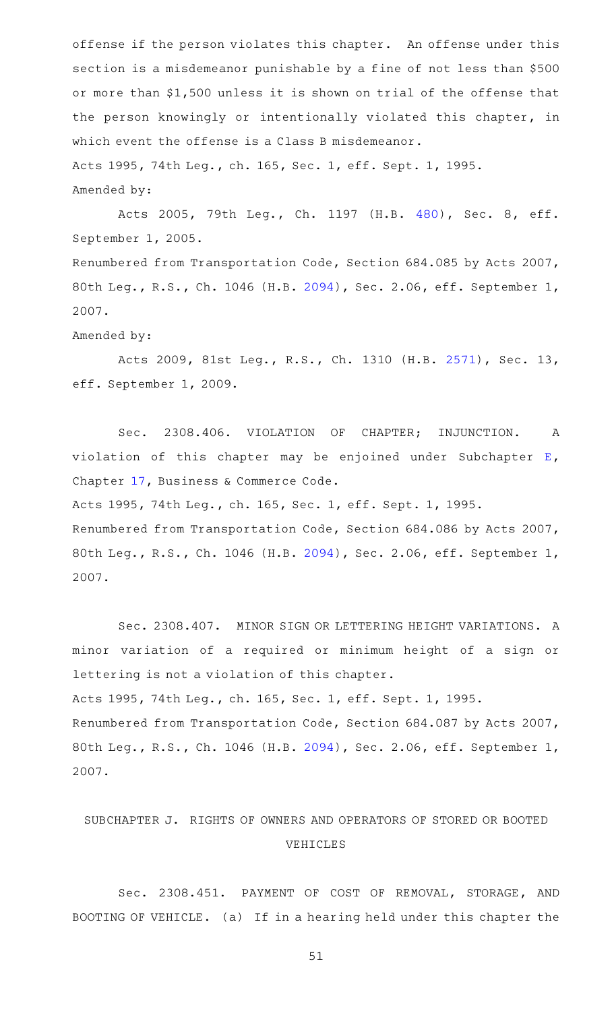offense if the person violates this chapter. An offense under this section is a misdemeanor punishable by a fine of not less than \$500 or more than \$1,500 unless it is shown on trial of the offense that the person knowingly or intentionally violated this chapter, in which event the offense is a Class B misdemeanor. Acts 1995, 74th Leg., ch. 165, Sec. 1, eff. Sept. 1, 1995. Amended by:

Acts 2005, 79th Leg., Ch. 1197 (H.B. [480](http://www.legis.state.tx.us/tlodocs/79R/billtext/html/HB00480F.HTM)), Sec. 8, eff. September 1, 2005. Renumbered from Transportation Code, Section 684.085 by Acts 2007,

80th Leg., R.S., Ch. 1046 (H.B. [2094\)](http://www.legis.state.tx.us/tlodocs/80R/billtext/html/HB02094F.HTM), Sec. 2.06, eff. September 1, 2007.

#### Amended by:

Acts 2009, 81st Leg., R.S., Ch. 1310 (H.B. [2571](http://www.legis.state.tx.us/tlodocs/81R/billtext/html/HB02571F.HTM)), Sec. 13, eff. September 1, 2009.

Sec. 2308.406. VIOLATION OF CHAPTER; INJUNCTION. A violation of this chapter may be enjoined under Subchapter [E](https://statutes.capitol.texas.gov/GetStatute.aspx?Code=BC&Value=17.41), Chapter [17,](https://statutes.capitol.texas.gov/GetStatute.aspx?Code=BC&Value=17) Business & Commerce Code.

Acts 1995, 74th Leg., ch. 165, Sec. 1, eff. Sept. 1, 1995. Renumbered from Transportation Code, Section 684.086 by Acts 2007, 80th Leg., R.S., Ch. 1046 (H.B. [2094\)](http://www.legis.state.tx.us/tlodocs/80R/billtext/html/HB02094F.HTM), Sec. 2.06, eff. September 1, 2007.

Sec. 2308.407. MINOR SIGN OR LETTERING HEIGHT VARIATIONS. A minor variation of a required or minimum height of a sign or lettering is not a violation of this chapter. Acts 1995, 74th Leg., ch. 165, Sec. 1, eff. Sept. 1, 1995. Renumbered from Transportation Code, Section 684.087 by Acts 2007, 80th Leg., R.S., Ch. 1046 (H.B. [2094\)](http://www.legis.state.tx.us/tlodocs/80R/billtext/html/HB02094F.HTM), Sec. 2.06, eff. September 1, 2007.

# SUBCHAPTER J. RIGHTS OF OWNERS AND OPERATORS OF STORED OR BOOTED VEHICLES

Sec. 2308.451. PAYMENT OF COST OF REMOVAL, STORAGE, AND BOOTING OF VEHICLE. (a) If in a hearing held under this chapter the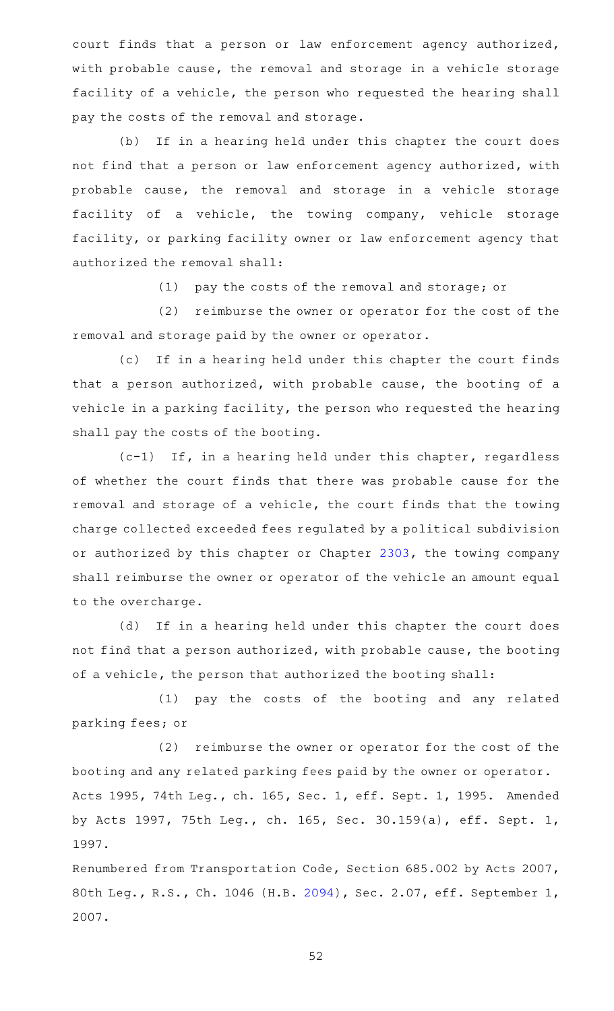court finds that a person or law enforcement agency authorized, with probable cause, the removal and storage in a vehicle storage facility of a vehicle, the person who requested the hearing shall pay the costs of the removal and storage.

(b) If in a hearing held under this chapter the court does not find that a person or law enforcement agency authorized, with probable cause, the removal and storage in a vehicle storage facility of a vehicle, the towing company, vehicle storage facility, or parking facility owner or law enforcement agency that authorized the removal shall:

(1) pay the costs of the removal and storage; or

(2) reimburse the owner or operator for the cost of the removal and storage paid by the owner or operator.

(c) If in a hearing held under this chapter the court finds that a person authorized, with probable cause, the booting of a vehicle in a parking facility, the person who requested the hearing shall pay the costs of the booting.

 $(c-1)$  If, in a hearing held under this chapter, regardless of whether the court finds that there was probable cause for the removal and storage of a vehicle, the court finds that the towing charge collected exceeded fees regulated by a political subdivision or authorized by this chapter or Chapter [2303](https://statutes.capitol.texas.gov/GetStatute.aspx?Code=OC&Value=2303), the towing company shall reimburse the owner or operator of the vehicle an amount equal to the overcharge.

(d) If in a hearing held under this chapter the court does not find that a person authorized, with probable cause, the booting of a vehicle, the person that authorized the booting shall:

(1) pay the costs of the booting and any related parking fees; or

(2) reimburse the owner or operator for the cost of the booting and any related parking fees paid by the owner or operator. Acts 1995, 74th Leg., ch. 165, Sec. 1, eff. Sept. 1, 1995. Amended by Acts 1997, 75th Leg., ch. 165, Sec. 30.159(a), eff. Sept. 1, 1997.

Renumbered from Transportation Code, Section 685.002 by Acts 2007, 80th Leg., R.S., Ch. 1046 (H.B. [2094\)](http://www.legis.state.tx.us/tlodocs/80R/billtext/html/HB02094F.HTM), Sec. 2.07, eff. September 1, 2007.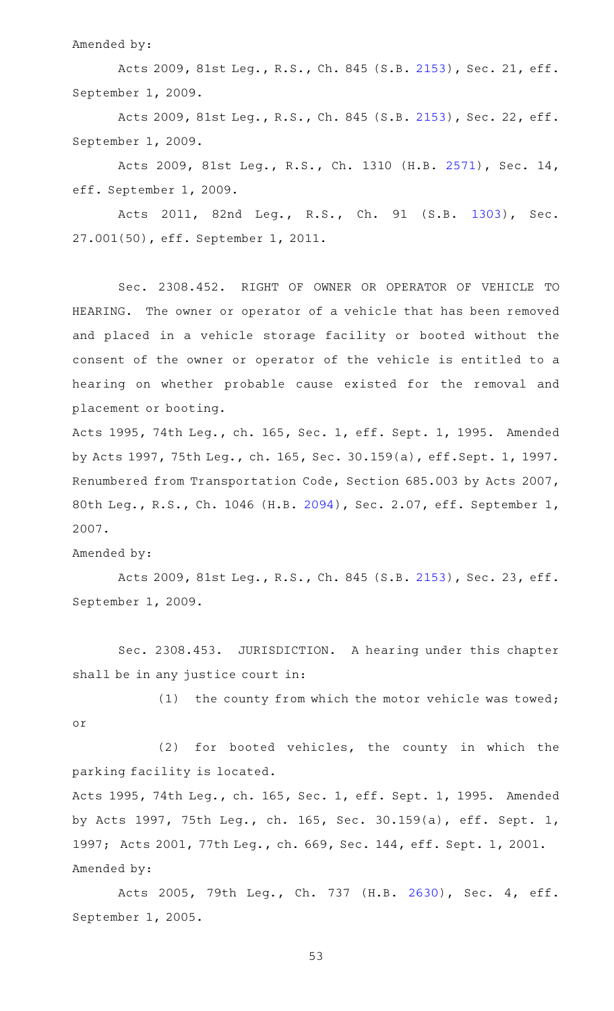Amended by:

Acts 2009, 81st Leg., R.S., Ch. 845 (S.B. [2153\)](http://www.legis.state.tx.us/tlodocs/81R/billtext/html/SB02153F.HTM), Sec. 21, eff. September 1, 2009.

Acts 2009, 81st Leg., R.S., Ch. 845 (S.B. [2153\)](http://www.legis.state.tx.us/tlodocs/81R/billtext/html/SB02153F.HTM), Sec. 22, eff. September 1, 2009.

Acts 2009, 81st Leg., R.S., Ch. 1310 (H.B. [2571](http://www.legis.state.tx.us/tlodocs/81R/billtext/html/HB02571F.HTM)), Sec. 14, eff. September 1, 2009.

Acts 2011, 82nd Leg., R.S., Ch. 91 (S.B. [1303\)](http://www.legis.state.tx.us/tlodocs/82R/billtext/html/SB01303F.HTM), Sec. 27.001(50), eff. September 1, 2011.

Sec. 2308.452. RIGHT OF OWNER OR OPERATOR OF VEHICLE TO HEARING. The owner or operator of a vehicle that has been removed and placed in a vehicle storage facility or booted without the consent of the owner or operator of the vehicle is entitled to a hearing on whether probable cause existed for the removal and placement or booting.

Acts 1995, 74th Leg., ch. 165, Sec. 1, eff. Sept. 1, 1995. Amended by Acts 1997, 75th Leg., ch. 165, Sec. 30.159(a), eff.Sept. 1, 1997. Renumbered from Transportation Code, Section 685.003 by Acts 2007, 80th Leg., R.S., Ch. 1046 (H.B. [2094\)](http://www.legis.state.tx.us/tlodocs/80R/billtext/html/HB02094F.HTM), Sec. 2.07, eff. September 1, 2007.

Amended by:

Acts 2009, 81st Leg., R.S., Ch. 845 (S.B. [2153\)](http://www.legis.state.tx.us/tlodocs/81R/billtext/html/SB02153F.HTM), Sec. 23, eff. September 1, 2009.

Sec. 2308.453. JURISDICTION. A hearing under this chapter shall be in any justice court in:

(1) the county from which the motor vehicle was towed; or

 $(2)$  for booted vehicles, the county in which the parking facility is located.

Acts 1995, 74th Leg., ch. 165, Sec. 1, eff. Sept. 1, 1995. Amended by Acts 1997, 75th Leg., ch. 165, Sec. 30.159(a), eff. Sept. 1, 1997; Acts 2001, 77th Leg., ch. 669, Sec. 144, eff. Sept. 1, 2001. Amended by:

Acts 2005, 79th Leg., Ch. 737 (H.B. [2630](http://www.legis.state.tx.us/tlodocs/79R/billtext/html/HB02630F.HTM)), Sec. 4, eff. September 1, 2005.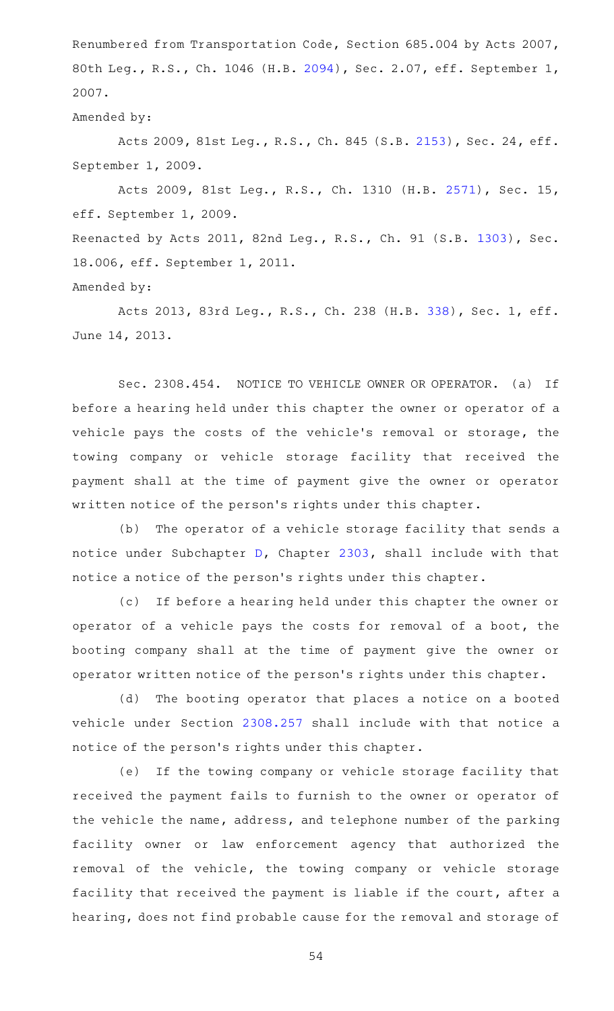Renumbered from Transportation Code, Section 685.004 by Acts 2007, 80th Leg., R.S., Ch. 1046 (H.B. [2094\)](http://www.legis.state.tx.us/tlodocs/80R/billtext/html/HB02094F.HTM), Sec. 2.07, eff. September 1, 2007.

Amended by:

Acts 2009, 81st Leg., R.S., Ch. 845 (S.B. [2153\)](http://www.legis.state.tx.us/tlodocs/81R/billtext/html/SB02153F.HTM), Sec. 24, eff. September 1, 2009.

Acts 2009, 81st Leg., R.S., Ch. 1310 (H.B. [2571](http://www.legis.state.tx.us/tlodocs/81R/billtext/html/HB02571F.HTM)), Sec. 15, eff. September 1, 2009.

Reenacted by Acts 2011, 82nd Leg., R.S., Ch. 91 (S.B. [1303\)](http://www.legis.state.tx.us/tlodocs/82R/billtext/html/SB01303F.HTM), Sec. 18.006, eff. September 1, 2011.

Amended by:

Acts 2013, 83rd Leg., R.S., Ch. 238 (H.B. [338](http://www.legis.state.tx.us/tlodocs/83R/billtext/html/HB00338F.HTM)), Sec. 1, eff. June 14, 2013.

Sec. 2308.454. NOTICE TO VEHICLE OWNER OR OPERATOR. (a) If before a hearing held under this chapter the owner or operator of a vehicle pays the costs of the vehicle 's removal or storage, the towing company or vehicle storage facility that received the payment shall at the time of payment give the owner or operator written notice of the person 's rights under this chapter.

(b) The operator of a vehicle storage facility that sends a notice under Subchapter [D,](https://statutes.capitol.texas.gov/GetStatute.aspx?Code=OC&Value=2303.151) Chapter [2303,](https://statutes.capitol.texas.gov/GetStatute.aspx?Code=OC&Value=2303) shall include with that notice a notice of the person 's rights under this chapter.

(c) If before a hearing held under this chapter the owner or operator of a vehicle pays the costs for removal of a boot, the booting company shall at the time of payment give the owner or operator written notice of the person 's rights under this chapter.

(d) The booting operator that places a notice on a booted vehicle under Section [2308.257](https://statutes.capitol.texas.gov/GetStatute.aspx?Code=OC&Value=2308.257) shall include with that notice a notice of the person 's rights under this chapter.

(e) If the towing company or vehicle storage facility that received the payment fails to furnish to the owner or operator of the vehicle the name, address, and telephone number of the parking facility owner or law enforcement agency that authorized the removal of the vehicle, the towing company or vehicle storage facility that received the payment is liable if the court, after a hearing, does not find probable cause for the removal and storage of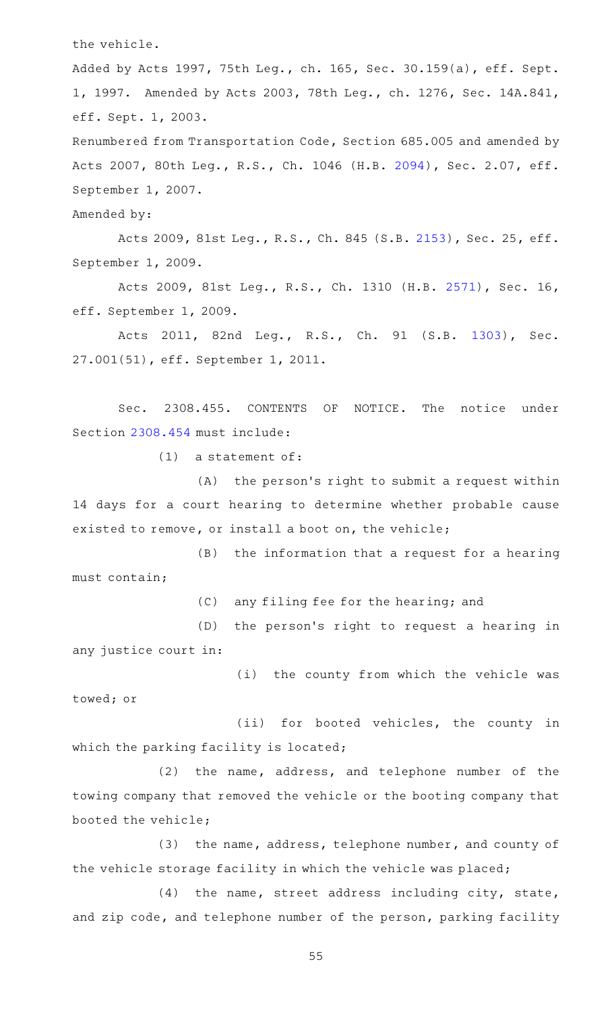the vehicle.

Added by Acts 1997, 75th Leg., ch. 165, Sec. 30.159(a), eff. Sept. 1, 1997. Amended by Acts 2003, 78th Leg., ch. 1276, Sec. 14A.841, eff. Sept. 1, 2003.

Renumbered from Transportation Code, Section 685.005 and amended by Acts 2007, 80th Leg., R.S., Ch. 1046 (H.B. [2094](http://www.legis.state.tx.us/tlodocs/80R/billtext/html/HB02094F.HTM)), Sec. 2.07, eff. September 1, 2007.

Amended by:

Acts 2009, 81st Leg., R.S., Ch. 845 (S.B. [2153\)](http://www.legis.state.tx.us/tlodocs/81R/billtext/html/SB02153F.HTM), Sec. 25, eff. September 1, 2009.

Acts 2009, 81st Leg., R.S., Ch. 1310 (H.B. [2571](http://www.legis.state.tx.us/tlodocs/81R/billtext/html/HB02571F.HTM)), Sec. 16, eff. September 1, 2009.

Acts 2011, 82nd Leg., R.S., Ch. 91 (S.B. [1303\)](http://www.legis.state.tx.us/tlodocs/82R/billtext/html/SB01303F.HTM), Sec. 27.001(51), eff. September 1, 2011.

Sec. 2308.455. CONTENTS OF NOTICE. The notice under Section [2308.454](https://statutes.capitol.texas.gov/GetStatute.aspx?Code=OC&Value=2308.454) must include:

 $(1)$  a statement of:

 $(A)$  the person's right to submit a request within 14 days for a court hearing to determine whether probable cause existed to remove, or install a boot on, the vehicle;

(B) the information that a request for a hearing must contain;

(C) any filing fee for the hearing; and

(D) the person's right to request a hearing in any justice court in:

(i) the county from which the vehicle was

towed; or

(ii) for booted vehicles, the county in which the parking facility is located;

(2) the name, address, and telephone number of the towing company that removed the vehicle or the booting company that booted the vehicle;

(3) the name, address, telephone number, and county of the vehicle storage facility in which the vehicle was placed;

 $(4)$  the name, street address including city, state, and zip code, and telephone number of the person, parking facility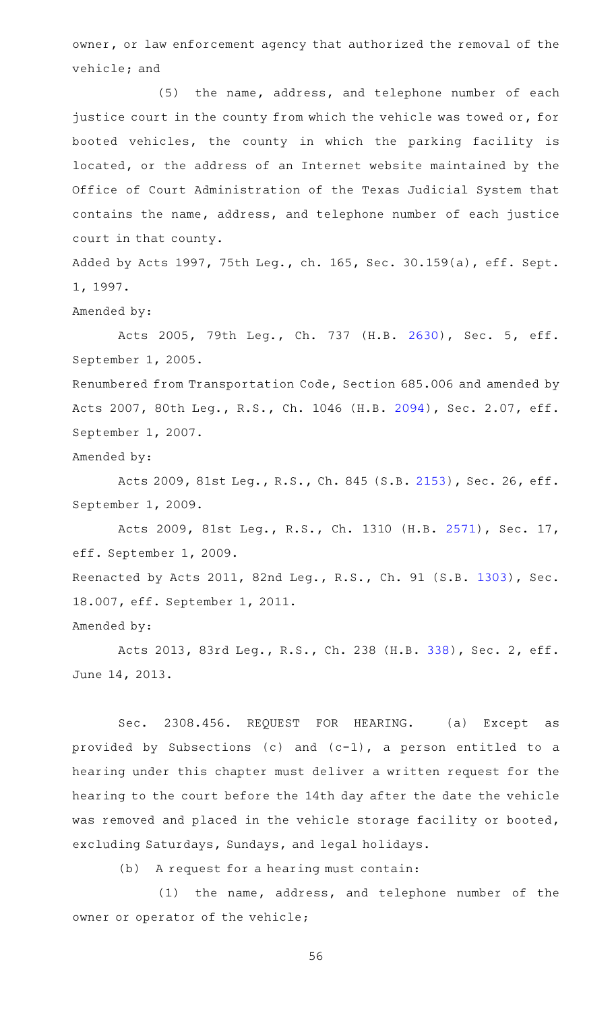owner, or law enforcement agency that authorized the removal of the vehicle; and

(5) the name, address, and telephone number of each justice court in the county from which the vehicle was towed or, for booted vehicles, the county in which the parking facility is located, or the address of an Internet website maintained by the Office of Court Administration of the Texas Judicial System that contains the name, address, and telephone number of each justice court in that county.

Added by Acts 1997, 75th Leg., ch. 165, Sec. 30.159(a), eff. Sept. 1, 1997.

Amended by:

Acts 2005, 79th Leg., Ch. 737 (H.B. [2630](http://www.legis.state.tx.us/tlodocs/79R/billtext/html/HB02630F.HTM)), Sec. 5, eff. September 1, 2005.

Renumbered from Transportation Code, Section 685.006 and amended by Acts 2007, 80th Leg., R.S., Ch. 1046 (H.B. [2094](http://www.legis.state.tx.us/tlodocs/80R/billtext/html/HB02094F.HTM)), Sec. 2.07, eff. September 1, 2007.

Amended by:

Acts 2009, 81st Leg., R.S., Ch. 845 (S.B. [2153\)](http://www.legis.state.tx.us/tlodocs/81R/billtext/html/SB02153F.HTM), Sec. 26, eff. September 1, 2009.

Acts 2009, 81st Leg., R.S., Ch. 1310 (H.B. [2571](http://www.legis.state.tx.us/tlodocs/81R/billtext/html/HB02571F.HTM)), Sec. 17, eff. September 1, 2009.

Reenacted by Acts 2011, 82nd Leg., R.S., Ch. 91 (S.B. [1303\)](http://www.legis.state.tx.us/tlodocs/82R/billtext/html/SB01303F.HTM), Sec. 18.007, eff. September 1, 2011.

Amended by:

Acts 2013, 83rd Leg., R.S., Ch. 238 (H.B. [338](http://www.legis.state.tx.us/tlodocs/83R/billtext/html/HB00338F.HTM)), Sec. 2, eff. June 14, 2013.

Sec. 2308.456. REQUEST FOR HEARING. (a) Except as provided by Subsections (c) and (c-1), a person entitled to a hearing under this chapter must deliver a written request for the hearing to the court before the 14th day after the date the vehicle was removed and placed in the vehicle storage facility or booted, excluding Saturdays, Sundays, and legal holidays.

(b) A request for a hearing must contain:

 $(1)$  the name, address, and telephone number of the owner or operator of the vehicle;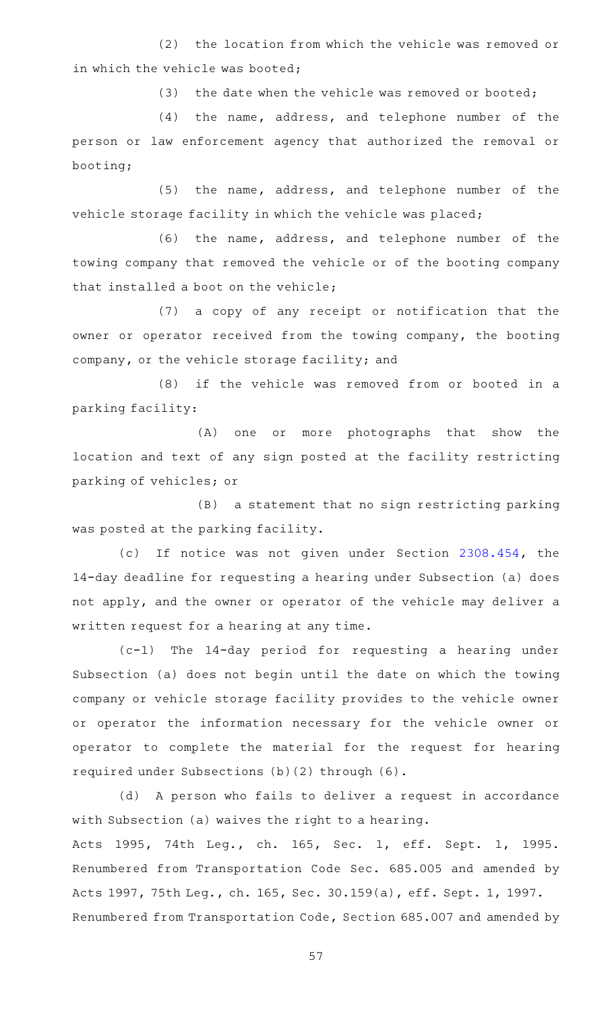(2) the location from which the vehicle was removed or in which the vehicle was booted;

(3) the date when the vehicle was removed or booted;

(4) the name, address, and telephone number of the person or law enforcement agency that authorized the removal or booting;

 $(5)$  the name, address, and telephone number of the vehicle storage facility in which the vehicle was placed;

(6) the name, address, and telephone number of the towing company that removed the vehicle or of the booting company that installed a boot on the vehicle;

(7) a copy of any receipt or notification that the owner or operator received from the towing company, the booting company, or the vehicle storage facility; and

(8) if the vehicle was removed from or booted in a parking facility:

(A) one or more photographs that show the location and text of any sign posted at the facility restricting parking of vehicles; or

(B) a statement that no sign restricting parking was posted at the parking facility.

(c) If notice was not given under Section [2308.454,](https://statutes.capitol.texas.gov/GetStatute.aspx?Code=OC&Value=2308.454) the 14-day deadline for requesting a hearing under Subsection (a) does not apply, and the owner or operator of the vehicle may deliver a written request for a hearing at any time.

 $(c-1)$  The 14-day period for requesting a hearing under Subsection (a) does not begin until the date on which the towing company or vehicle storage facility provides to the vehicle owner or operator the information necessary for the vehicle owner or operator to complete the material for the request for hearing required under Subsections (b)(2) through (6).

(d) A person who fails to deliver a request in accordance with Subsection (a) waives the right to a hearing. Acts 1995, 74th Leg., ch. 165, Sec. 1, eff. Sept. 1, 1995. Renumbered from Transportation Code Sec. 685.005 and amended by Acts 1997, 75th Leg., ch. 165, Sec. 30.159(a), eff. Sept. 1, 1997. Renumbered from Transportation Code, Section 685.007 and amended by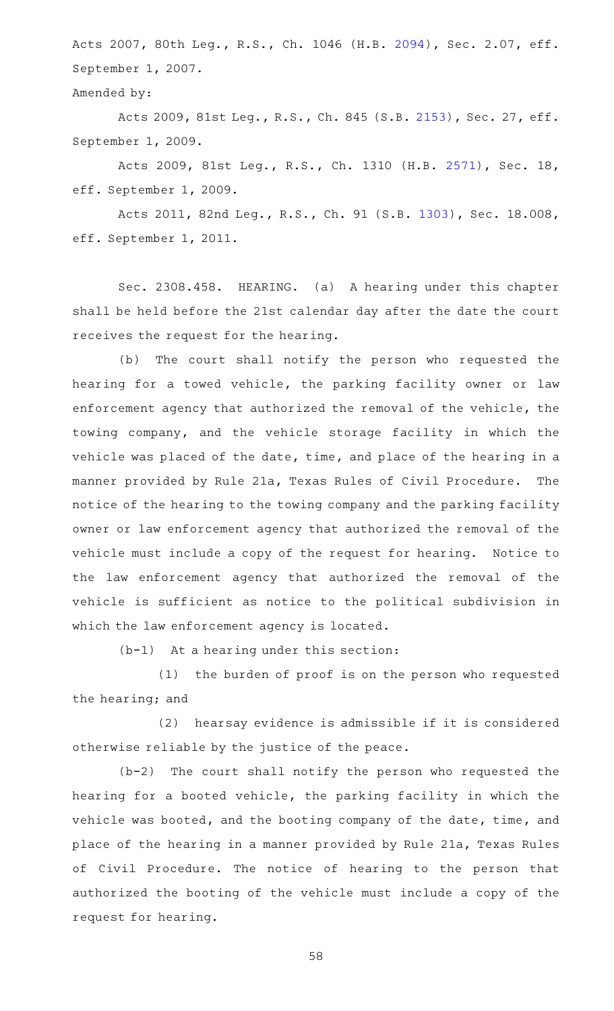Acts 2007, 80th Leg., R.S., Ch. 1046 (H.B. [2094](http://www.legis.state.tx.us/tlodocs/80R/billtext/html/HB02094F.HTM)), Sec. 2.07, eff. September 1, 2007.

Amended by:

Acts 2009, 81st Leg., R.S., Ch. 845 (S.B. [2153\)](http://www.legis.state.tx.us/tlodocs/81R/billtext/html/SB02153F.HTM), Sec. 27, eff. September 1, 2009.

Acts 2009, 81st Leg., R.S., Ch. 1310 (H.B. [2571](http://www.legis.state.tx.us/tlodocs/81R/billtext/html/HB02571F.HTM)), Sec. 18, eff. September 1, 2009.

Acts 2011, 82nd Leg., R.S., Ch. 91 (S.B. [1303](http://www.legis.state.tx.us/tlodocs/82R/billtext/html/SB01303F.HTM)), Sec. 18.008, eff. September 1, 2011.

Sec. 2308.458. HEARING. (a) A hearing under this chapter shall be held before the 21st calendar day after the date the court receives the request for the hearing.

(b) The court shall notify the person who requested the hearing for a towed vehicle, the parking facility owner or law enforcement agency that authorized the removal of the vehicle, the towing company, and the vehicle storage facility in which the vehicle was placed of the date, time, and place of the hearing in a manner provided by Rule 21a, Texas Rules of Civil Procedure. The notice of the hearing to the towing company and the parking facility owner or law enforcement agency that authorized the removal of the vehicle must include a copy of the request for hearing. Notice to the law enforcement agency that authorized the removal of the vehicle is sufficient as notice to the political subdivision in which the law enforcement agency is located.

 $(b-1)$  At a hearing under this section:

(1) the burden of proof is on the person who requested the hearing; and

(2) hearsay evidence is admissible if it is considered otherwise reliable by the justice of the peace.

 $(b-2)$  The court shall notify the person who requested the hearing for a booted vehicle, the parking facility in which the vehicle was booted, and the booting company of the date, time, and place of the hearing in a manner provided by Rule 21a, Texas Rules of Civil Procedure. The notice of hearing to the person that authorized the booting of the vehicle must include a copy of the request for hearing.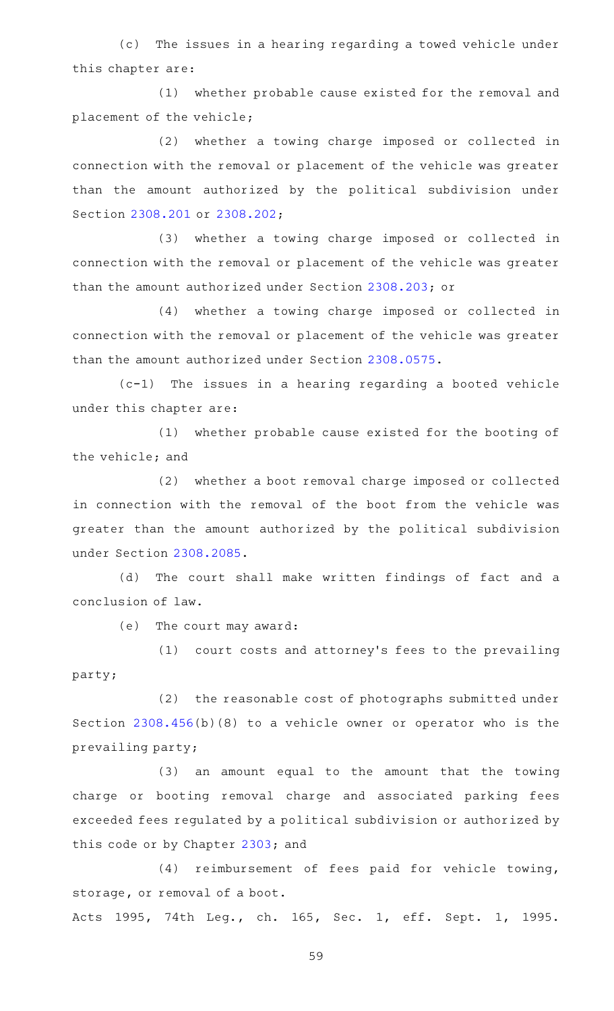(c) The issues in a hearing regarding a towed vehicle under this chapter are:

(1) whether probable cause existed for the removal and placement of the vehicle;

(2) whether a towing charge imposed or collected in connection with the removal or placement of the vehicle was greater than the amount authorized by the political subdivision under Section [2308.201](https://statutes.capitol.texas.gov/GetStatute.aspx?Code=OC&Value=2308.201) or [2308.202;](https://statutes.capitol.texas.gov/GetStatute.aspx?Code=OC&Value=2308.202)

(3) whether a towing charge imposed or collected in connection with the removal or placement of the vehicle was greater than the amount authorized under Section [2308.203;](https://statutes.capitol.texas.gov/GetStatute.aspx?Code=OC&Value=2308.203) or

(4) whether a towing charge imposed or collected in connection with the removal or placement of the vehicle was greater than the amount authorized under Section [2308.0575](https://statutes.capitol.texas.gov/GetStatute.aspx?Code=OC&Value=2308.0575).

 $(c-1)$  The issues in a hearing regarding a booted vehicle under this chapter are:

(1) whether probable cause existed for the booting of the vehicle; and

(2) whether a boot removal charge imposed or collected in connection with the removal of the boot from the vehicle was greater than the amount authorized by the political subdivision under Section [2308.2085.](https://statutes.capitol.texas.gov/GetStatute.aspx?Code=OC&Value=2308.2085)

(d) The court shall make written findings of fact and a conclusion of law.

(e) The court may award:

(1) court costs and attorney's fees to the prevailing party;

(2) the reasonable cost of photographs submitted under Section [2308.456](https://statutes.capitol.texas.gov/GetStatute.aspx?Code=OC&Value=2308.456)(b)(8) to a vehicle owner or operator who is the prevailing party;

(3) an amount equal to the amount that the towing charge or booting removal charge and associated parking fees exceeded fees regulated by a political subdivision or authorized by this code or by Chapter [2303;](https://statutes.capitol.texas.gov/GetStatute.aspx?Code=OC&Value=2303) and

(4) reimbursement of fees paid for vehicle towing, storage, or removal of a boot.

Acts 1995, 74th Leg., ch. 165, Sec. 1, eff. Sept. 1, 1995.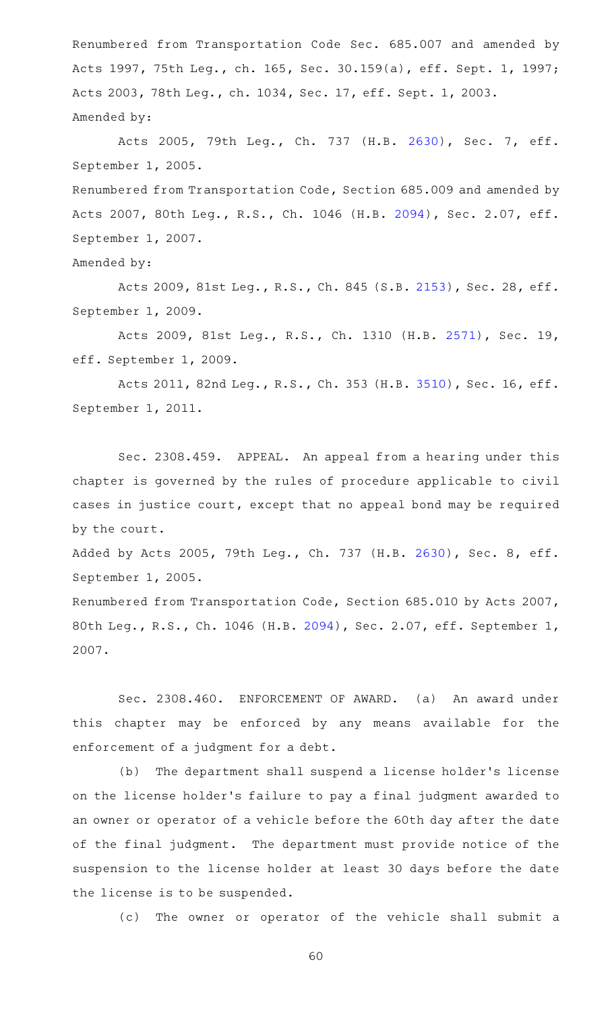Renumbered from Transportation Code Sec. 685.007 and amended by Acts 1997, 75th Leg., ch. 165, Sec. 30.159(a), eff. Sept. 1, 1997; Acts 2003, 78th Leg., ch. 1034, Sec. 17, eff. Sept. 1, 2003. Amended by:

Acts 2005, 79th Leg., Ch. 737 (H.B. [2630](http://www.legis.state.tx.us/tlodocs/79R/billtext/html/HB02630F.HTM)), Sec. 7, eff. September 1, 2005.

Renumbered from Transportation Code, Section 685.009 and amended by Acts 2007, 80th Leg., R.S., Ch. 1046 (H.B. [2094](http://www.legis.state.tx.us/tlodocs/80R/billtext/html/HB02094F.HTM)), Sec. 2.07, eff. September 1, 2007.

Amended by:

Acts 2009, 81st Leg., R.S., Ch. 845 (S.B. [2153\)](http://www.legis.state.tx.us/tlodocs/81R/billtext/html/SB02153F.HTM), Sec. 28, eff. September 1, 2009.

Acts 2009, 81st Leg., R.S., Ch. 1310 (H.B. [2571](http://www.legis.state.tx.us/tlodocs/81R/billtext/html/HB02571F.HTM)), Sec. 19, eff. September 1, 2009.

Acts 2011, 82nd Leg., R.S., Ch. 353 (H.B. [3510\)](http://www.legis.state.tx.us/tlodocs/82R/billtext/html/HB03510F.HTM), Sec. 16, eff. September 1, 2011.

Sec. 2308.459. APPEAL. An appeal from a hearing under this chapter is governed by the rules of procedure applicable to civil cases in justice court, except that no appeal bond may be required by the court.

Added by Acts 2005, 79th Leg., Ch. 737 (H.B. [2630](http://www.legis.state.tx.us/tlodocs/79R/billtext/html/HB02630F.HTM)), Sec. 8, eff. September 1, 2005.

Renumbered from Transportation Code, Section 685.010 by Acts 2007, 80th Leg., R.S., Ch. 1046 (H.B. [2094\)](http://www.legis.state.tx.us/tlodocs/80R/billtext/html/HB02094F.HTM), Sec. 2.07, eff. September 1, 2007.

Sec. 2308.460. ENFORCEMENT OF AWARD. (a) An award under this chapter may be enforced by any means available for the enforcement of a judgment for a debt.

(b) The department shall suspend a license holder's license on the license holder 's failure to pay a final judgment awarded to an owner or operator of a vehicle before the 60th day after the date of the final judgment. The department must provide notice of the suspension to the license holder at least 30 days before the date the license is to be suspended.

(c) The owner or operator of the vehicle shall submit a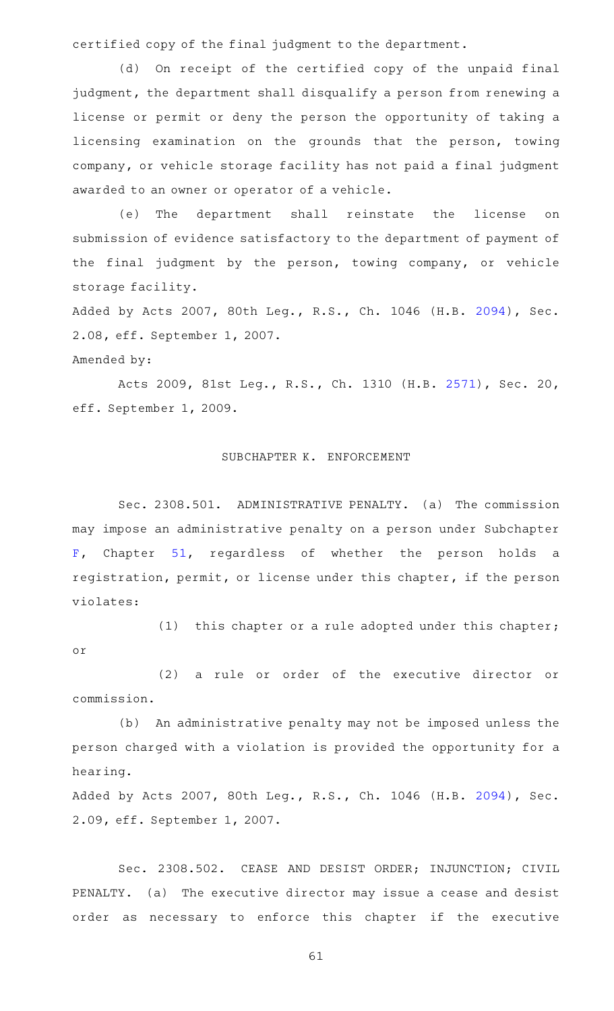certified copy of the final judgment to the department.

(d) On receipt of the certified copy of the unpaid final judgment, the department shall disqualify a person from renewing a license or permit or deny the person the opportunity of taking a licensing examination on the grounds that the person, towing company, or vehicle storage facility has not paid a final judgment awarded to an owner or operator of a vehicle.

(e) The department shall reinstate the license on submission of evidence satisfactory to the department of payment of the final judgment by the person, towing company, or vehicle storage facility.

Added by Acts 2007, 80th Leg., R.S., Ch. 1046 (H.B. [2094](http://www.legis.state.tx.us/tlodocs/80R/billtext/html/HB02094F.HTM)), Sec. 2.08, eff. September 1, 2007.

## Amended by:

Acts 2009, 81st Leg., R.S., Ch. 1310 (H.B. [2571](http://www.legis.state.tx.us/tlodocs/81R/billtext/html/HB02571F.HTM)), Sec. 20, eff. September 1, 2009.

# SUBCHAPTER K. ENFORCEMENT

Sec. 2308.501. ADMINISTRATIVE PENALTY. (a) The commission may impose an administrative penalty on a person under Subchapter [F,](https://statutes.capitol.texas.gov/GetStatute.aspx?Code=OC&Value=51.301) Chapter [51,](https://statutes.capitol.texas.gov/GetStatute.aspx?Code=OC&Value=51) regardless of whether the person holds a registration, permit, or license under this chapter, if the person violates:

(1) this chapter or a rule adopted under this chapter; or

(2) a rule or order of the executive director or commission.

(b) An administrative penalty may not be imposed unless the person charged with a violation is provided the opportunity for a hearing.

Added by Acts 2007, 80th Leg., R.S., Ch. 1046 (H.B. [2094](http://www.legis.state.tx.us/tlodocs/80R/billtext/html/HB02094F.HTM)), Sec. 2.09, eff. September 1, 2007.

Sec. 2308.502. CEASE AND DESIST ORDER; INJUNCTION; CIVIL PENALTY. (a) The executive director may issue a cease and desist order as necessary to enforce this chapter if the executive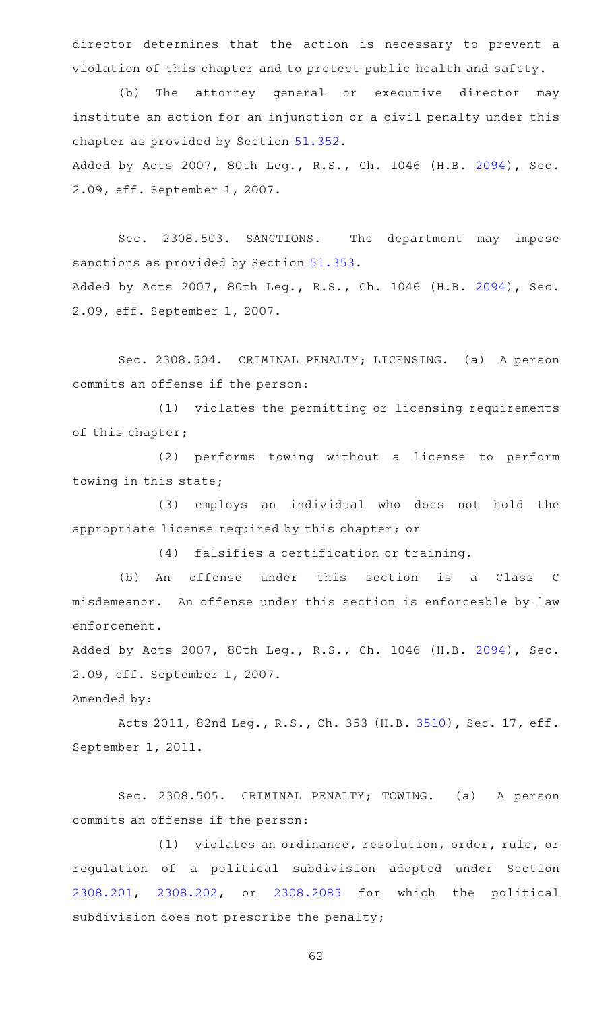director determines that the action is necessary to prevent a violation of this chapter and to protect public health and safety.

(b) The attorney general or executive director may institute an action for an injunction or a civil penalty under this chapter as provided by Section [51.352.](https://statutes.capitol.texas.gov/GetStatute.aspx?Code=OC&Value=51.352) Added by Acts 2007, 80th Leg., R.S., Ch. 1046 (H.B. [2094](http://www.legis.state.tx.us/tlodocs/80R/billtext/html/HB02094F.HTM)), Sec.

2.09, eff. September 1, 2007.

Sec. 2308.503. SANCTIONS. The department may impose sanctions as provided by Section [51.353.](https://statutes.capitol.texas.gov/GetStatute.aspx?Code=OC&Value=51.353) Added by Acts 2007, 80th Leg., R.S., Ch. 1046 (H.B. [2094](http://www.legis.state.tx.us/tlodocs/80R/billtext/html/HB02094F.HTM)), Sec. 2.09, eff. September 1, 2007.

Sec. 2308.504. CRIMINAL PENALTY; LICENSING. (a) A person commits an offense if the person:

(1) violates the permitting or licensing requirements of this chapter;

(2) performs towing without a license to perform towing in this state;

(3) employs an individual who does not hold the appropriate license required by this chapter; or

 $(4)$  falsifies a certification or training.

(b) An offense under this section is a Class C misdemeanor. An offense under this section is enforceable by law enforcement.

Added by Acts 2007, 80th Leg., R.S., Ch. 1046 (H.B. [2094](http://www.legis.state.tx.us/tlodocs/80R/billtext/html/HB02094F.HTM)), Sec. 2.09, eff. September 1, 2007.

Amended by:

Acts 2011, 82nd Leg., R.S., Ch. 353 (H.B. [3510\)](http://www.legis.state.tx.us/tlodocs/82R/billtext/html/HB03510F.HTM), Sec. 17, eff. September 1, 2011.

Sec. 2308.505. CRIMINAL PENALTY; TOWING. (a) A person commits an offense if the person:

(1) violates an ordinance, resolution, order, rule, or regulation of a political subdivision adopted under Section [2308.201](https://statutes.capitol.texas.gov/GetStatute.aspx?Code=OC&Value=2308.201), [2308.202,](https://statutes.capitol.texas.gov/GetStatute.aspx?Code=OC&Value=2308.202) or [2308.2085](https://statutes.capitol.texas.gov/GetStatute.aspx?Code=OC&Value=2308.2085) for which the political subdivision does not prescribe the penalty;